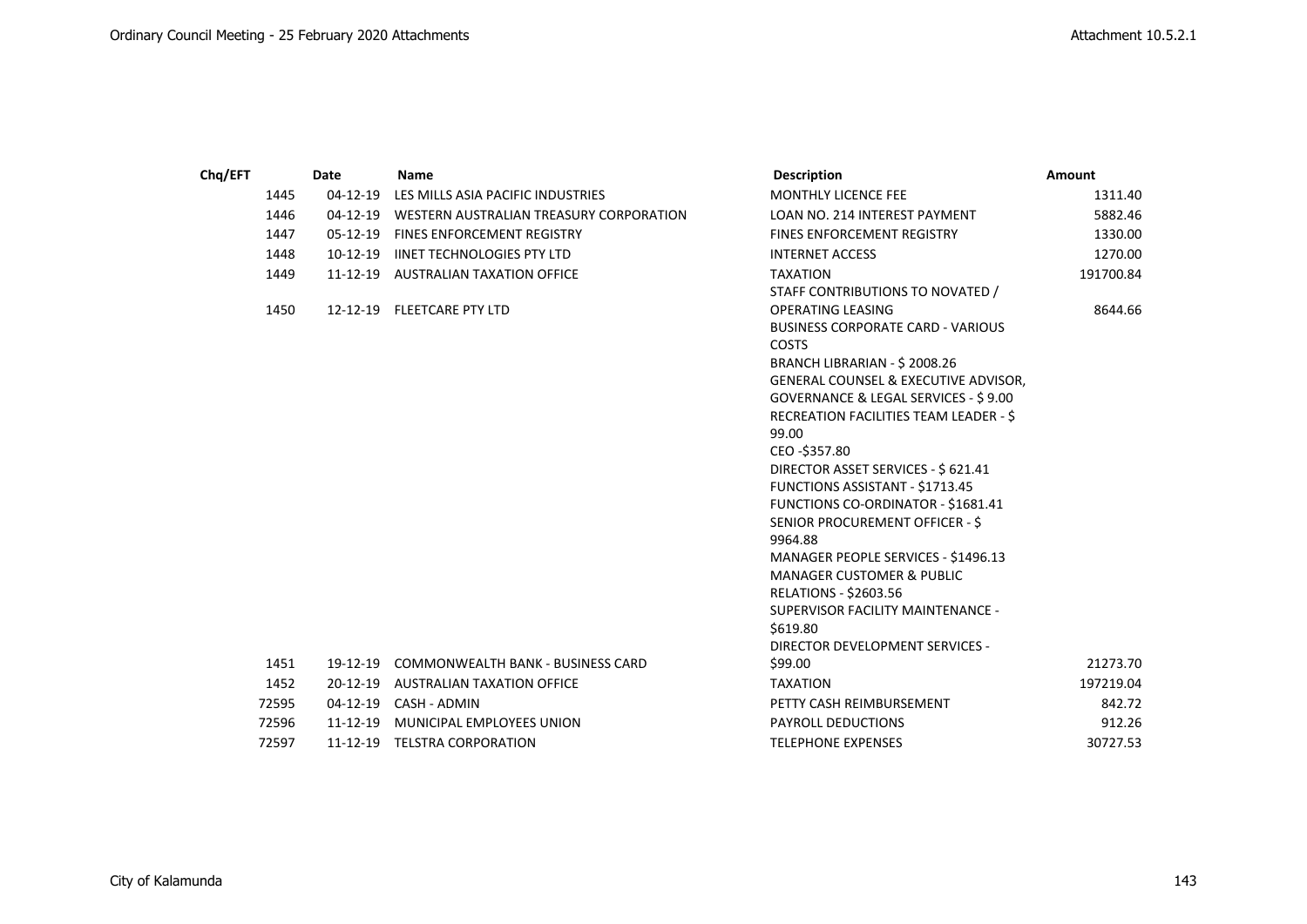| Chq/EFT |       | Date           | <b>Name</b>                                      | <b>Description</b>                                                                                                                                                                                                                                                                                                                                                                                                                                                                                                                                                                                        | Amount    |
|---------|-------|----------------|--------------------------------------------------|-----------------------------------------------------------------------------------------------------------------------------------------------------------------------------------------------------------------------------------------------------------------------------------------------------------------------------------------------------------------------------------------------------------------------------------------------------------------------------------------------------------------------------------------------------------------------------------------------------------|-----------|
|         | 1445  | $04 - 12 - 19$ | LES MILLS ASIA PACIFIC INDUSTRIES                | <b>MONTHLY LICENCE FEE</b>                                                                                                                                                                                                                                                                                                                                                                                                                                                                                                                                                                                | 1311.40   |
|         | 1446  |                | 04-12-19 WESTERN AUSTRALIAN TREASURY CORPORATION | LOAN NO. 214 INTEREST PAYMENT                                                                                                                                                                                                                                                                                                                                                                                                                                                                                                                                                                             | 5882.46   |
|         | 1447  | $05-12-19$     | <b>FINES ENFORCEMENT REGISTRY</b>                | <b>FINES ENFORCEMENT REGISTRY</b>                                                                                                                                                                                                                                                                                                                                                                                                                                                                                                                                                                         | 1330.00   |
|         | 1448  |                | 10-12-19 IINET TECHNOLOGIES PTY LTD              | <b>INTERNET ACCESS</b>                                                                                                                                                                                                                                                                                                                                                                                                                                                                                                                                                                                    | 1270.00   |
|         | 1449  |                | 11-12-19 AUSTRALIAN TAXATION OFFICE              | <b>TAXATION</b><br>STAFF CONTRIBUTIONS TO NOVATED /                                                                                                                                                                                                                                                                                                                                                                                                                                                                                                                                                       | 191700.84 |
|         | 1450  |                | 12-12-19 FLEETCARE PTY LTD                       | OPERATING LEASING<br><b>BUSINESS CORPORATE CARD - VARIOUS</b><br><b>COSTS</b><br>BRANCH LIBRARIAN - \$2008.26<br><b>GENERAL COUNSEL &amp; EXECUTIVE ADVISOR,</b><br>GOVERNANCE & LEGAL SERVICES - \$9.00<br>RECREATION FACILITIES TEAM LEADER - \$<br>99.00<br>CEO-\$357.80<br>DIRECTOR ASSET SERVICES - \$ 621.41<br>FUNCTIONS ASSISTANT - \$1713.45<br>FUNCTIONS CO-ORDINATOR - \$1681.41<br>SENIOR PROCUREMENT OFFICER - \$<br>9964.88<br>MANAGER PEOPLE SERVICES - \$1496.13<br><b>MANAGER CUSTOMER &amp; PUBLIC</b><br><b>RELATIONS - \$2603.56</b><br>SUPERVISOR FACILITY MAINTENANCE -<br>\$619.80 | 8644.66   |
|         |       |                |                                                  | DIRECTOR DEVELOPMENT SERVICES -                                                                                                                                                                                                                                                                                                                                                                                                                                                                                                                                                                           |           |
|         | 1451  |                | 19-12-19 COMMONWEALTH BANK - BUSINESS CARD       | \$99.00                                                                                                                                                                                                                                                                                                                                                                                                                                                                                                                                                                                                   | 21273.70  |
|         | 1452  |                | 20-12-19 AUSTRALIAN TAXATION OFFICE              | <b>TAXATION</b>                                                                                                                                                                                                                                                                                                                                                                                                                                                                                                                                                                                           | 197219.04 |
|         | 72595 |                | 04-12-19 CASH - ADMIN                            | PETTY CASH REIMBURSEMENT                                                                                                                                                                                                                                                                                                                                                                                                                                                                                                                                                                                  | 842.72    |
|         | 72596 | 11-12-19       | MUNICIPAL EMPLOYEES UNION                        | <b>PAYROLL DEDUCTIONS</b>                                                                                                                                                                                                                                                                                                                                                                                                                                                                                                                                                                                 | 912.26    |
|         | 72597 |                | 11-12-19 TELSTRA CORPORATION                     | <b>TELEPHONE EXPENSES</b>                                                                                                                                                                                                                                                                                                                                                                                                                                                                                                                                                                                 | 30727.53  |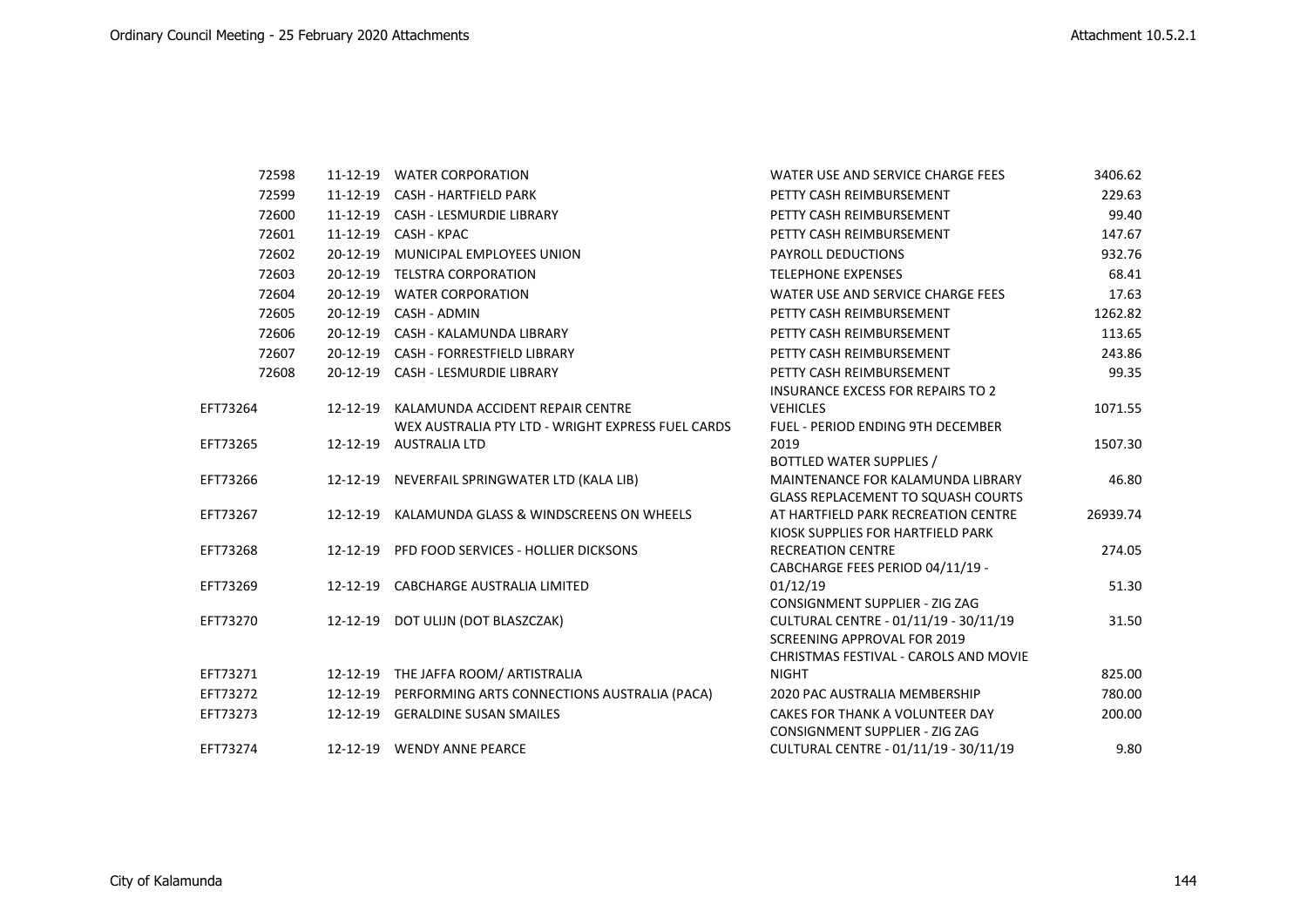| 72598    |          | 11-12-19 WATER CORPORATION                                                                     | WATER USE AND SERVICE CHARGE FEES                                                                                    | 3406.62  |
|----------|----------|------------------------------------------------------------------------------------------------|----------------------------------------------------------------------------------------------------------------------|----------|
| 72599    |          | 11-12-19 CASH - HARTFIELD PARK                                                                 | PETTY CASH REIMBURSEMENT                                                                                             | 229.63   |
| 72600    |          | 11-12-19 CASH - LESMURDIE LIBRARY                                                              | PETTY CASH REIMBURSEMENT                                                                                             | 99.40    |
| 72601    | 11-12-19 | CASH - KPAC                                                                                    | PETTY CASH REIMBURSEMENT                                                                                             | 147.67   |
| 72602    |          | 20-12-19 MUNICIPAL EMPLOYEES UNION                                                             | PAYROLL DEDUCTIONS                                                                                                   | 932.76   |
| 72603    |          | 20-12-19 TELSTRA CORPORATION                                                                   | <b>TELEPHONE EXPENSES</b>                                                                                            | 68.41    |
| 72604    |          | 20-12-19 WATER CORPORATION                                                                     | WATER USE AND SERVICE CHARGE FEES                                                                                    | 17.63    |
| 72605    | 20-12-19 | CASH - ADMIN                                                                                   | PETTY CASH REIMBURSEMENT                                                                                             | 1262.82  |
| 72606    |          | 20-12-19 CASH - KALAMUNDA LIBRARY                                                              | PETTY CASH REIMBURSEMENT                                                                                             | 113.65   |
| 72607    |          | 20-12-19 CASH - FORRESTFIELD LIBRARY                                                           | PETTY CASH REIMBURSEMENT                                                                                             | 243.86   |
| 72608    |          | 20-12-19 CASH - LESMURDIE LIBRARY                                                              | PETTY CASH REIMBURSEMENT<br><b>INSURANCE EXCESS FOR REPAIRS TO 2</b>                                                 | 99.35    |
| EFT73264 |          | 12-12-19 KALAMUNDA ACCIDENT REPAIR CENTRE<br>WEX AUSTRALIA PTY LTD - WRIGHT EXPRESS FUEL CARDS | <b>VEHICLES</b><br><b>FUEL - PERIOD ENDING 9TH DECEMBER</b>                                                          | 1071.55  |
| EFT73265 |          | 12-12-19 AUSTRALIA LTD                                                                         | 2019<br>BOTTLED WATER SUPPLIES /                                                                                     | 1507.30  |
| EFT73266 |          | 12-12-19 NEVERFAIL SPRINGWATER LTD (KALA LIB)                                                  | MAINTENANCE FOR KALAMUNDA LIBRARY<br><b>GLASS REPLACEMENT TO SQUASH COURTS</b>                                       | 46.80    |
| EFT73267 |          | 12-12-19 KALAMUNDA GLASS & WINDSCREENS ON WHEELS                                               | AT HARTFIELD PARK RECREATION CENTRE<br>KIOSK SUPPLIES FOR HARTFIELD PARK                                             | 26939.74 |
| EFT73268 |          | 12-12-19 PFD FOOD SERVICES - HOLLIER DICKSONS                                                  | <b>RECREATION CENTRE</b><br>CABCHARGE FEES PERIOD 04/11/19 -                                                         | 274.05   |
| EFT73269 |          | 12-12-19 CABCHARGE AUSTRALIA LIMITED                                                           | 01/12/19<br><b>CONSIGNMENT SUPPLIER - ZIG ZAG</b>                                                                    | 51.30    |
| EFT73270 |          | 12-12-19 DOT ULIJN (DOT BLASZCZAK)                                                             | CULTURAL CENTRE - 01/11/19 - 30/11/19<br><b>SCREENING APPROVAL FOR 2019</b><br>CHRISTMAS FESTIVAL - CAROLS AND MOVIE | 31.50    |
| EFT73271 |          | 12-12-19 THE JAFFA ROOM/ ARTISTRALIA                                                           | <b>NIGHT</b>                                                                                                         | 825.00   |
| EFT73272 |          | 12-12-19 PERFORMING ARTS CONNECTIONS AUSTRALIA (PACA)                                          | 2020 PAC AUSTRALIA MEMBERSHIP                                                                                        | 780.00   |
| EFT73273 |          | 12-12-19 GERALDINE SUSAN SMAILES                                                               | CAKES FOR THANK A VOLUNTEER DAY<br><b>CONSIGNMENT SUPPLIER - ZIG ZAG</b>                                             | 200.00   |
| EFT73274 |          | 12-12-19 WENDY ANNE PEARCE                                                                     | CULTURAL CENTRE - 01/11/19 - 30/11/19                                                                                | 9.80     |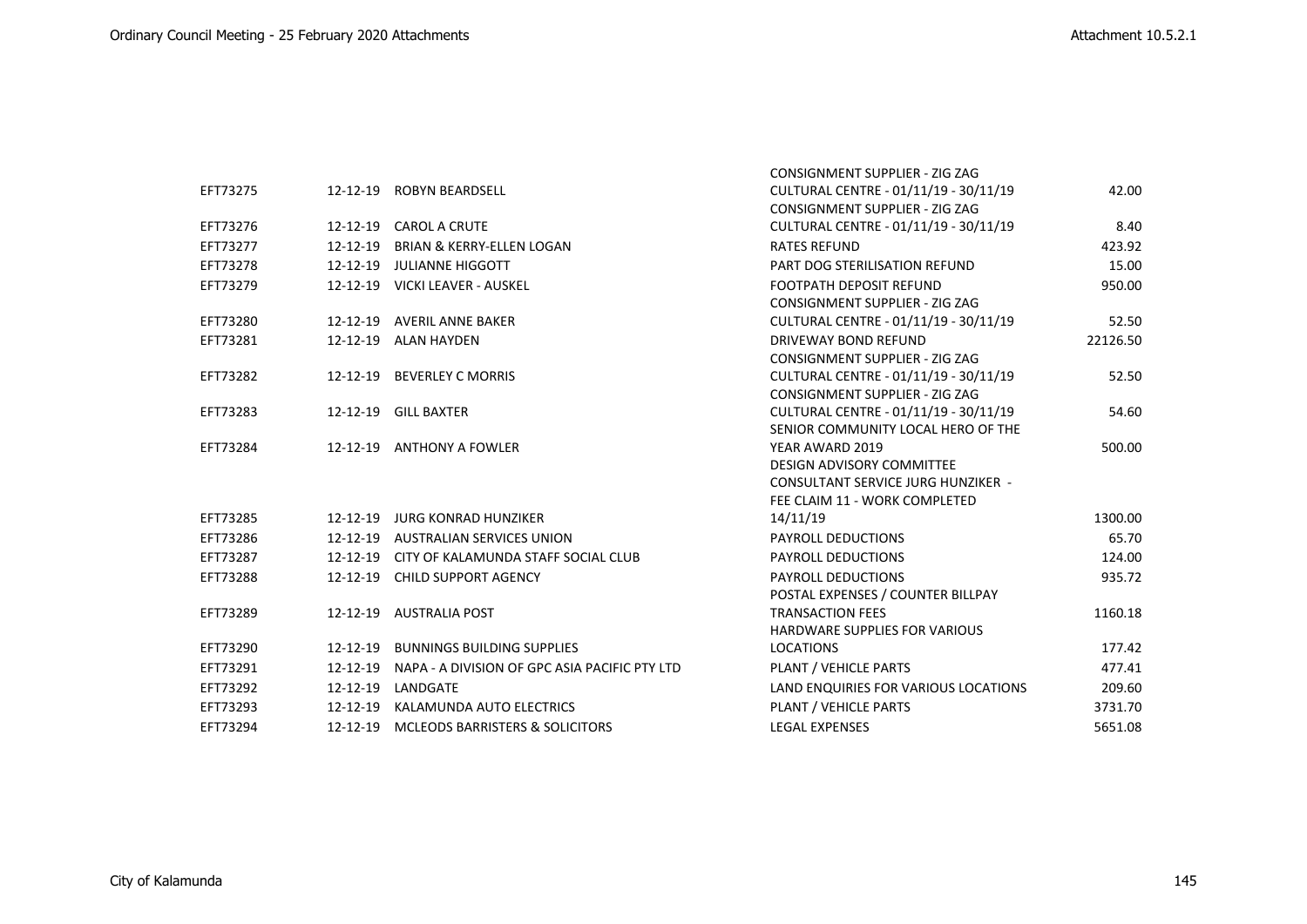|          |          |                                               | <b>CONSIGNMENT SUPPLIER - ZIG ZAG</b>     |          |
|----------|----------|-----------------------------------------------|-------------------------------------------|----------|
| EFT73275 |          | 12-12-19 ROBYN BEARDSELL                      | CULTURAL CENTRE - 01/11/19 - 30/11/19     | 42.00    |
|          |          |                                               | CONSIGNMENT SUPPLIER - ZIG ZAG            |          |
| EFT73276 |          | 12-12-19 CAROL A CRUTE                        | CULTURAL CENTRE - 01/11/19 - 30/11/19     | 8.40     |
| EFT73277 | 12-12-19 | <b>BRIAN &amp; KERRY-ELLEN LOGAN</b>          | <b>RATES REFUND</b>                       | 423.92   |
| EFT73278 |          | 12-12-19 JULIANNE HIGGOTT                     | PART DOG STERILISATION REFUND             | 15.00    |
| EFT73279 |          | 12-12-19 VICKI LEAVER - AUSKEL                | <b>FOOTPATH DEPOSIT REFUND</b>            | 950.00   |
|          |          |                                               | CONSIGNMENT SUPPLIER - ZIG ZAG            |          |
| EFT73280 |          | 12-12-19 AVERIL ANNE BAKER                    | CULTURAL CENTRE - 01/11/19 - 30/11/19     | 52.50    |
| EFT73281 |          | 12-12-19 ALAN HAYDEN                          | DRIVEWAY BOND REFUND                      | 22126.50 |
|          |          |                                               | CONSIGNMENT SUPPLIER - ZIG ZAG            |          |
| EFT73282 |          | 12-12-19 BEVERLEY C MORRIS                    | CULTURAL CENTRE - 01/11/19 - 30/11/19     | 52.50    |
|          |          |                                               | CONSIGNMENT SUPPLIER - ZIG ZAG            |          |
| EFT73283 |          | 12-12-19 GILL BAXTER                          | CULTURAL CENTRE - 01/11/19 - 30/11/19     | 54.60    |
|          |          |                                               | SENIOR COMMUNITY LOCAL HERO OF THE        |          |
| EFT73284 |          | 12-12-19 ANTHONY A FOWLER                     | YEAR AWARD 2019                           | 500.00   |
|          |          |                                               | <b>DESIGN ADVISORY COMMITTEE</b>          |          |
|          |          |                                               | <b>CONSULTANT SERVICE JURG HUNZIKER -</b> |          |
|          |          |                                               | FEE CLAIM 11 - WORK COMPLETED             |          |
| EFT73285 |          | 12-12-19 JURG KONRAD HUNZIKER                 | 14/11/19                                  | 1300.00  |
| EFT73286 |          | 12-12-19 AUSTRALIAN SERVICES UNION            | <b>PAYROLL DEDUCTIONS</b>                 | 65.70    |
| EFT73287 |          | 12-12-19 CITY OF KALAMUNDA STAFF SOCIAL CLUB  | PAYROLL DEDUCTIONS                        | 124.00   |
| EFT73288 |          | 12-12-19 CHILD SUPPORT AGENCY                 | PAYROLL DEDUCTIONS                        | 935.72   |
|          |          |                                               | POSTAL EXPENSES / COUNTER BILLPAY         |          |
| EFT73289 |          | 12-12-19 AUSTRALIA POST                       | <b>TRANSACTION FEES</b>                   | 1160.18  |
|          |          |                                               | <b>HARDWARE SUPPLIES FOR VARIOUS</b>      |          |
| EFT73290 |          | 12-12-19 BUNNINGS BUILDING SUPPLIES           | <b>LOCATIONS</b>                          | 177.42   |
| EFT73291 | 12-12-19 | NAPA - A DIVISION OF GPC ASIA PACIFIC PTY LTD | PLANT / VEHICLE PARTS                     | 477.41   |
| EFT73292 | 12-12-19 | LANDGATE                                      | LAND ENQUIRIES FOR VARIOUS LOCATIONS      | 209.60   |
| EFT73293 |          | 12-12-19 KALAMUNDA AUTO ELECTRICS             | PLANT / VEHICLE PARTS                     | 3731.70  |
| EFT73294 |          | 12-12-19 MCLEODS BARRISTERS & SOLICITORS      | <b>LEGAL EXPENSES</b>                     | 5651.08  |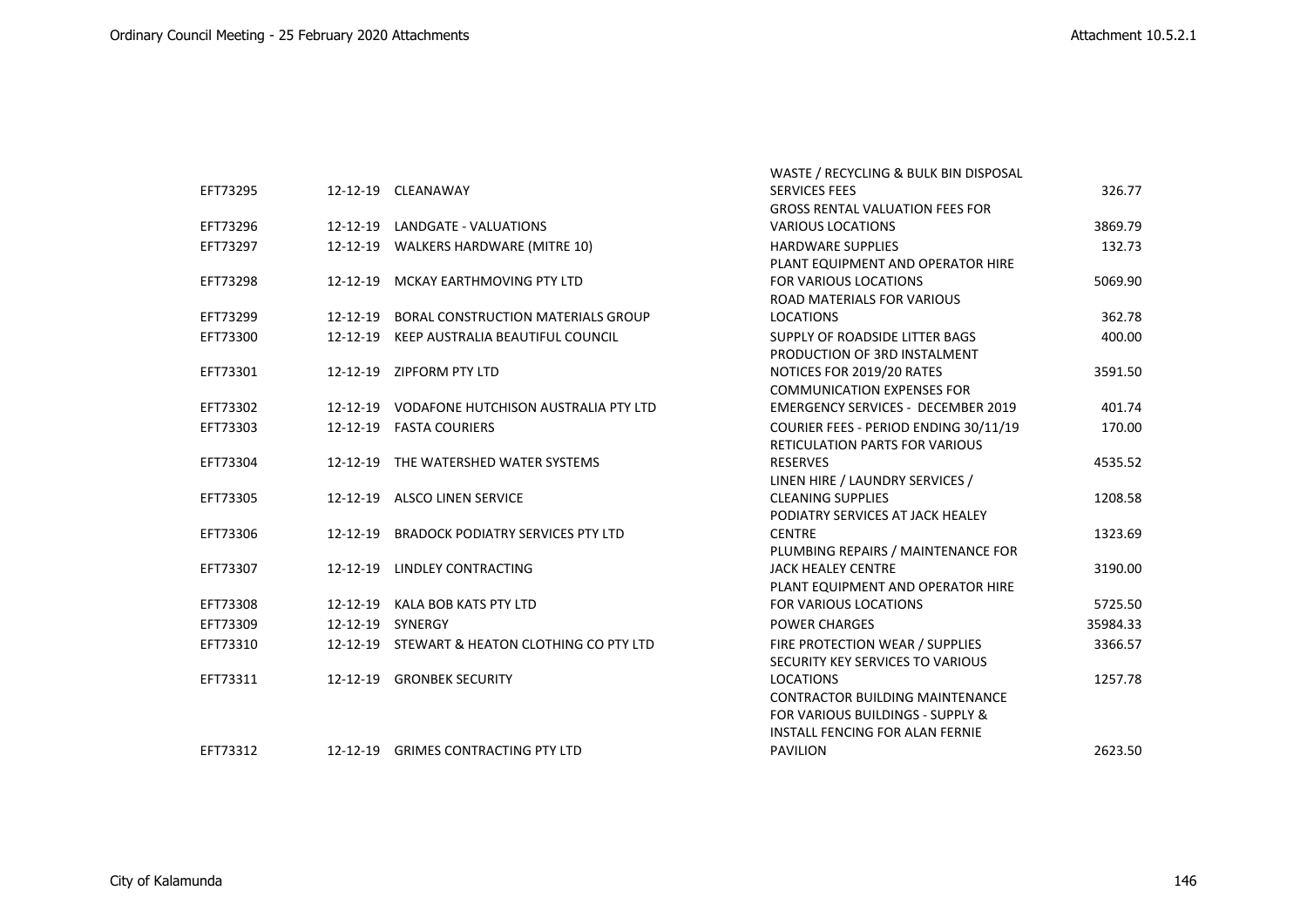|          |                                               | WASTE / RECYCLING & BULK BIN DISPOSAL     |          |
|----------|-----------------------------------------------|-------------------------------------------|----------|
| EFT73295 | 12-12-19 CLEANAWAY                            | <b>SERVICES FEES</b>                      | 326.77   |
|          |                                               | <b>GROSS RENTAL VALUATION FEES FOR</b>    |          |
| EFT73296 | 12-12-19 LANDGATE - VALUATIONS                | <b>VARIOUS LOCATIONS</b>                  | 3869.79  |
| EFT73297 | 12-12-19 WALKERS HARDWARE (MITRE 10)          | <b>HARDWARE SUPPLIES</b>                  | 132.73   |
|          |                                               | PLANT EQUIPMENT AND OPERATOR HIRE         |          |
| EFT73298 | 12-12-19 MCKAY EARTHMOVING PTY LTD            | <b>FOR VARIOUS LOCATIONS</b>              | 5069.90  |
|          |                                               | <b>ROAD MATERIALS FOR VARIOUS</b>         |          |
| EFT73299 | 12-12-19 BORAL CONSTRUCTION MATERIALS GROUP   | <b>LOCATIONS</b>                          | 362.78   |
| EFT73300 | 12-12-19 KEEP AUSTRALIA BEAUTIFUL COUNCIL     | SUPPLY OF ROADSIDE LITTER BAGS            | 400.00   |
|          |                                               | PRODUCTION OF 3RD INSTALMENT              |          |
| EFT73301 | 12-12-19 ZIPFORM PTY LTD                      | NOTICES FOR 2019/20 RATES                 | 3591.50  |
|          |                                               | <b>COMMUNICATION EXPENSES FOR</b>         |          |
| EFT73302 | 12-12-19 VODAFONE HUTCHISON AUSTRALIA PTY LTD | <b>EMERGENCY SERVICES - DECEMBER 2019</b> | 401.74   |
| EFT73303 | 12-12-19 FASTA COURIERS                       | COURIER FEES - PERIOD ENDING 30/11/19     | 170.00   |
|          |                                               | <b>RETICULATION PARTS FOR VARIOUS</b>     |          |
| EFT73304 | 12-12-19 THE WATERSHED WATER SYSTEMS          | <b>RESERVES</b>                           | 4535.52  |
|          |                                               | LINEN HIRE / LAUNDRY SERVICES /           |          |
| EFT73305 | 12-12-19 ALSCO LINEN SERVICE                  | <b>CLEANING SUPPLIES</b>                  | 1208.58  |
|          |                                               | PODIATRY SERVICES AT JACK HEALEY          |          |
| EFT73306 | 12-12-19 BRADOCK PODIATRY SERVICES PTY LTD    | <b>CENTRE</b>                             | 1323.69  |
|          |                                               | PLUMBING REPAIRS / MAINTENANCE FOR        |          |
| EFT73307 | 12-12-19 LINDLEY CONTRACTING                  | <b>JACK HEALEY CENTRE</b>                 | 3190.00  |
|          |                                               | PLANT EQUIPMENT AND OPERATOR HIRE         |          |
| EFT73308 | 12-12-19 KALA BOB KATS PTY LTD                | <b>FOR VARIOUS LOCATIONS</b>              | 5725.50  |
| EFT73309 | 12-12-19 SYNERGY                              | <b>POWER CHARGES</b>                      | 35984.33 |
| EFT73310 | 12-12-19 STEWART & HEATON CLOTHING CO PTY LTD | FIRE PROTECTION WEAR / SUPPLIES           | 3366.57  |
|          |                                               | SECURITY KEY SERVICES TO VARIOUS          |          |
| EFT73311 | 12-12-19 GRONBEK SECURITY                     | <b>LOCATIONS</b>                          | 1257.78  |
|          |                                               | <b>CONTRACTOR BUILDING MAINTENANCE</b>    |          |
|          |                                               | FOR VARIOUS BUILDINGS - SUPPLY &          |          |
|          |                                               | <b>INSTALL FENCING FOR ALAN FERNIE</b>    |          |
| EFT73312 | 12-12-19 GRIMES CONTRACTING PTY LTD           | <b>PAVILION</b>                           | 2623.50  |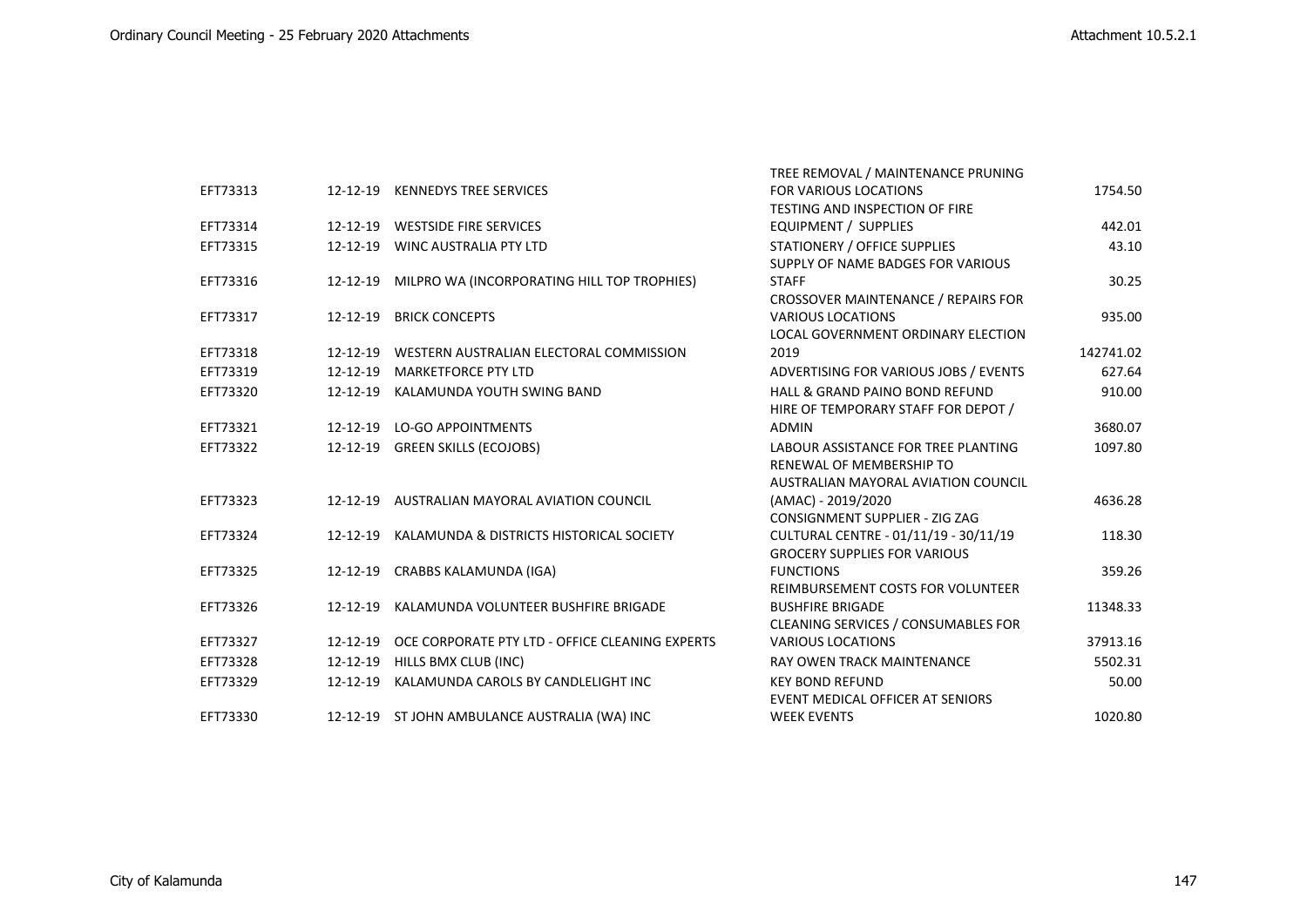|          |                |                                                 | TREE REMOVAL / MAINTENANCE PRUNING         |           |
|----------|----------------|-------------------------------------------------|--------------------------------------------|-----------|
| EFT73313 |                | 12-12-19 KENNEDYS TREE SERVICES                 | <b>FOR VARIOUS LOCATIONS</b>               | 1754.50   |
|          |                |                                                 | TESTING AND INSPECTION OF FIRE             |           |
| EFT73314 |                | 12-12-19 WESTSIDE FIRE SERVICES                 | EQUIPMENT / SUPPLIES                       | 442.01    |
| EFT73315 | 12-12-19       | WINC AUSTRALIA PTY LTD                          | STATIONERY / OFFICE SUPPLIES               | 43.10     |
|          |                |                                                 | SUPPLY OF NAME BADGES FOR VARIOUS          |           |
| EFT73316 | 12-12-19       | MILPRO WA (INCORPORATING HILL TOP TROPHIES)     | <b>STAFF</b>                               | 30.25     |
|          |                |                                                 | CROSSOVER MAINTENANCE / REPAIRS FOR        |           |
| EFT73317 | 12-12-19       | <b>BRICK CONCEPTS</b>                           | <b>VARIOUS LOCATIONS</b>                   | 935.00    |
|          |                |                                                 | LOCAL GOVERNMENT ORDINARY ELECTION         |           |
| EFT73318 | $12 - 12 - 19$ | WESTERN AUSTRALIAN ELECTORAL COMMISSION         | 2019                                       | 142741.02 |
| EFT73319 | 12-12-19       | <b>MARKETFORCE PTY LTD</b>                      | ADVERTISING FOR VARIOUS JOBS / EVENTS      | 627.64    |
| EFT73320 | $12 - 12 - 19$ | KALAMUNDA YOUTH SWING BAND                      | HALL & GRAND PAINO BOND REFUND             | 910.00    |
|          |                |                                                 | HIRE OF TEMPORARY STAFF FOR DEPOT /        |           |
| EFT73321 | 12-12-19       | <b>LO-GO APPOINTMENTS</b>                       | <b>ADMIN</b>                               | 3680.07   |
| EFT73322 | 12-12-19       | <b>GREEN SKILLS (ECOJOBS)</b>                   | LABOUR ASSISTANCE FOR TREE PLANTING        | 1097.80   |
|          |                |                                                 | RENEWAL OF MEMBERSHIP TO                   |           |
|          |                |                                                 | AUSTRALIAN MAYORAL AVIATION COUNCIL        |           |
| EFT73323 | $12 - 12 - 19$ | AUSTRALIAN MAYORAL AVIATION COUNCIL             | (AMAC) - 2019/2020                         | 4636.28   |
|          |                |                                                 | CONSIGNMENT SUPPLIER - ZIG ZAG             |           |
| EFT73324 | 12-12-19       | KALAMUNDA & DISTRICTS HISTORICAL SOCIETY        | CULTURAL CENTRE - 01/11/19 - 30/11/19      | 118.30    |
|          |                |                                                 | <b>GROCERY SUPPLIES FOR VARIOUS</b>        |           |
| EFT73325 | 12-12-19       | CRABBS KALAMUNDA (IGA)                          | <b>FUNCTIONS</b>                           | 359.26    |
|          |                |                                                 | REIMBURSEMENT COSTS FOR VOLUNTEER          |           |
| EFT73326 | 12-12-19       | KALAMUNDA VOLUNTEER BUSHFIRE BRIGADE            | <b>BUSHFIRE BRIGADE</b>                    | 11348.33  |
|          |                |                                                 | <b>CLEANING SERVICES / CONSUMABLES FOR</b> |           |
| EFT73327 | $12 - 12 - 19$ | OCE CORPORATE PTY LTD - OFFICE CLEANING EXPERTS | <b>VARIOUS LOCATIONS</b>                   | 37913.16  |
| EFT73328 | 12-12-19       | HILLS BMX CLUB (INC)                            | <b>RAY OWEN TRACK MAINTENANCE</b>          | 5502.31   |
| EFT73329 | $12 - 12 - 19$ | KALAMUNDA CAROLS BY CANDLELIGHT INC             | <b>KEY BOND REFUND</b>                     | 50.00     |
|          |                |                                                 | EVENT MEDICAL OFFICER AT SENIORS           |           |
| EFT73330 |                | 12-12-19 ST JOHN AMBULANCE AUSTRALIA (WA) INC   | <b>WEEK EVENTS</b>                         | 1020.80   |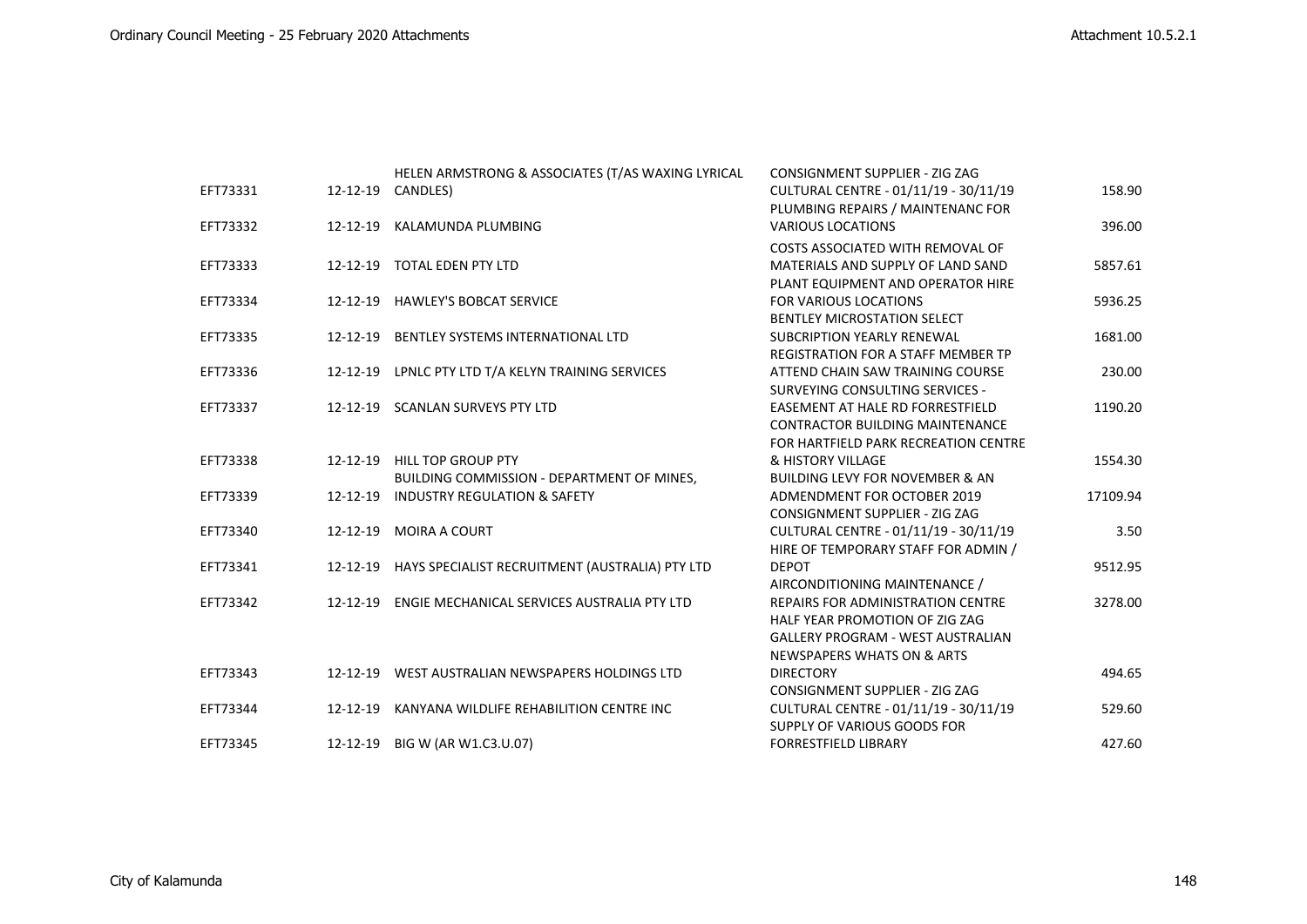|          |          | HELEN ARMSTRONG & ASSOCIATES (T/AS WAXING LYRICAL        | <b>CONSIGNMENT SUPPLIER - ZIG ZAG</b>      |          |
|----------|----------|----------------------------------------------------------|--------------------------------------------|----------|
| EFT73331 |          | 12-12-19 CANDLES)                                        | CULTURAL CENTRE - 01/11/19 - 30/11/19      | 158.90   |
|          |          |                                                          | PLUMBING REPAIRS / MAINTENANC FOR          |          |
| EFT73332 | 12-12-19 | KALAMUNDA PLUMBING                                       | <b>VARIOUS LOCATIONS</b>                   | 396.00   |
|          |          |                                                          | COSTS ASSOCIATED WITH REMOVAL OF           |          |
| EFT73333 |          | 12-12-19 TOTAL EDEN PTY LTD                              | MATERIALS AND SUPPLY OF LAND SAND          | 5857.61  |
|          |          |                                                          | PLANT EQUIPMENT AND OPERATOR HIRE          |          |
| EFT73334 |          | 12-12-19 HAWLEY'S BOBCAT SERVICE                         | <b>FOR VARIOUS LOCATIONS</b>               | 5936.25  |
|          |          |                                                          | <b>BENTLEY MICROSTATION SELECT</b>         |          |
| EFT73335 | 12-12-19 | <b>BENTLEY SYSTEMS INTERNATIONAL LTD</b>                 | <b>SUBCRIPTION YEARLY RENEWAL</b>          | 1681.00  |
|          |          |                                                          | <b>REGISTRATION FOR A STAFF MEMBER TP</b>  |          |
| EFT73336 |          | 12-12-19 LPNLC PTY LTD T/A KELYN TRAINING SERVICES       | ATTEND CHAIN SAW TRAINING COURSE           | 230.00   |
|          |          |                                                          | SURVEYING CONSULTING SERVICES -            |          |
| EFT73337 |          | 12-12-19 SCANLAN SURVEYS PTY LTD                         | <b>EASEMENT AT HALE RD FORRESTFIELD</b>    | 1190.20  |
|          |          |                                                          | <b>CONTRACTOR BUILDING MAINTENANCE</b>     |          |
|          |          |                                                          | FOR HARTFIELD PARK RECREATION CENTRE       |          |
| EFT73338 |          | 12-12-19 HILL TOP GROUP PTY                              | & HISTORY VILLAGE                          | 1554.30  |
|          |          | BUILDING COMMISSION - DEPARTMENT OF MINES,               | <b>BUILDING LEVY FOR NOVEMBER &amp; AN</b> |          |
| EFT73339 | 12-12-19 | <b>INDUSTRY REGULATION &amp; SAFETY</b>                  | ADMENDMENT FOR OCTOBER 2019                | 17109.94 |
|          |          |                                                          | <b>CONSIGNMENT SUPPLIER - ZIG ZAG</b>      |          |
| EFT73340 | 12-12-19 | MOIRA A COURT                                            | CULTURAL CENTRE - 01/11/19 - 30/11/19      | 3.50     |
|          |          |                                                          | HIRE OF TEMPORARY STAFF FOR ADMIN /        |          |
| EFT73341 |          | 12-12-19 HAYS SPECIALIST RECRUITMENT (AUSTRALIA) PTY LTD | <b>DEPOT</b>                               | 9512.95  |
|          |          |                                                          | AIRCONDITIONING MAINTENANCE /              |          |
| EFT73342 |          | 12-12-19 ENGIE MECHANICAL SERVICES AUSTRALIA PTY LTD     | <b>REPAIRS FOR ADMINISTRATION CENTRE</b>   | 3278.00  |
|          |          |                                                          | HALF YEAR PROMOTION OF ZIG ZAG             |          |
|          |          |                                                          | <b>GALLERY PROGRAM - WEST AUSTRALIAN</b>   |          |
|          |          |                                                          | <b>NEWSPAPERS WHATS ON &amp; ARTS</b>      |          |
| EFT73343 |          | 12-12-19 WEST AUSTRALIAN NEWSPAPERS HOLDINGS LTD         | <b>DIRECTORY</b>                           | 494.65   |
|          |          |                                                          | <b>CONSIGNMENT SUPPLIER - ZIG ZAG</b>      |          |
| EFT73344 |          | 12-12-19 KANYANA WILDLIFE REHABILITION CENTRE INC        | CULTURAL CENTRE - 01/11/19 - 30/11/19      | 529.60   |
|          |          |                                                          | SUPPLY OF VARIOUS GOODS FOR                |          |
| EFT73345 |          | 12-12-19 BIG W (AR W1.C3.U.07)                           | <b>FORRESTFIELD LIBRARY</b>                | 427.60   |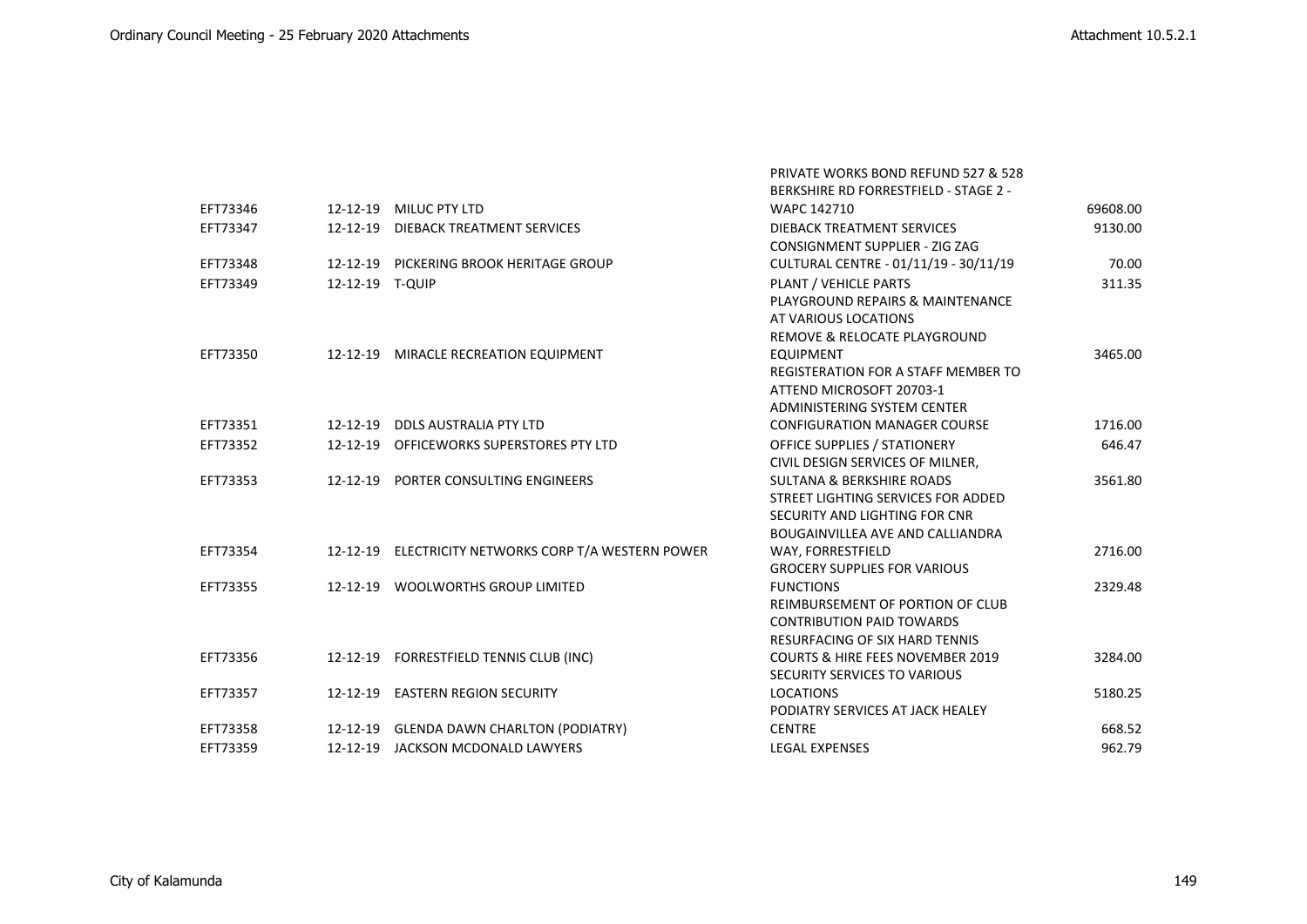PRIVATE WORKS BOND REFUND 527 & 528

|          |                 |                                                      | <b>BERKSHIRE RD FORRESTFIELD - STAGE 2 -</b>                              |          |
|----------|-----------------|------------------------------------------------------|---------------------------------------------------------------------------|----------|
| EFT73346 |                 | 12-12-19 MILUC PTY LTD                               | WAPC 142710                                                               | 69608.00 |
| EFT73347 | 12-12-19        | DIEBACK TREATMENT SERVICES                           | DIEBACK TREATMENT SERVICES                                                | 9130.00  |
|          |                 |                                                      | CONSIGNMENT SUPPLIER - ZIG ZAG                                            |          |
| EFT73348 |                 | 12-12-19 PICKERING BROOK HERITAGE GROUP              | CULTURAL CENTRE - 01/11/19 - 30/11/19                                     | 70.00    |
| EFT73349 | 12-12-19 T-QUIP |                                                      | PLANT / VEHICLE PARTS                                                     | 311.35   |
|          |                 |                                                      | PLAYGROUND REPAIRS & MAINTENANCE                                          |          |
|          |                 |                                                      | AT VARIOUS LOCATIONS                                                      |          |
|          |                 |                                                      | REMOVE & RELOCATE PLAYGROUND                                              |          |
| EFT73350 |                 | 12-12-19 MIRACLE RECREATION EQUIPMENT                | <b>EQUIPMENT</b>                                                          | 3465.00  |
|          |                 |                                                      | <b>REGISTERATION FOR A STAFF MEMBER TO</b>                                |          |
|          |                 |                                                      | ATTEND MICROSOFT 20703-1                                                  |          |
|          |                 |                                                      | ADMINISTERING SYSTEM CENTER                                               |          |
| EFT73351 |                 | 12-12-19 DDLS AUSTRALIA PTY LTD                      | <b>CONFIGURATION MANAGER COURSE</b>                                       | 1716.00  |
| EFT73352 | 12-12-19        | OFFICEWORKS SUPERSTORES PTY LTD                      | <b>OFFICE SUPPLIES / STATIONERY</b>                                       | 646.47   |
|          |                 |                                                      | CIVIL DESIGN SERVICES OF MILNER,                                          |          |
| EFT73353 |                 | 12-12-19 PORTER CONSULTING ENGINEERS                 | <b>SULTANA &amp; BERKSHIRE ROADS</b>                                      | 3561.80  |
|          |                 |                                                      | STREET LIGHTING SERVICES FOR ADDED                                        |          |
|          |                 |                                                      | SECURITY AND LIGHTING FOR CNR                                             |          |
|          |                 |                                                      | BOUGAINVILLEA AVE AND CALLIANDRA                                          |          |
| EFT73354 |                 | 12-12-19 ELECTRICITY NETWORKS CORP T/A WESTERN POWER | WAY, FORRESTFIELD                                                         | 2716.00  |
|          |                 |                                                      | <b>GROCERY SUPPLIES FOR VARIOUS</b>                                       |          |
| EFT73355 |                 | 12-12-19 WOOLWORTHS GROUP LIMITED                    | <b>FUNCTIONS</b>                                                          | 2329.48  |
|          |                 |                                                      | REIMBURSEMENT OF PORTION OF CLUB                                          |          |
|          |                 |                                                      | <b>CONTRIBUTION PAID TOWARDS</b><br><b>RESURFACING OF SIX HARD TENNIS</b> |          |
| EFT73356 |                 | 12-12-19 FORRESTFIELD TENNIS CLUB (INC)              | <b>COURTS &amp; HIRE FEES NOVEMBER 2019</b>                               | 3284.00  |
|          |                 |                                                      | SECURITY SERVICES TO VARIOUS                                              |          |
| EFT73357 |                 | 12-12-19 EASTERN REGION SECURITY                     | <b>LOCATIONS</b>                                                          | 5180.25  |
|          |                 |                                                      | PODIATRY SERVICES AT JACK HEALEY                                          |          |
| EFT73358 |                 | 12-12-19 GLENDA DAWN CHARLTON (PODIATRY)             | <b>CENTRE</b>                                                             | 668.52   |
| EFT73359 |                 | 12-12-19 JACKSON MCDONALD LAWYERS                    | <b>LEGAL EXPENSES</b>                                                     | 962.79   |
|          |                 |                                                      |                                                                           |          |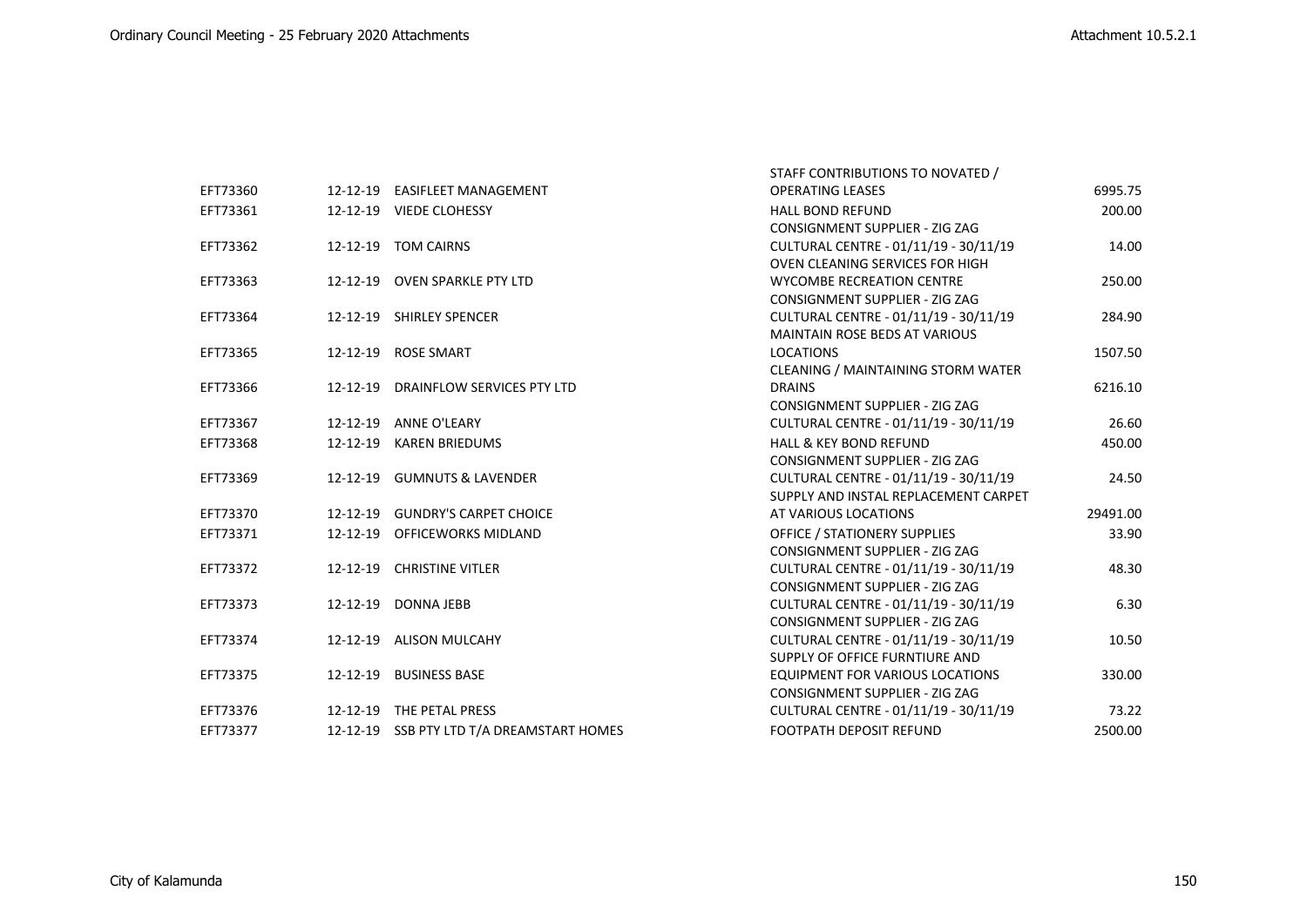|          |                                           | STAFF CONTRIBUTIONS TO NOVATED /       |          |
|----------|-------------------------------------------|----------------------------------------|----------|
| EFT73360 | 12-12-19 EASIFLEET MANAGEMENT             | <b>OPERATING LEASES</b>                | 6995.75  |
| EFT73361 | 12-12-19 VIEDE CLOHESSY                   | <b>HALL BOND REFUND</b>                | 200.00   |
|          |                                           | <b>CONSIGNMENT SUPPLIER - ZIG ZAG</b>  |          |
| EFT73362 | 12-12-19 TOM CAIRNS                       | CULTURAL CENTRE - 01/11/19 - 30/11/19  | 14.00    |
|          |                                           | <b>OVEN CLEANING SERVICES FOR HIGH</b> |          |
| EFT73363 | 12-12-19 OVEN SPARKLE PTY LTD             | <b>WYCOMBE RECREATION CENTRE</b>       | 250.00   |
|          |                                           | <b>CONSIGNMENT SUPPLIER - ZIG ZAG</b>  |          |
| EFT73364 | 12-12-19 SHIRLEY SPENCER                  | CULTURAL CENTRE - 01/11/19 - 30/11/19  | 284.90   |
|          |                                           | <b>MAINTAIN ROSE BEDS AT VARIOUS</b>   |          |
| EFT73365 | 12-12-19 ROSE SMART                       | <b>LOCATIONS</b>                       | 1507.50  |
|          |                                           | CLEANING / MAINTAINING STORM WATER     |          |
| EFT73366 | 12-12-19 DRAINFLOW SERVICES PTY LTD       | <b>DRAINS</b>                          | 6216.10  |
|          |                                           | <b>CONSIGNMENT SUPPLIER - ZIG ZAG</b>  |          |
| EFT73367 | 12-12-19 ANNE O'LEARY                     | CULTURAL CENTRE - 01/11/19 - 30/11/19  | 26.60    |
| EFT73368 | 12-12-19 KAREN BRIEDUMS                   | <b>HALL &amp; KEY BOND REFUND</b>      | 450.00   |
|          |                                           | <b>CONSIGNMENT SUPPLIER - ZIG ZAG</b>  |          |
| EFT73369 | 12-12-19 GUMNUTS & LAVENDER               | CULTURAL CENTRE - 01/11/19 - 30/11/19  | 24.50    |
|          |                                           | SUPPLY AND INSTAL REPLACEMENT CARPET   |          |
| EFT73370 | 12-12-19 GUNDRY'S CARPET CHOICE           | AT VARIOUS LOCATIONS                   | 29491.00 |
| EFT73371 | 12-12-19 OFFICEWORKS MIDLAND              | <b>OFFICE / STATIONERY SUPPLIES</b>    | 33.90    |
|          |                                           | <b>CONSIGNMENT SUPPLIER - ZIG ZAG</b>  |          |
| EFT73372 | 12-12-19 CHRISTINE VITLER                 | CULTURAL CENTRE - 01/11/19 - 30/11/19  | 48.30    |
|          |                                           | CONSIGNMENT SUPPLIER - ZIG ZAG         |          |
| EFT73373 | 12-12-19 DONNA JEBB                       | CULTURAL CENTRE - 01/11/19 - 30/11/19  | 6.30     |
|          |                                           | <b>CONSIGNMENT SUPPLIER - ZIG ZAG</b>  |          |
| EFT73374 | 12-12-19 ALISON MULCAHY                   | CULTURAL CENTRE - 01/11/19 - 30/11/19  | 10.50    |
|          |                                           | SUPPLY OF OFFICE FURNTIURE AND         |          |
| EFT73375 | 12-12-19 BUSINESS BASE                    | EQUIPMENT FOR VARIOUS LOCATIONS        | 330.00   |
|          |                                           | <b>CONSIGNMENT SUPPLIER - ZIG ZAG</b>  |          |
| EFT73376 | 12-12-19 THE PETAL PRESS                  | CULTURAL CENTRE - 01/11/19 - 30/11/19  | 73.22    |
| EFT73377 | 12-12-19 SSB PTY LTD T/A DREAMSTART HOMES | <b>FOOTPATH DEPOSIT REFUND</b>         | 2500.00  |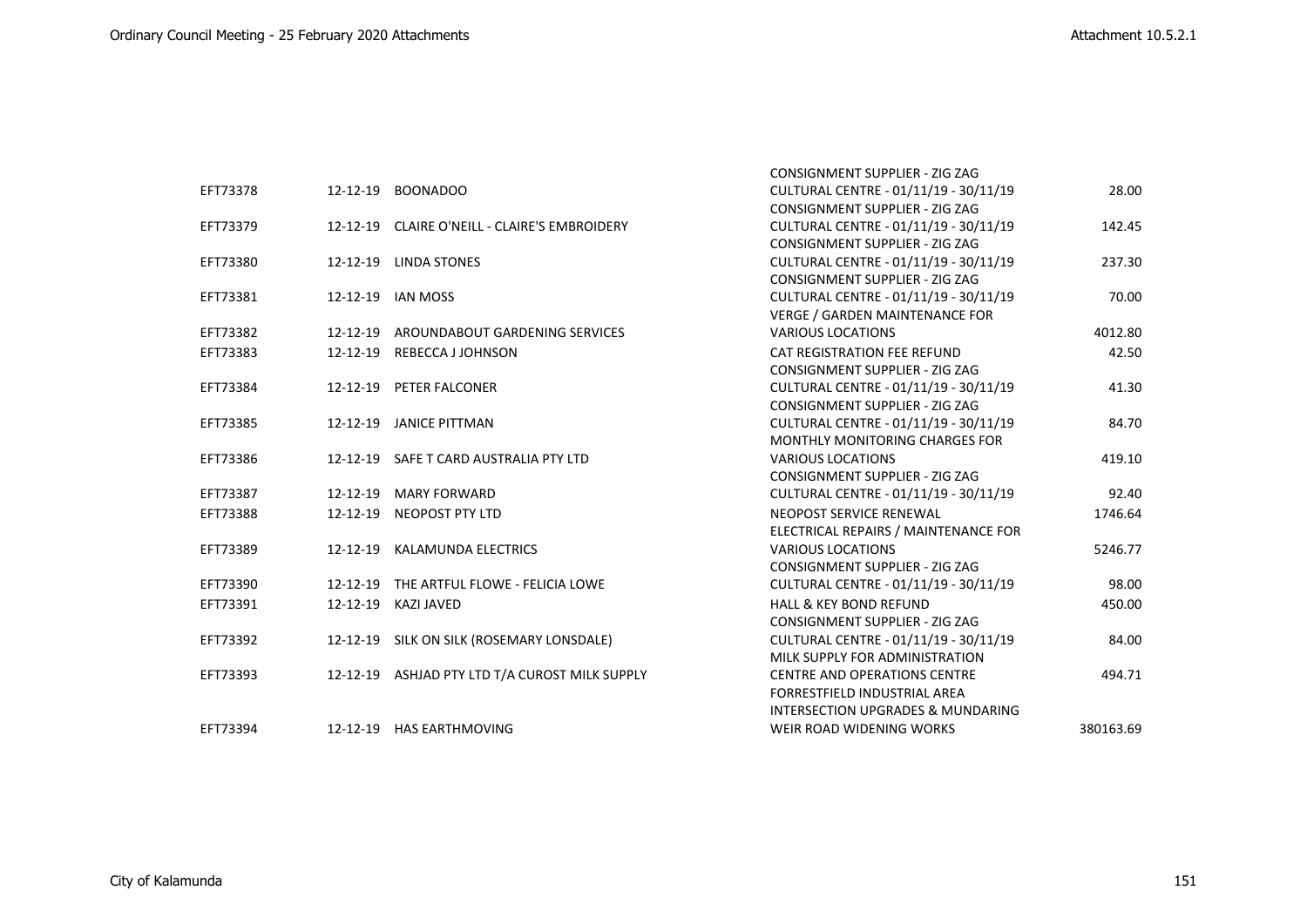|          |                |                                                | CONSIGNMENT SUPPLIER - ZIG ZAG        |           |
|----------|----------------|------------------------------------------------|---------------------------------------|-----------|
| EFT73378 |                | 12-12-19 BOONADOO                              | CULTURAL CENTRE - 01/11/19 - 30/11/19 | 28.00     |
|          |                |                                                | <b>CONSIGNMENT SUPPLIER - ZIG ZAG</b> |           |
| EFT73379 |                | 12-12-19 CLAIRE O'NEILL - CLAIRE'S EMBROIDERY  | CULTURAL CENTRE - 01/11/19 - 30/11/19 | 142.45    |
|          |                |                                                | CONSIGNMENT SUPPLIER - ZIG ZAG        |           |
| EFT73380 |                | 12-12-19 LINDA STONES                          | CULTURAL CENTRE - 01/11/19 - 30/11/19 | 237.30    |
|          |                |                                                | CONSIGNMENT SUPPLIER - ZIG ZAG        |           |
| EFT73381 |                | 12-12-19 IAN MOSS                              | CULTURAL CENTRE - 01/11/19 - 30/11/19 | 70.00     |
|          |                |                                                | <b>VERGE / GARDEN MAINTENANCE FOR</b> |           |
| EFT73382 |                | 12-12-19 AROUNDABOUT GARDENING SERVICES        | <b>VARIOUS LOCATIONS</b>              | 4012.80   |
| EFT73383 | 12-12-19       | REBECCA J JOHNSON                              | CAT REGISTRATION FEE REFUND           | 42.50     |
|          |                |                                                | <b>CONSIGNMENT SUPPLIER - ZIG ZAG</b> |           |
| EFT73384 |                | 12-12-19 PETER FALCONER                        | CULTURAL CENTRE - 01/11/19 - 30/11/19 | 41.30     |
|          |                |                                                | <b>CONSIGNMENT SUPPLIER - ZIG ZAG</b> |           |
| EFT73385 |                | 12-12-19 JANICE PITTMAN                        | CULTURAL CENTRE - 01/11/19 - 30/11/19 | 84.70     |
|          |                |                                                | MONTHLY MONITORING CHARGES FOR        |           |
| EFT73386 |                | 12-12-19 SAFE T CARD AUSTRALIA PTY LTD         | <b>VARIOUS LOCATIONS</b>              | 419.10    |
|          |                |                                                | <b>CONSIGNMENT SUPPLIER - ZIG ZAG</b> |           |
| EFT73387 | 12-12-19       | <b>MARY FORWARD</b>                            | CULTURAL CENTRE - 01/11/19 - 30/11/19 | 92.40     |
| EFT73388 | $12 - 12 - 19$ | NEOPOST PTY LTD                                | NEOPOST SERVICE RENEWAL               | 1746.64   |
|          |                |                                                | ELECTRICAL REPAIRS / MAINTENANCE FOR  |           |
| EFT73389 | 12-12-19       | KALAMUNDA ELECTRICS                            | <b>VARIOUS LOCATIONS</b>              | 5246.77   |
|          |                |                                                | CONSIGNMENT SUPPLIER - ZIG ZAG        |           |
| EFT73390 |                | 12-12-19 THE ARTFUL FLOWE - FELICIA LOWE       | CULTURAL CENTRE - 01/11/19 - 30/11/19 | 98.00     |
| EFT73391 | 12-12-19       | KAZI JAVED                                     | <b>HALL &amp; KEY BOND REFUND</b>     | 450.00    |
|          |                |                                                | CONSIGNMENT SUPPLIER - ZIG ZAG        |           |
| EFT73392 |                | 12-12-19 SILK ON SILK (ROSEMARY LONSDALE)      | CULTURAL CENTRE - 01/11/19 - 30/11/19 | 84.00     |
|          |                |                                                | MILK SUPPLY FOR ADMINISTRATION        |           |
| EFT73393 |                | 12-12-19 ASHJAD PTY LTD T/A CUROST MILK SUPPLY | <b>CENTRE AND OPERATIONS CENTRE</b>   | 494.71    |
|          |                |                                                | FORRESTFIELD INDUSTRIAL AREA          |           |
|          |                |                                                | INTERSECTION UPGRADES & MUNDARING     |           |
| EFT73394 |                | 12-12-19 HAS EARTHMOVING                       | WEIR ROAD WIDENING WORKS              | 380163.69 |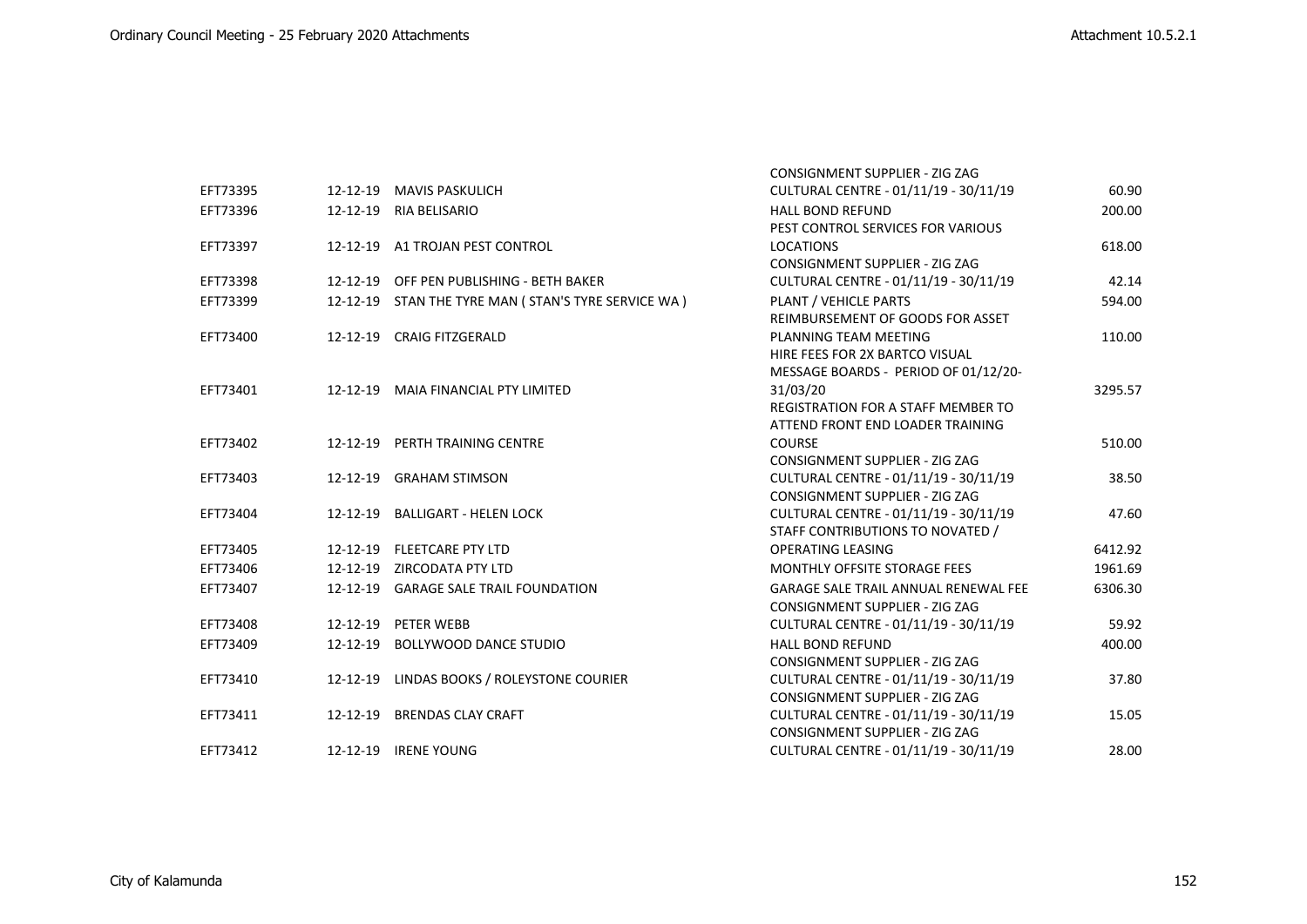|          |                                                     | <b>CONSIGNMENT SUPPLIER - ZIG ZAG</b>       |         |
|----------|-----------------------------------------------------|---------------------------------------------|---------|
| EFT73395 | 12-12-19 MAVIS PASKULICH                            | CULTURAL CENTRE - 01/11/19 - 30/11/19       | 60.90   |
| EFT73396 | 12-12-19 RIA BELISARIO                              | <b>HALL BOND REFUND</b>                     | 200.00  |
|          |                                                     | PEST CONTROL SERVICES FOR VARIOUS           |         |
| EFT73397 | 12-12-19 A1 TROJAN PEST CONTROL                     | <b>LOCATIONS</b>                            | 618.00  |
|          |                                                     | <b>CONSIGNMENT SUPPLIER - ZIG ZAG</b>       |         |
| EFT73398 | 12-12-19 OFF PEN PUBLISHING - BETH BAKER            | CULTURAL CENTRE - 01/11/19 - 30/11/19       | 42.14   |
| EFT73399 | 12-12-19 STAN THE TYRE MAN (STAN'S TYRE SERVICE WA) | PLANT / VEHICLE PARTS                       | 594.00  |
|          |                                                     | REIMBURSEMENT OF GOODS FOR ASSET            |         |
| EFT73400 | 12-12-19 CRAIG FITZGERALD                           | PLANNING TEAM MEETING                       | 110.00  |
|          |                                                     | HIRE FEES FOR 2X BARTCO VISUAL              |         |
|          |                                                     | MESSAGE BOARDS - PERIOD OF 01/12/20-        |         |
| EFT73401 | 12-12-19 MAIA FINANCIAL PTY LIMITED                 | 31/03/20                                    | 3295.57 |
|          |                                                     | <b>REGISTRATION FOR A STAFF MEMBER TO</b>   |         |
|          |                                                     | ATTEND FRONT END LOADER TRAINING            |         |
| EFT73402 | 12-12-19 PERTH TRAINING CENTRE                      | <b>COURSE</b>                               | 510.00  |
|          |                                                     | CONSIGNMENT SUPPLIER - ZIG ZAG              |         |
| EFT73403 | 12-12-19 GRAHAM STIMSON                             | CULTURAL CENTRE - 01/11/19 - 30/11/19       | 38.50   |
|          |                                                     | <b>CONSIGNMENT SUPPLIER - ZIG ZAG</b>       |         |
| EFT73404 | 12-12-19 BALLIGART - HELEN LOCK                     | CULTURAL CENTRE - 01/11/19 - 30/11/19       | 47.60   |
|          |                                                     | STAFF CONTRIBUTIONS TO NOVATED /            |         |
| EFT73405 | 12-12-19 FLEETCARE PTY LTD                          | <b>OPERATING LEASING</b>                    | 6412.92 |
| EFT73406 | 12-12-19 ZIRCODATA PTY LTD                          | MONTHLY OFFSITE STORAGE FEES                | 1961.69 |
| EFT73407 | 12-12-19 GARAGE SALE TRAIL FOUNDATION               | <b>GARAGE SALE TRAIL ANNUAL RENEWAL FEE</b> | 6306.30 |
|          |                                                     | CONSIGNMENT SUPPLIER - ZIG ZAG              |         |
| EFT73408 | 12-12-19 PETER WEBB                                 | CULTURAL CENTRE - 01/11/19 - 30/11/19       | 59.92   |
| EFT73409 | 12-12-19 BOLLYWOOD DANCE STUDIO                     | <b>HALL BOND REFUND</b>                     | 400.00  |
|          |                                                     | CONSIGNMENT SUPPLIER - ZIG ZAG              |         |
| EFT73410 | 12-12-19 LINDAS BOOKS / ROLEYSTONE COURIER          | CULTURAL CENTRE - 01/11/19 - 30/11/19       | 37.80   |
|          |                                                     | CONSIGNMENT SUPPLIER - ZIG ZAG              |         |
| EFT73411 | 12-12-19 BRENDAS CLAY CRAFT                         | CULTURAL CENTRE - 01/11/19 - 30/11/19       | 15.05   |
|          |                                                     | CONSIGNMENT SUPPLIER - ZIG ZAG              |         |
| EFT73412 | 12-12-19 IRENE YOUNG                                | CULTURAL CENTRE - 01/11/19 - 30/11/19       | 28.00   |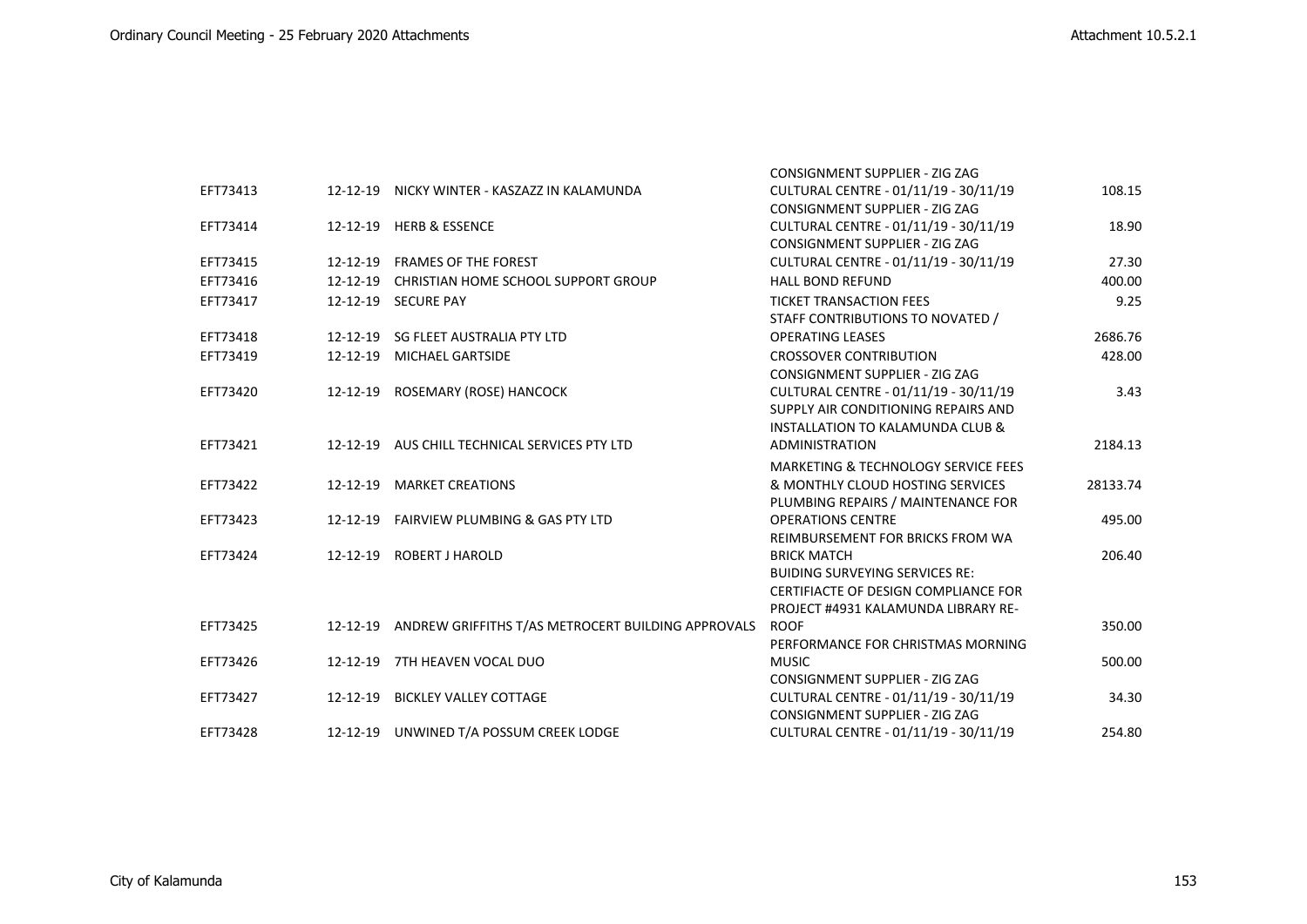|          |          |                                                             | <b>CONSIGNMENT SUPPLIER - ZIG ZAG</b>          |          |
|----------|----------|-------------------------------------------------------------|------------------------------------------------|----------|
| EFT73413 |          | 12-12-19 NICKY WINTER - KASZAZZ IN KALAMUNDA                | CULTURAL CENTRE - 01/11/19 - 30/11/19          | 108.15   |
|          |          |                                                             | <b>CONSIGNMENT SUPPLIER - ZIG ZAG</b>          |          |
| EFT73414 |          | 12-12-19 HERB & ESSENCE                                     | CULTURAL CENTRE - 01/11/19 - 30/11/19          | 18.90    |
|          |          |                                                             | <b>CONSIGNMENT SUPPLIER - ZIG ZAG</b>          |          |
| EFT73415 | 12-12-19 | <b>FRAMES OF THE FOREST</b>                                 | CULTURAL CENTRE - 01/11/19 - 30/11/19          | 27.30    |
| EFT73416 | 12-12-19 | CHRISTIAN HOME SCHOOL SUPPORT GROUP                         | <b>HALL BOND REFUND</b>                        | 400.00   |
| EFT73417 |          | 12-12-19 SECURE PAY                                         | <b>TICKET TRANSACTION FEES</b>                 | 9.25     |
|          |          |                                                             | STAFF CONTRIBUTIONS TO NOVATED /               |          |
| EFT73418 |          | 12-12-19 SG FLEET AUSTRALIA PTY LTD                         | <b>OPERATING LEASES</b>                        | 2686.76  |
| EFT73419 |          | 12-12-19 MICHAEL GARTSIDE                                   | <b>CROSSOVER CONTRIBUTION</b>                  | 428.00   |
|          |          |                                                             | CONSIGNMENT SUPPLIER - ZIG ZAG                 |          |
| EFT73420 |          | 12-12-19 ROSEMARY (ROSE) HANCOCK                            | CULTURAL CENTRE - 01/11/19 - 30/11/19          | 3.43     |
|          |          |                                                             | SUPPLY AIR CONDITIONING REPAIRS AND            |          |
|          |          |                                                             | INSTALLATION TO KALAMUNDA CLUB &               |          |
| EFT73421 |          | 12-12-19 AUS CHILL TECHNICAL SERVICES PTY LTD               | ADMINISTRATION                                 | 2184.13  |
|          |          |                                                             | <b>MARKETING &amp; TECHNOLOGY SERVICE FEES</b> |          |
| EFT73422 |          | 12-12-19 MARKET CREATIONS                                   | & MONTHLY CLOUD HOSTING SERVICES               | 28133.74 |
|          |          |                                                             | PLUMBING REPAIRS / MAINTENANCE FOR             |          |
| EFT73423 |          | 12-12-19 FAIRVIEW PLUMBING & GAS PTY LTD                    | <b>OPERATIONS CENTRE</b>                       | 495.00   |
|          |          |                                                             | REIMBURSEMENT FOR BRICKS FROM WA               |          |
| EFT73424 |          | 12-12-19 ROBERT J HAROLD                                    | <b>BRICK MATCH</b>                             | 206.40   |
|          |          |                                                             | <b>BUIDING SURVEYING SERVICES RE:</b>          |          |
|          |          |                                                             | CERTIFIACTE OF DESIGN COMPLIANCE FOR           |          |
|          |          |                                                             | PROJECT #4931 KALAMUNDA LIBRARY RE-            |          |
| EFT73425 |          | 12-12-19 ANDREW GRIFFITHS T/AS METROCERT BUILDING APPROVALS | <b>ROOF</b>                                    | 350.00   |
|          |          |                                                             | PERFORMANCE FOR CHRISTMAS MORNING              |          |
| EFT73426 |          | 12-12-19 7TH HEAVEN VOCAL DUO                               | <b>MUSIC</b>                                   | 500.00   |
|          |          |                                                             | <b>CONSIGNMENT SUPPLIER - ZIG ZAG</b>          |          |
| EFT73427 |          | 12-12-19 BICKLEY VALLEY COTTAGE                             | CULTURAL CENTRE - 01/11/19 - 30/11/19          | 34.30    |
|          |          |                                                             | <b>CONSIGNMENT SUPPLIER - ZIG ZAG</b>          | 254.80   |
| EFT73428 |          | 12-12-19 UNWINED T/A POSSUM CREEK LODGE                     | CULTURAL CENTRE - 01/11/19 - 30/11/19          |          |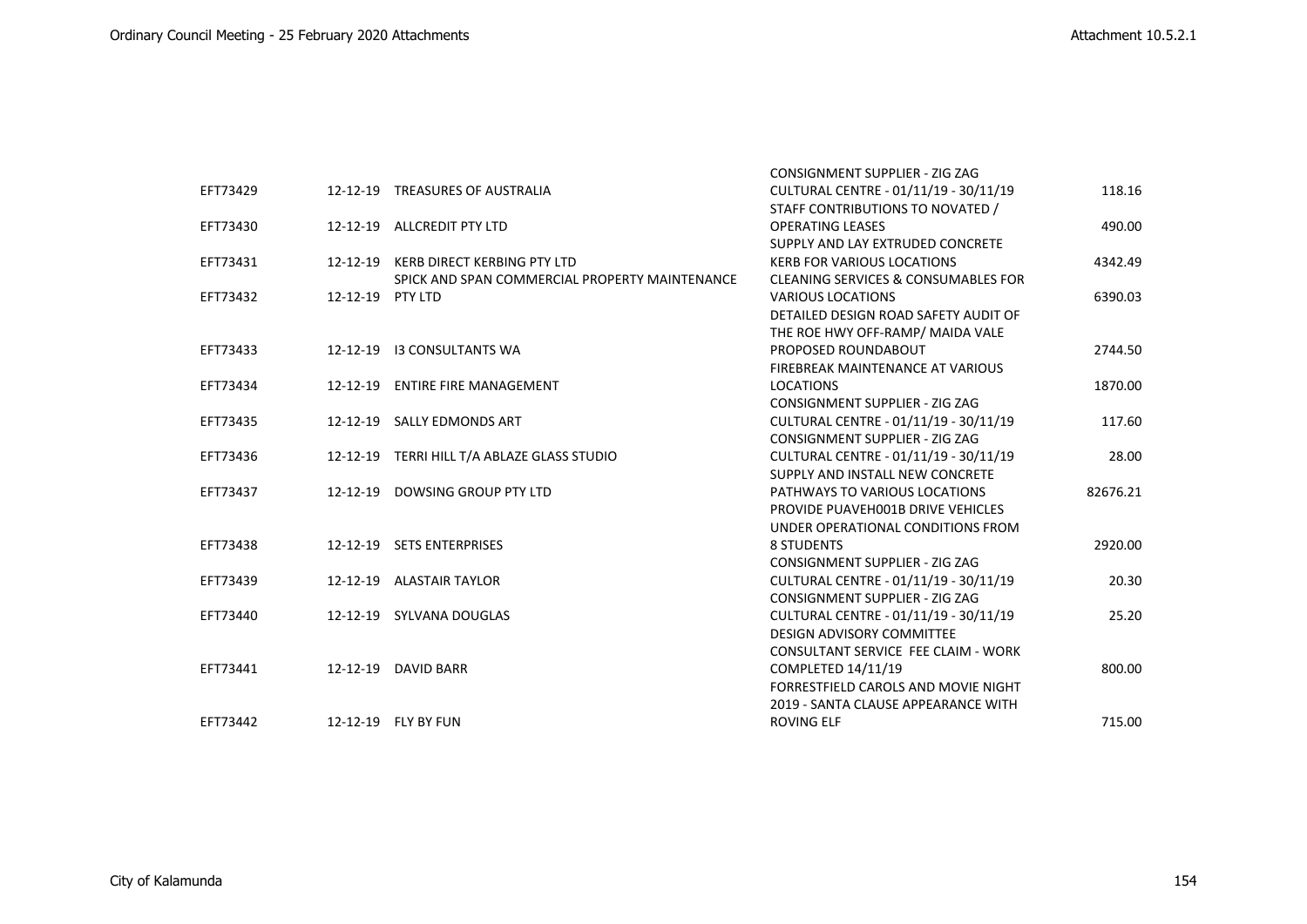|          |                  |                                                | <b>CONSIGNMENT SUPPLIER - ZIG ZAG</b>          |          |
|----------|------------------|------------------------------------------------|------------------------------------------------|----------|
| EFT73429 |                  | 12-12-19 TREASURES OF AUSTRALIA                | CULTURAL CENTRE - 01/11/19 - 30/11/19          | 118.16   |
|          |                  |                                                | STAFF CONTRIBUTIONS TO NOVATED /               |          |
| EFT73430 |                  | 12-12-19 ALLCREDIT PTY LTD                     | <b>OPERATING LEASES</b>                        | 490.00   |
|          |                  |                                                | SUPPLY AND LAY EXTRUDED CONCRETE               |          |
| EFT73431 |                  | 12-12-19 KERB DIRECT KERBING PTY LTD           | <b>KERB FOR VARIOUS LOCATIONS</b>              | 4342.49  |
|          |                  | SPICK AND SPAN COMMERCIAL PROPERTY MAINTENANCE | <b>CLEANING SERVICES &amp; CONSUMABLES FOR</b> |          |
| EFT73432 | 12-12-19 PTY LTD |                                                | <b>VARIOUS LOCATIONS</b>                       | 6390.03  |
|          |                  |                                                | DETAILED DESIGN ROAD SAFETY AUDIT OF           |          |
|          |                  |                                                | THE ROE HWY OFF-RAMP/ MAIDA VALE               |          |
| EFT73433 |                  | 12-12-19 I3 CONSULTANTS WA                     | PROPOSED ROUNDABOUT                            | 2744.50  |
|          |                  |                                                | FIREBREAK MAINTENANCE AT VARIOUS               |          |
| EFT73434 |                  | 12-12-19 ENTIRE FIRE MANAGEMENT                | <b>LOCATIONS</b>                               | 1870.00  |
|          |                  |                                                | <b>CONSIGNMENT SUPPLIER - ZIG ZAG</b>          |          |
| EFT73435 |                  | 12-12-19 SALLY EDMONDS ART                     | CULTURAL CENTRE - 01/11/19 - 30/11/19          | 117.60   |
|          |                  |                                                | <b>CONSIGNMENT SUPPLIER - ZIG ZAG</b>          |          |
| EFT73436 |                  | 12-12-19 TERRI HILL T/A ABLAZE GLASS STUDIO    | CULTURAL CENTRE - 01/11/19 - 30/11/19          | 28.00    |
|          |                  |                                                | SUPPLY AND INSTALL NEW CONCRETE                |          |
| EFT73437 |                  | 12-12-19 DOWSING GROUP PTY LTD                 | PATHWAYS TO VARIOUS LOCATIONS                  | 82676.21 |
|          |                  |                                                | PROVIDE PUAVEHOO1B DRIVE VEHICLES              |          |
|          |                  |                                                | UNDER OPERATIONAL CONDITIONS FROM              |          |
| EFT73438 |                  | 12-12-19 SETS ENTERPRISES                      | <b>8 STUDENTS</b>                              | 2920.00  |
|          |                  |                                                | <b>CONSIGNMENT SUPPLIER - ZIG ZAG</b>          |          |
| EFT73439 |                  | 12-12-19 ALASTAIR TAYLOR                       | CULTURAL CENTRE - 01/11/19 - 30/11/19          | 20.30    |
|          |                  |                                                | <b>CONSIGNMENT SUPPLIER - ZIG ZAG</b>          |          |
| EFT73440 |                  | 12-12-19 SYLVANA DOUGLAS                       | CULTURAL CENTRE - 01/11/19 - 30/11/19          | 25.20    |
|          |                  |                                                | <b>DESIGN ADVISORY COMMITTEE</b>               |          |
|          |                  |                                                | CONSULTANT SERVICE FEE CLAIM - WORK            |          |
| EFT73441 |                  | 12-12-19 DAVID BARR                            | COMPLETED 14/11/19                             | 800.00   |
|          |                  |                                                | FORRESTFIELD CAROLS AND MOVIE NIGHT            |          |
|          |                  |                                                | 2019 - SANTA CLAUSE APPEARANCE WITH            |          |
| EFT73442 |                  | 12-12-19 FLY BY FUN                            | <b>ROVING ELF</b>                              | 715.00   |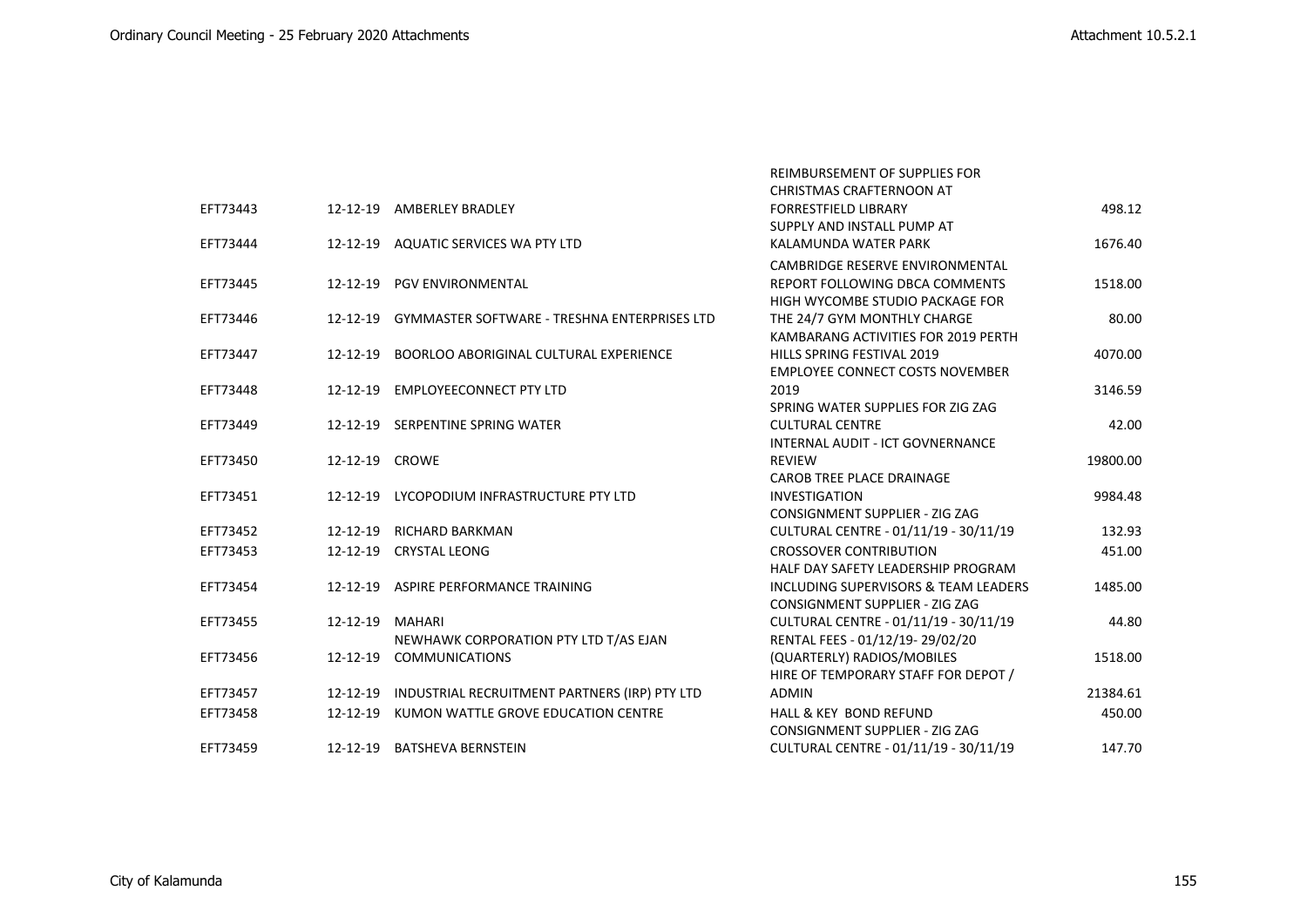|          |                 |                                                        | REIMBURSEMENT OF SUPPLIES FOR           |          |
|----------|-----------------|--------------------------------------------------------|-----------------------------------------|----------|
|          |                 |                                                        | CHRISTMAS CRAFTERNOON AT                |          |
| EFT73443 |                 | 12-12-19 AMBERLEY BRADLEY                              | <b>FORRESTFIELD LIBRARY</b>             | 498.12   |
|          |                 |                                                        | SUPPLY AND INSTALL PUMP AT              |          |
| EFT73444 |                 | 12-12-19 AQUATIC SERVICES WA PTY LTD                   | KALAMUNDA WATER PARK                    | 1676.40  |
|          |                 |                                                        | <b>CAMBRIDGE RESERVE ENVIRONMENTAL</b>  |          |
| EFT73445 |                 | 12-12-19 PGV ENVIRONMENTAL                             | REPORT FOLLOWING DBCA COMMENTS          | 1518.00  |
|          |                 |                                                        | HIGH WYCOMBE STUDIO PACKAGE FOR         |          |
| EFT73446 |                 | 12-12-19 GYMMASTER SOFTWARE - TRESHNA ENTERPRISES LTD  | THE 24/7 GYM MONTHLY CHARGE             | 80.00    |
|          |                 |                                                        | KAMBARANG ACTIVITIES FOR 2019 PERTH     |          |
| EFT73447 | 12-12-19        | <b>BOORLOO ABORIGINAL CULTURAL EXPERIENCE</b>          | HILLS SPRING FESTIVAL 2019              | 4070.00  |
|          |                 |                                                        | <b>EMPLOYEE CONNECT COSTS NOVEMBER</b>  |          |
| EFT73448 | 12-12-19        | <b>EMPLOYEECONNECT PTY LTD</b>                         | 2019                                    | 3146.59  |
|          |                 |                                                        | SPRING WATER SUPPLIES FOR ZIG ZAG       |          |
| EFT73449 |                 | 12-12-19 SERPENTINE SPRING WATER                       | <b>CULTURAL CENTRE</b>                  | 42.00    |
|          |                 |                                                        | <b>INTERNAL AUDIT - ICT GOVNERNANCE</b> |          |
| EFT73450 | 12-12-19 CROWE  |                                                        | <b>REVIEW</b>                           | 19800.00 |
|          |                 |                                                        | CAROB TREE PLACE DRAINAGE               |          |
| EFT73451 |                 | 12-12-19 LYCOPODIUM INFRASTRUCTURE PTY LTD             | INVESTIGATION                           | 9984.48  |
|          |                 |                                                        | CONSIGNMENT SUPPLIER - ZIG ZAG          |          |
| EFT73452 | 12-12-19        | <b>RICHARD BARKMAN</b>                                 | CULTURAL CENTRE - 01/11/19 - 30/11/19   | 132.93   |
| EFT73453 |                 | 12-12-19 CRYSTAL LEONG                                 | <b>CROSSOVER CONTRIBUTION</b>           | 451.00   |
|          |                 |                                                        | HALF DAY SAFETY LEADERSHIP PROGRAM      |          |
| EFT73454 |                 | 12-12-19 ASPIRE PERFORMANCE TRAINING                   | INCLUDING SUPERVISORS & TEAM LEADERS    | 1485.00  |
|          |                 |                                                        | <b>CONSIGNMENT SUPPLIER - ZIG ZAG</b>   |          |
| EFT73455 | 12-12-19 MAHARI |                                                        | CULTURAL CENTRE - 01/11/19 - 30/11/19   | 44.80    |
|          |                 | NEWHAWK CORPORATION PTY LTD T/AS EJAN                  | RENTAL FEES - 01/12/19-29/02/20         |          |
| EFT73456 | 12-12-19        | <b>COMMUNICATIONS</b>                                  | (QUARTERLY) RADIOS/MOBILES              | 1518.00  |
|          |                 |                                                        | HIRE OF TEMPORARY STAFF FOR DEPOT /     |          |
| EFT73457 |                 | 12-12-19 INDUSTRIAL RECRUITMENT PARTNERS (IRP) PTY LTD | <b>ADMIN</b>                            | 21384.61 |
| EFT73458 | 12-12-19        | KUMON WATTLE GROVE EDUCATION CENTRE                    | <b>HALL &amp; KEY BOND REFUND</b>       | 450.00   |
|          |                 |                                                        | <b>CONSIGNMENT SUPPLIER - ZIG ZAG</b>   |          |
| EFT73459 |                 | 12-12-19 BATSHEVA BERNSTEIN                            | CULTURAL CENTRE - 01/11/19 - 30/11/19   | 147.70   |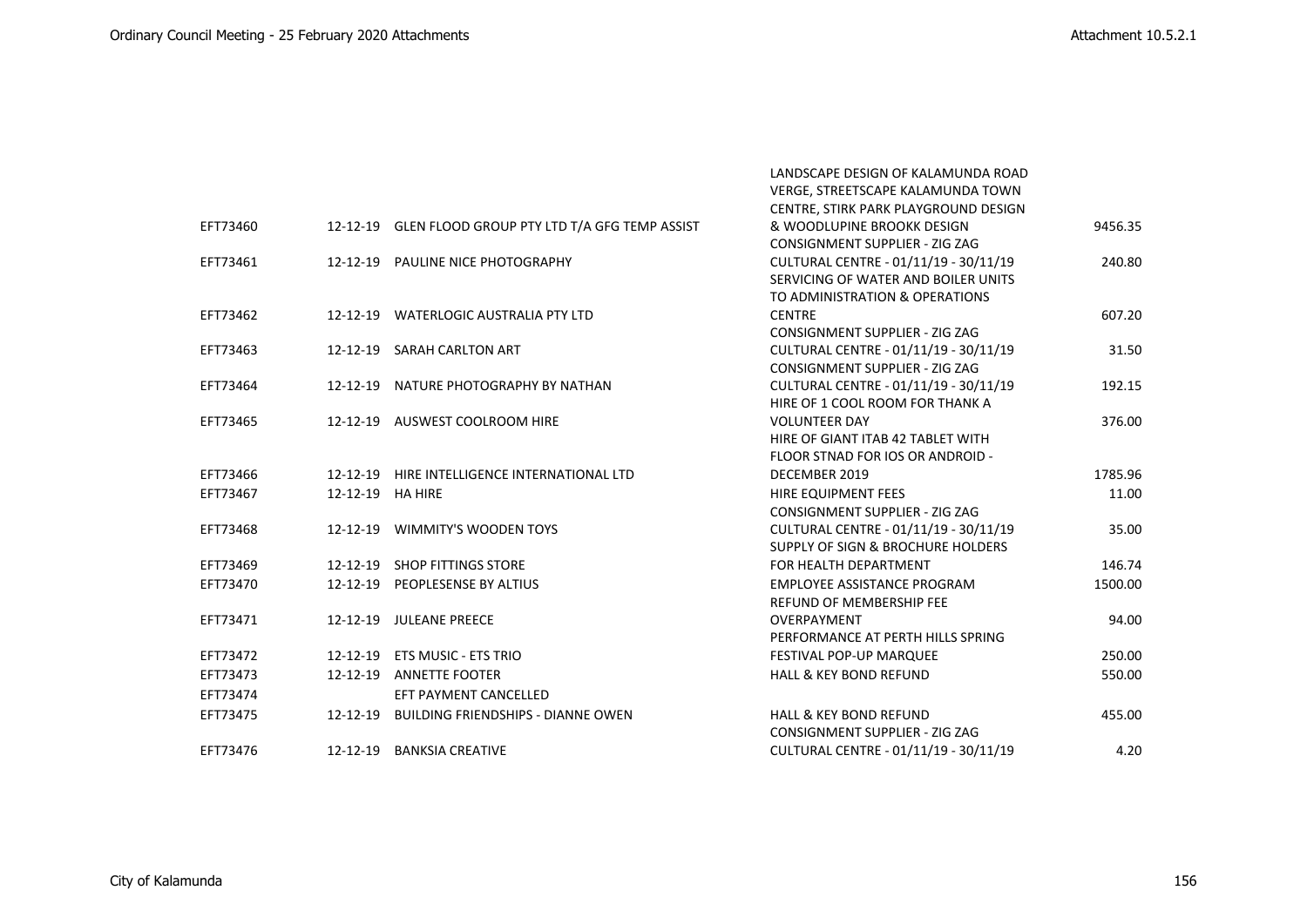LANDSCAPE DESIGN OF KALAMUNDA ROAD

|          |                  |                                                       | VERGE, STREETSCAPE KALAMUNDA TOWN     |         |
|----------|------------------|-------------------------------------------------------|---------------------------------------|---------|
|          |                  |                                                       | CENTRE, STIRK PARK PLAYGROUND DESIGN  |         |
| EFT73460 |                  | 12-12-19 GLEN FLOOD GROUP PTY LTD T/A GFG TEMP ASSIST | & WOODLUPINE BROOKK DESIGN            | 9456.35 |
|          |                  |                                                       | <b>CONSIGNMENT SUPPLIER - ZIG ZAG</b> |         |
| EFT73461 |                  | 12-12-19 PAULINE NICE PHOTOGRAPHY                     | CULTURAL CENTRE - 01/11/19 - 30/11/19 | 240.80  |
|          |                  |                                                       | SERVICING OF WATER AND BOILER UNITS   |         |
|          |                  |                                                       | TO ADMINISTRATION & OPERATIONS        |         |
| EFT73462 |                  | 12-12-19 WATERLOGIC AUSTRALIA PTY LTD                 | <b>CENTRE</b>                         | 607.20  |
|          |                  |                                                       | CONSIGNMENT SUPPLIER - ZIG ZAG        |         |
| EFT73463 |                  | 12-12-19 SARAH CARLTON ART                            | CULTURAL CENTRE - 01/11/19 - 30/11/19 | 31.50   |
|          |                  |                                                       | CONSIGNMENT SUPPLIER - ZIG ZAG        |         |
| EFT73464 |                  | 12-12-19 NATURE PHOTOGRAPHY BY NATHAN                 | CULTURAL CENTRE - 01/11/19 - 30/11/19 | 192.15  |
|          |                  |                                                       | HIRE OF 1 COOL ROOM FOR THANK A       |         |
| EFT73465 |                  | 12-12-19 AUSWEST COOLROOM HIRE                        | <b>VOLUNTEER DAY</b>                  | 376.00  |
|          |                  |                                                       | HIRE OF GIANT ITAB 42 TABLET WITH     |         |
|          |                  |                                                       | FLOOR STNAD FOR IOS OR ANDROID -      |         |
| EFT73466 |                  | 12-12-19 HIRE INTELLIGENCE INTERNATIONAL LTD          | DECEMBER 2019                         | 1785.96 |
| EFT73467 | 12-12-19 HA HIRE |                                                       | HIRE EQUIPMENT FEES                   | 11.00   |
|          |                  |                                                       | <b>CONSIGNMENT SUPPLIER - ZIG ZAG</b> |         |
| EFT73468 |                  | 12-12-19 WIMMITY'S WOODEN TOYS                        | CULTURAL CENTRE - 01/11/19 - 30/11/19 | 35.00   |
|          |                  |                                                       | SUPPLY OF SIGN & BROCHURE HOLDERS     |         |
| EFT73469 |                  | 12-12-19 SHOP FITTINGS STORE                          | FOR HEALTH DEPARTMENT                 | 146.74  |
| EFT73470 |                  | 12-12-19 PEOPLESENSE BY ALTIUS                        | EMPLOYEE ASSISTANCE PROGRAM           | 1500.00 |
|          |                  |                                                       | REFUND OF MEMBERSHIP FEE              |         |
| EFT73471 |                  | 12-12-19 JULEANE PREECE                               | OVERPAYMENT                           | 94.00   |
|          |                  |                                                       | PERFORMANCE AT PERTH HILLS SPRING     |         |
| EFT73472 |                  | 12-12-19 ETS MUSIC - ETS TRIO                         | FESTIVAL POP-UP MARQUEE               | 250.00  |
| EFT73473 | 12-12-19         | <b>ANNETTE FOOTER</b>                                 | <b>HALL &amp; KEY BOND REFUND</b>     | 550.00  |
| EFT73474 |                  | EFT PAYMENT CANCELLED                                 |                                       |         |
| EFT73475 |                  | 12-12-19 BUILDING FRIENDSHIPS - DIANNE OWEN           | <b>HALL &amp; KEY BOND REFUND</b>     | 455.00  |
|          |                  |                                                       | <b>CONSIGNMENT SUPPLIER - ZIG ZAG</b> |         |
| EFT73476 |                  | 12-12-19 BANKSIA CREATIVE                             | CULTURAL CENTRE - 01/11/19 - 30/11/19 | 4.20    |
|          |                  |                                                       |                                       |         |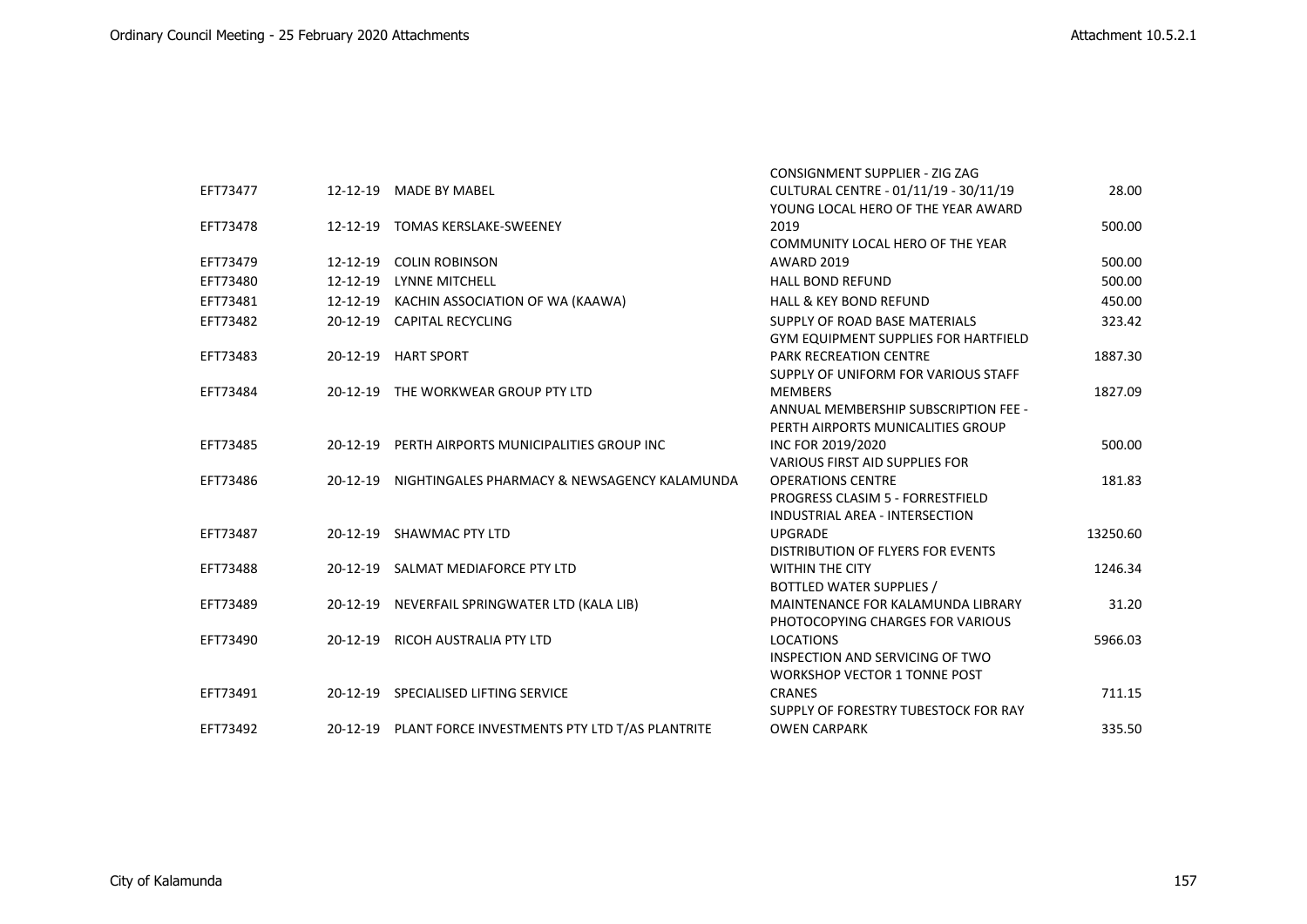|          |                |                                                         | <b>CONSIGNMENT SUPPLIER - ZIG ZAG</b>       |          |
|----------|----------------|---------------------------------------------------------|---------------------------------------------|----------|
| EFT73477 |                | 12-12-19 MADE BY MABEL                                  | CULTURAL CENTRE - 01/11/19 - 30/11/19       | 28.00    |
|          |                |                                                         | YOUNG LOCAL HERO OF THE YEAR AWARD          |          |
| EFT73478 |                | 12-12-19 TOMAS KERSLAKE-SWEENEY                         | 2019                                        | 500.00   |
|          |                |                                                         | COMMUNITY LOCAL HERO OF THE YEAR            |          |
| EFT73479 | 12-12-19       | <b>COLIN ROBINSON</b>                                   | <b>AWARD 2019</b>                           | 500.00   |
| EFT73480 | 12-12-19       | LYNNE MITCHELL                                          | <b>HALL BOND REFUND</b>                     | 500.00   |
| EFT73481 | 12-12-19       | KACHIN ASSOCIATION OF WA (KAAWA)                        | <b>HALL &amp; KEY BOND REFUND</b>           | 450.00   |
| EFT73482 | $20 - 12 - 19$ | <b>CAPITAL RECYCLING</b>                                | SUPPLY OF ROAD BASE MATERIALS               | 323.42   |
|          |                |                                                         | <b>GYM EQUIPMENT SUPPLIES FOR HARTFIELD</b> |          |
| EFT73483 |                | 20-12-19 HART SPORT                                     | <b>PARK RECREATION CENTRE</b>               | 1887.30  |
|          |                |                                                         | SUPPLY OF UNIFORM FOR VARIOUS STAFF         |          |
| EFT73484 |                | 20-12-19 THE WORKWEAR GROUP PTY LTD                     | <b>MEMBERS</b>                              | 1827.09  |
|          |                |                                                         | ANNUAL MEMBERSHIP SUBSCRIPTION FEE -        |          |
|          |                |                                                         | PERTH AIRPORTS MUNICALITIES GROUP           |          |
| EFT73485 |                | 20-12-19 PERTH AIRPORTS MUNICIPALITIES GROUP INC        | INC FOR 2019/2020                           | 500.00   |
|          |                |                                                         | <b>VARIOUS FIRST AID SUPPLIES FOR</b>       |          |
| EFT73486 | 20-12-19       | NIGHTINGALES PHARMACY & NEWSAGENCY KALAMUNDA            | <b>OPERATIONS CENTRE</b>                    | 181.83   |
|          |                |                                                         | PROGRESS CLASIM 5 - FORRESTFIELD            |          |
|          |                |                                                         | INDUSTRIAL AREA - INTERSECTION              |          |
| EFT73487 |                | 20-12-19 SHAWMAC PTY LTD                                | <b>UPGRADE</b>                              | 13250.60 |
|          |                |                                                         | DISTRIBUTION OF FLYERS FOR EVENTS           |          |
| EFT73488 |                | 20-12-19 SALMAT MEDIAFORCE PTY LTD                      | <b>WITHIN THE CITY</b>                      | 1246.34  |
|          |                |                                                         | <b>BOTTLED WATER SUPPLIES /</b>             |          |
| EFT73489 |                | 20-12-19 NEVERFAIL SPRINGWATER LTD (KALA LIB)           | MAINTENANCE FOR KALAMUNDA LIBRARY           | 31.20    |
|          |                |                                                         | PHOTOCOPYING CHARGES FOR VARIOUS            |          |
| EFT73490 | $20-12-19$     | <b>RICOH AUSTRALIA PTY LTD</b>                          | <b>LOCATIONS</b>                            | 5966.03  |
|          |                |                                                         | INSPECTION AND SERVICING OF TWO             |          |
|          |                |                                                         | <b>WORKSHOP VECTOR 1 TONNE POST</b>         |          |
| EFT73491 |                | 20-12-19 SPECIALISED LIFTING SERVICE                    | <b>CRANES</b>                               | 711.15   |
|          |                |                                                         | SUPPLY OF FORESTRY TUBESTOCK FOR RAY        |          |
| EFT73492 |                | 20-12-19 PLANT FORCE INVESTMENTS PTY LTD T/AS PLANTRITE | <b>OWEN CARPARK</b>                         | 335.50   |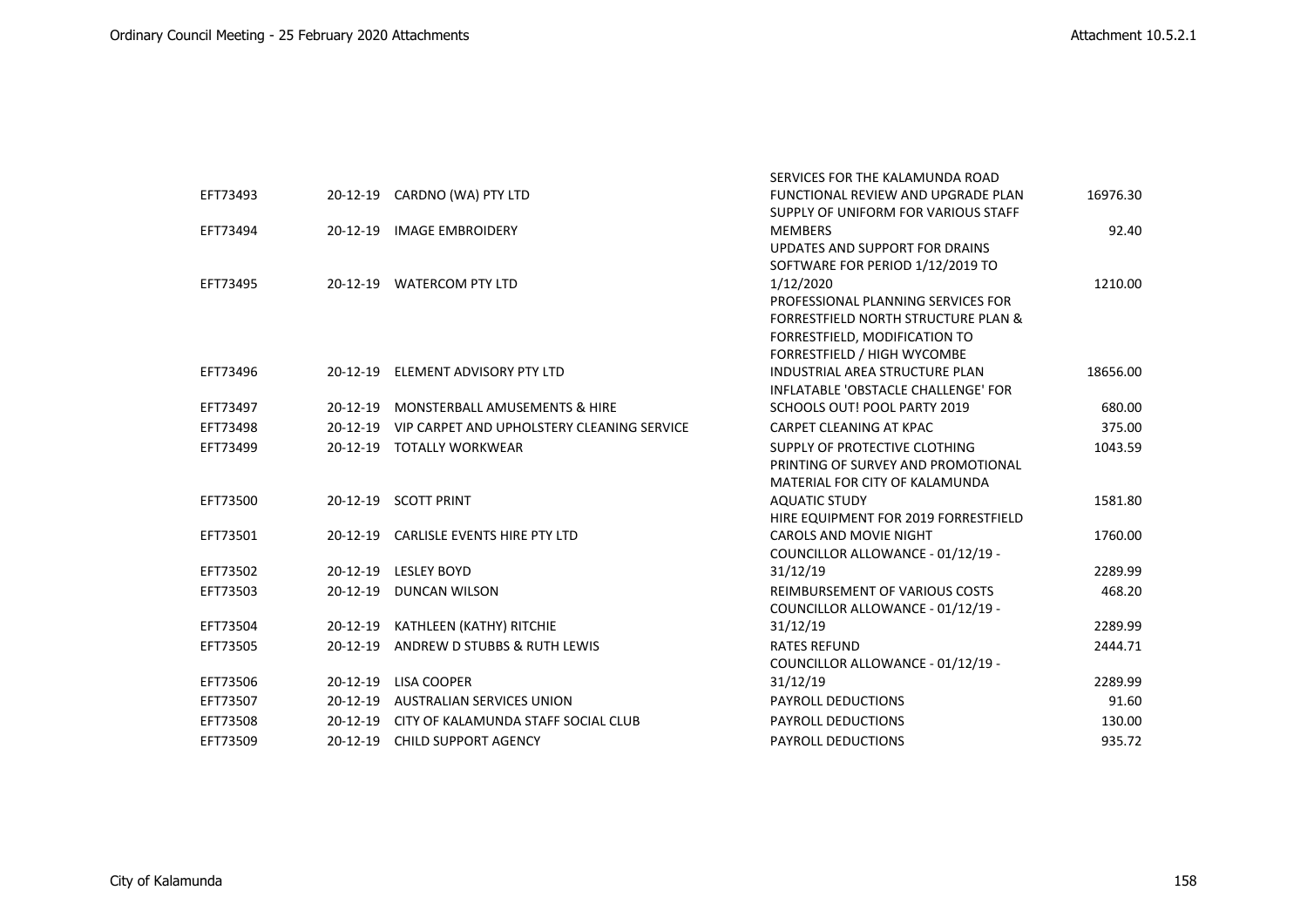|          |            |                                                     | SERVICES FOR THE KALAMUNDA ROAD                |          |
|----------|------------|-----------------------------------------------------|------------------------------------------------|----------|
| EFT73493 |            | 20-12-19 CARDNO (WA) PTY LTD                        | FUNCTIONAL REVIEW AND UPGRADE PLAN             | 16976.30 |
|          |            |                                                     | SUPPLY OF UNIFORM FOR VARIOUS STAFF            |          |
| EFT73494 |            | 20-12-19 IMAGE EMBROIDERY                           | <b>MEMBERS</b>                                 | 92.40    |
|          |            |                                                     | UPDATES AND SUPPORT FOR DRAINS                 |          |
|          |            |                                                     | SOFTWARE FOR PERIOD 1/12/2019 TO               |          |
| EFT73495 |            | 20-12-19 WATERCOM PTY LTD                           | 1/12/2020                                      | 1210.00  |
|          |            |                                                     | PROFESSIONAL PLANNING SERVICES FOR             |          |
|          |            |                                                     | <b>FORRESTFIELD NORTH STRUCTURE PLAN &amp;</b> |          |
|          |            |                                                     | FORRESTFIELD, MODIFICATION TO                  |          |
|          |            |                                                     | FORRESTFIELD / HIGH WYCOMBE                    |          |
| EFT73496 |            | 20-12-19 ELEMENT ADVISORY PTY LTD                   | <b>INDUSTRIAL AREA STRUCTURE PLAN</b>          | 18656.00 |
|          |            |                                                     | INFLATABLE 'OBSTACLE CHALLENGE' FOR            |          |
| EFT73497 | 20-12-19   | MONSTERBALL AMUSEMENTS & HIRE                       | SCHOOLS OUT! POOL PARTY 2019                   | 680.00   |
| EFT73498 |            | 20-12-19 VIP CARPET AND UPHOLSTERY CLEANING SERVICE | CARPET CLEANING AT KPAC                        | 375.00   |
| EFT73499 |            | 20-12-19 TOTALLY WORKWEAR                           | SUPPLY OF PROTECTIVE CLOTHING                  | 1043.59  |
|          |            |                                                     | PRINTING OF SURVEY AND PROMOTIONAL             |          |
|          |            |                                                     | MATERIAL FOR CITY OF KALAMUNDA                 |          |
| EFT73500 |            | 20-12-19 SCOTT PRINT                                | <b>AQUATIC STUDY</b>                           | 1581.80  |
|          |            |                                                     | HIRE EQUIPMENT FOR 2019 FORRESTFIELD           |          |
| EFT73501 |            | 20-12-19 CARLISLE EVENTS HIRE PTY LTD               | <b>CAROLS AND MOVIE NIGHT</b>                  | 1760.00  |
|          |            |                                                     | COUNCILLOR ALLOWANCE - 01/12/19 -              |          |
| EFT73502 |            | 20-12-19 LESLEY BOYD                                | 31/12/19                                       | 2289.99  |
| EFT73503 | 20-12-19   | <b>DUNCAN WILSON</b>                                | <b>REIMBURSEMENT OF VARIOUS COSTS</b>          | 468.20   |
|          |            |                                                     | COUNCILLOR ALLOWANCE - 01/12/19 -              |          |
| EFT73504 |            | 20-12-19 KATHLEEN (KATHY) RITCHIE                   | 31/12/19                                       | 2289.99  |
| EFT73505 | 20-12-19   | ANDREW D STUBBS & RUTH LEWIS                        | <b>RATES REFUND</b>                            | 2444.71  |
|          |            |                                                     | COUNCILLOR ALLOWANCE - 01/12/19 -              |          |
| EFT73506 | 20-12-19   | LISA COOPER                                         | 31/12/19                                       | 2289.99  |
| EFT73507 | 20-12-19   | <b>AUSTRALIAN SERVICES UNION</b>                    | PAYROLL DEDUCTIONS                             | 91.60    |
| EFT73508 | $20-12-19$ | CITY OF KALAMUNDA STAFF SOCIAL CLUB                 | <b>PAYROLL DEDUCTIONS</b>                      | 130.00   |
| EFT73509 |            | 20-12-19 CHILD SUPPORT AGENCY                       | <b>PAYROLL DEDUCTIONS</b>                      | 935.72   |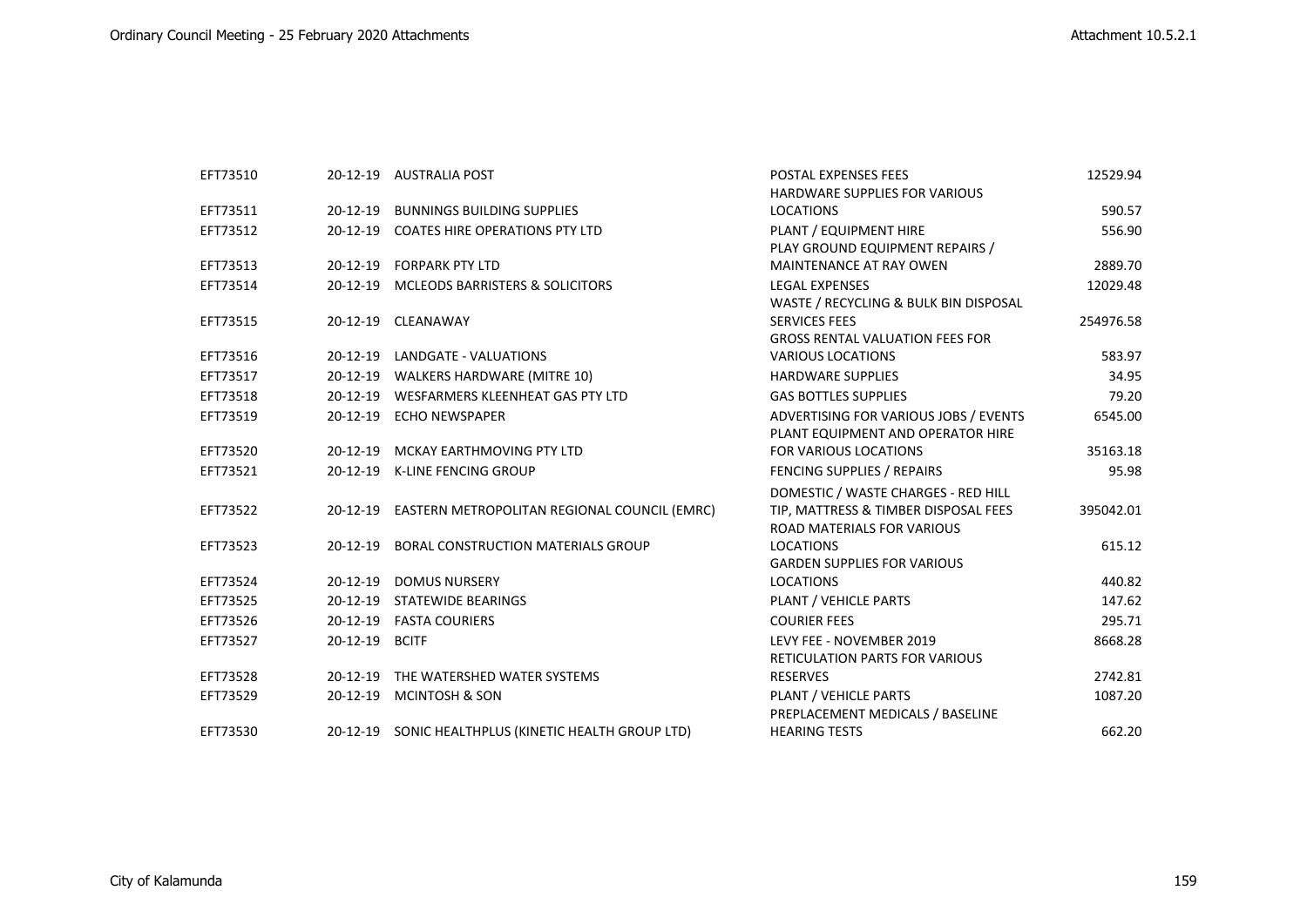| EFT73510 |          | 20-12-19 AUSTRALIA POST                               | POSTAL EXPENSES FEES                   | 12529.94  |
|----------|----------|-------------------------------------------------------|----------------------------------------|-----------|
|          |          |                                                       | <b>HARDWARE SUPPLIES FOR VARIOUS</b>   |           |
| EFT73511 |          | 20-12-19 BUNNINGS BUILDING SUPPLIES                   | <b>LOCATIONS</b>                       | 590.57    |
| EFT73512 |          | 20-12-19 COATES HIRE OPERATIONS PTY LTD               | PLANT / EQUIPMENT HIRE                 | 556.90    |
|          |          |                                                       | PLAY GROUND EQUIPMENT REPAIRS /        |           |
| EFT73513 |          | 20-12-19 FORPARK PTY LTD                              | MAINTENANCE AT RAY OWEN                | 2889.70   |
| EFT73514 |          | 20-12-19 MCLEODS BARRISTERS & SOLICITORS              | <b>LEGAL EXPENSES</b>                  | 12029.48  |
|          |          |                                                       | WASTE / RECYCLING & BULK BIN DISPOSAL  |           |
| EFT73515 |          | 20-12-19 CLEANAWAY                                    | <b>SERVICES FEES</b>                   | 254976.58 |
|          |          |                                                       | <b>GROSS RENTAL VALUATION FEES FOR</b> |           |
| EFT73516 |          | 20-12-19 LANDGATE - VALUATIONS                        | VARIOUS LOCATIONS                      | 583.97    |
| EFT73517 |          | 20-12-19 WALKERS HARDWARE (MITRE 10)                  | <b>HARDWARE SUPPLIES</b>               | 34.95     |
| EFT73518 |          | 20-12-19 WESFARMERS KLEENHEAT GAS PTY LTD             | <b>GAS BOTTLES SUPPLIES</b>            | 79.20     |
| EFT73519 |          | 20-12-19 ECHO NEWSPAPER                               | ADVERTISING FOR VARIOUS JOBS / EVENTS  | 6545.00   |
|          |          |                                                       | PLANT EQUIPMENT AND OPERATOR HIRE      |           |
| EFT73520 |          | 20-12-19 MCKAY EARTHMOVING PTY LTD                    | <b>FOR VARIOUS LOCATIONS</b>           | 35163.18  |
| EFT73521 |          | 20-12-19 K-LINE FENCING GROUP                         | FENCING SUPPLIES / REPAIRS             | 95.98     |
|          |          |                                                       | DOMESTIC / WASTE CHARGES - RED HILL    |           |
| EFT73522 |          | 20-12-19 EASTERN METROPOLITAN REGIONAL COUNCIL (EMRC) | TIP, MATTRESS & TIMBER DISPOSAL FEES   | 395042.01 |
|          |          |                                                       | <b>ROAD MATERIALS FOR VARIOUS</b>      |           |
| EFT73523 |          | 20-12-19 BORAL CONSTRUCTION MATERIALS GROUP           | <b>LOCATIONS</b>                       | 615.12    |
|          |          |                                                       | <b>GARDEN SUPPLIES FOR VARIOUS</b>     |           |
| EFT73524 |          | 20-12-19 DOMUS NURSERY                                | <b>LOCATIONS</b>                       | 440.82    |
| EFT73525 |          | 20-12-19 STATEWIDE BEARINGS                           | PLANT / VEHICLE PARTS                  | 147.62    |
| EFT73526 |          | 20-12-19 FASTA COURIERS                               | <b>COURIER FEES</b>                    | 295.71    |
| EFT73527 | 20-12-19 | <b>BCITF</b>                                          | LEVY FEE - NOVEMBER 2019               | 8668.28   |
|          |          |                                                       | RETICULATION PARTS FOR VARIOUS         |           |
| EFT73528 |          | 20-12-19 THE WATERSHED WATER SYSTEMS                  | <b>RESERVES</b>                        | 2742.81   |
| EFT73529 |          | 20-12-19 MCINTOSH & SON                               | PLANT / VEHICLE PARTS                  | 1087.20   |
|          |          |                                                       | PREPLACEMENT MEDICALS / BASELINE       |           |
| EFT73530 |          | 20-12-19 SONIC HEALTHPLUS (KINETIC HEALTH GROUP LTD)  | <b>HEARING TESTS</b>                   | 662.20    |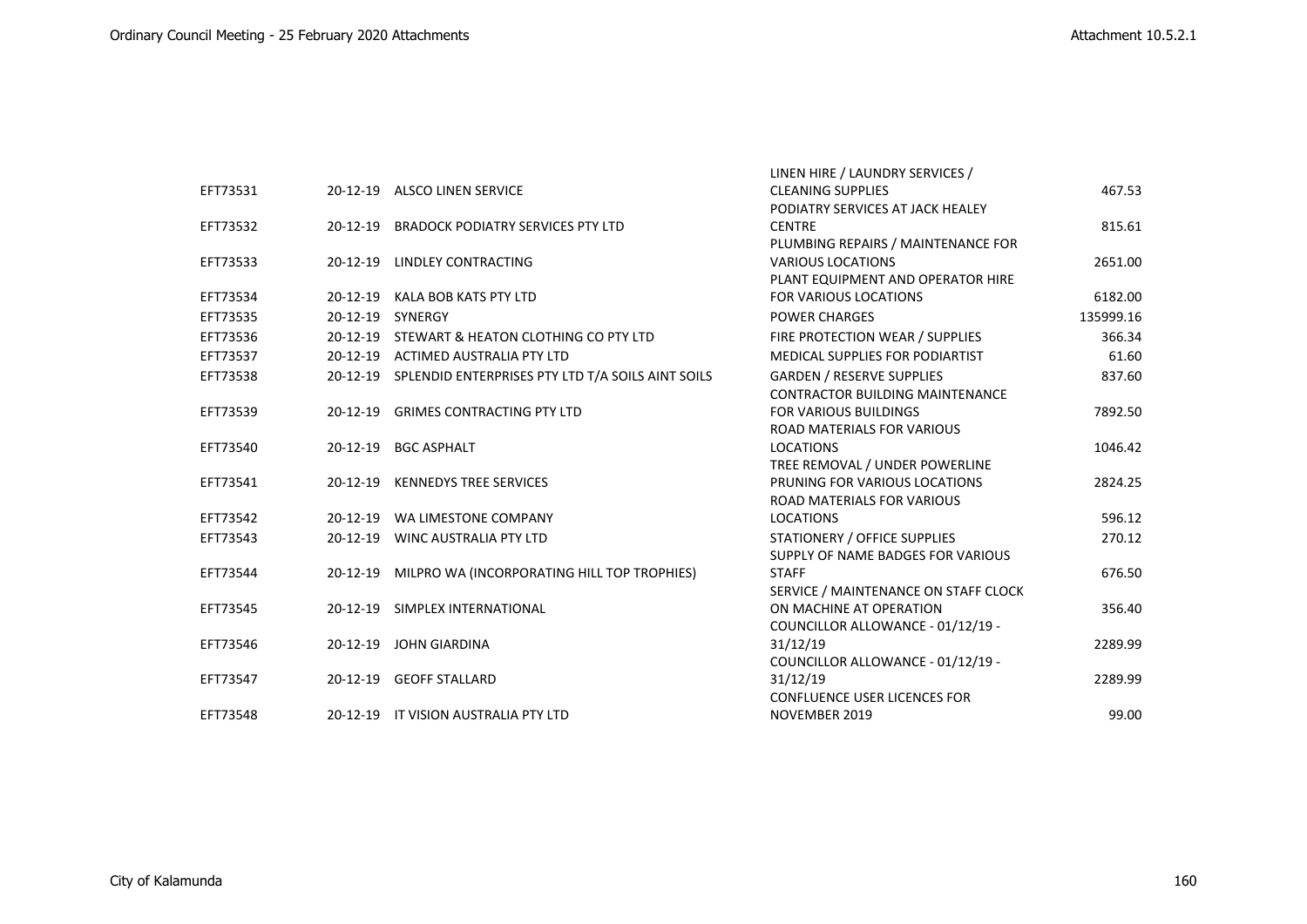|          |          |                                                            | LINEN HIRE / LAUNDRY SERVICES /        |           |
|----------|----------|------------------------------------------------------------|----------------------------------------|-----------|
| EFT73531 |          | 20-12-19 ALSCO LINEN SERVICE                               | <b>CLEANING SUPPLIES</b>               | 467.53    |
|          |          |                                                            | PODIATRY SERVICES AT JACK HEALEY       |           |
| EFT73532 |          | 20-12-19 BRADOCK PODIATRY SERVICES PTY LTD                 | <b>CENTRE</b>                          | 815.61    |
|          |          |                                                            | PLUMBING REPAIRS / MAINTENANCE FOR     |           |
| EFT73533 | 20-12-19 | <b>LINDLEY CONTRACTING</b>                                 | <b>VARIOUS LOCATIONS</b>               | 2651.00   |
|          |          |                                                            | PLANT EQUIPMENT AND OPERATOR HIRE      |           |
| EFT73534 |          | 20-12-19 KALA BOB KATS PTY LTD                             | FOR VARIOUS LOCATIONS                  | 6182.00   |
| EFT73535 |          | 20-12-19 SYNERGY                                           | <b>POWER CHARGES</b>                   | 135999.16 |
| EFT73536 |          | 20-12-19 STEWART & HEATON CLOTHING CO PTY LTD              | FIRE PROTECTION WEAR / SUPPLIES        | 366.34    |
| EFT73537 |          | 20-12-19 ACTIMED AUSTRALIA PTY LTD                         | MEDICAL SUPPLIES FOR PODIARTIST        | 61.60     |
| EFT73538 |          | 20-12-19 SPLENDID ENTERPRISES PTY LTD T/A SOILS AINT SOILS | <b>GARDEN / RESERVE SUPPLIES</b>       | 837.60    |
|          |          |                                                            | <b>CONTRACTOR BUILDING MAINTENANCE</b> |           |
| EFT73539 |          | 20-12-19 GRIMES CONTRACTING PTY LTD                        | <b>FOR VARIOUS BUILDINGS</b>           | 7892.50   |
|          |          |                                                            | ROAD MATERIALS FOR VARIOUS             |           |
| EFT73540 |          | 20-12-19 BGC ASPHALT                                       | <b>LOCATIONS</b>                       | 1046.42   |
|          |          |                                                            | TREE REMOVAL / UNDER POWERLINE         |           |
| EFT73541 | 20-12-19 | <b>KENNEDYS TREE SERVICES</b>                              | PRUNING FOR VARIOUS LOCATIONS          | 2824.25   |
|          |          |                                                            | <b>ROAD MATERIALS FOR VARIOUS</b>      |           |
| EFT73542 |          | 20-12-19 WA LIMESTONE COMPANY                              | <b>LOCATIONS</b>                       | 596.12    |
| EFT73543 |          | 20-12-19 WINC AUSTRALIA PTY LTD                            | STATIONERY / OFFICE SUPPLIES           | 270.12    |
|          |          |                                                            | SUPPLY OF NAME BADGES FOR VARIOUS      |           |
| EFT73544 |          | 20-12-19 MILPRO WA (INCORPORATING HILL TOP TROPHIES)       | <b>STAFF</b>                           | 676.50    |
|          |          |                                                            | SERVICE / MAINTENANCE ON STAFF CLOCK   |           |
| EFT73545 |          | 20-12-19 SIMPLEX INTERNATIONAL                             | ON MACHINE AT OPERATION                | 356.40    |
|          |          |                                                            | COUNCILLOR ALLOWANCE - 01/12/19 -      |           |
| EFT73546 |          | 20-12-19 JOHN GIARDINA                                     | 31/12/19                               | 2289.99   |
|          |          |                                                            | COUNCILLOR ALLOWANCE - 01/12/19 -      |           |
| EFT73547 |          | 20-12-19 GEOFF STALLARD                                    | 31/12/19                               | 2289.99   |
|          |          |                                                            | <b>CONFLUENCE USER LICENCES FOR</b>    |           |
| EFT73548 |          | 20-12-19 IT VISION AUSTRALIA PTY LTD                       | NOVEMBER 2019                          | 99.00     |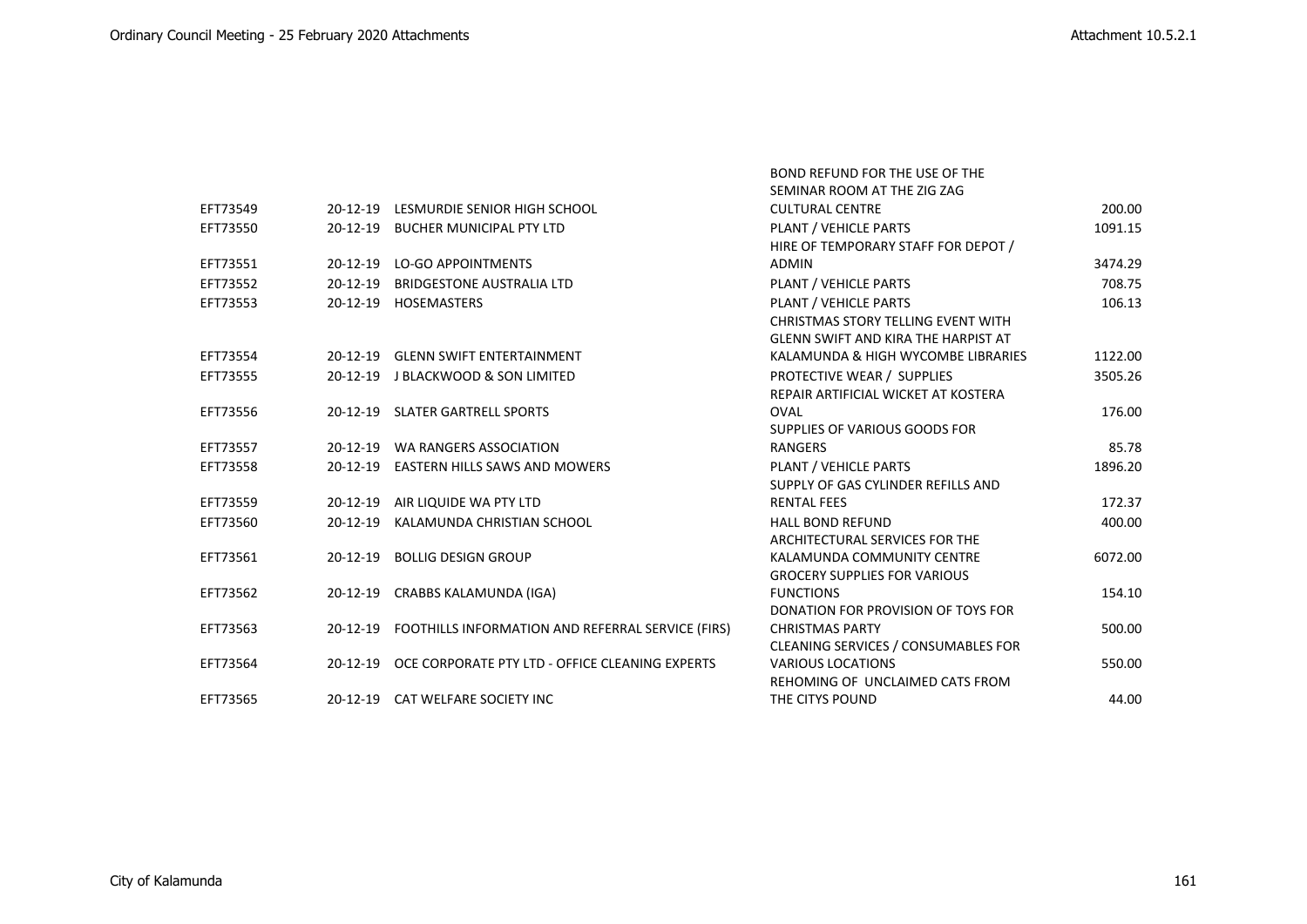|          |                |                                                            | SEMINAR ROOM AT THE ZIG ZAG         |         |
|----------|----------------|------------------------------------------------------------|-------------------------------------|---------|
| EFT73549 | 20-12-19       | LESMURDIE SENIOR HIGH SCHOOL                               | <b>CULTURAL CENTRE</b>              | 200.00  |
| EFT73550 |                | 20-12-19 BUCHER MUNICIPAL PTY LTD                          | PLANT / VEHICLE PARTS               | 1091.15 |
|          |                |                                                            | HIRE OF TEMPORARY STAFF FOR DEPOT / |         |
| EFT73551 |                | 20-12-19 LO-GO APPOINTMENTS                                | <b>ADMIN</b>                        | 3474.29 |
| EFT73552 | $20 - 12 - 19$ | <b>BRIDGESTONE AUSTRALIA LTD</b>                           | PLANT / VEHICLE PARTS               | 708.75  |
| EFT73553 |                | 20-12-19 HOSEMASTERS                                       | PLANT / VEHICLE PARTS               | 106.13  |
|          |                |                                                            | CHRISTMAS STORY TELLING EVENT WITH  |         |
|          |                |                                                            | GLENN SWIFT AND KIRA THE HARPIST AT |         |
| EFT73554 |                | 20-12-19 GLENN SWIFT ENTERTAINMENT                         | KALAMUNDA & HIGH WYCOMBE LIBRARIES  | 1122.00 |
| EFT73555 |                | 20-12-19 J BLACKWOOD & SON LIMITED                         | PROTECTIVE WEAR / SUPPLIES          | 3505.26 |
|          |                |                                                            | REPAIR ARTIFICIAL WICKET AT KOSTERA |         |
| EFT73556 |                | 20-12-19 SLATER GARTRELL SPORTS                            | <b>OVAL</b>                         | 176.00  |
|          |                |                                                            | SUPPLIES OF VARIOUS GOODS FOR       |         |
| EFT73557 |                | 20-12-19 WA RANGERS ASSOCIATION                            | RANGERS                             | 85.78   |
| EFT73558 |                | 20-12-19 EASTERN HILLS SAWS AND MOWERS                     | PLANT / VEHICLE PARTS               | 1896.20 |
|          |                |                                                            | SUPPLY OF GAS CYLINDER REFILLS AND  |         |
| EFT73559 |                | 20-12-19 AIR LIQUIDE WA PTY LTD                            | <b>RENTAL FEES</b>                  | 172.37  |
| EFT73560 | 20-12-19       | KALAMUNDA CHRISTIAN SCHOOL                                 | <b>HALL BOND REFUND</b>             | 400.00  |
|          |                |                                                            | ARCHITECTURAL SERVICES FOR THE      |         |
| EFT73561 |                | 20-12-19 BOLLIG DESIGN GROUP                               | KALAMUNDA COMMUNITY CENTRE          | 6072.00 |
|          |                |                                                            | <b>GROCERY SUPPLIES FOR VARIOUS</b> |         |
| EFT73562 |                | 20-12-19 CRABBS KALAMUNDA (IGA)                            | <b>FUNCTIONS</b>                    | 154.10  |
|          |                |                                                            | DONATION FOR PROVISION OF TOYS FOR  |         |
| EFT73563 |                | 20-12-19 FOOTHILLS INFORMATION AND REFERRAL SERVICE (FIRS) | <b>CHRISTMAS PARTY</b>              | 500.00  |
|          |                |                                                            | CLEANING SERVICES / CONSUMABLES FOR |         |
| EFT73564 |                | 20-12-19 OCE CORPORATE PTY LTD - OFFICE CLEANING EXPERTS   | <b>VARIOUS LOCATIONS</b>            | 550.00  |
|          |                |                                                            | REHOMING OF UNCLAIMED CATS FROM     |         |
| EFT73565 |                | 20-12-19 CAT WELFARE SOCIETY INC                           | THE CITYS POUND                     | 44.00   |

BOND REFUND FOR THE USE OF THE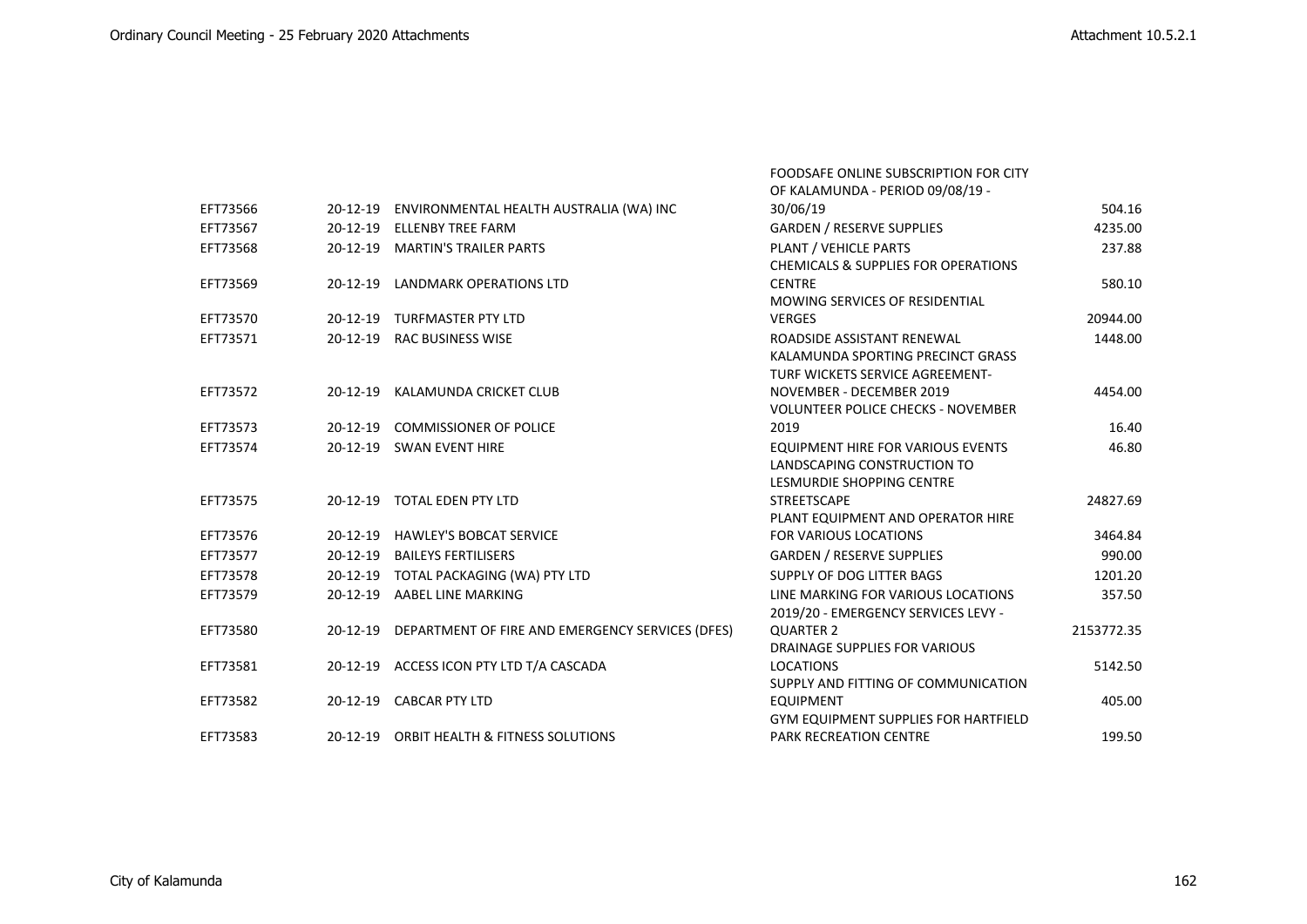FOODSAFE ONLINE SUBSCRIPTION FOR CITY

|          |            |                                                           | OF KALAMUNDA - PERIOD 09/08/19 -               |            |
|----------|------------|-----------------------------------------------------------|------------------------------------------------|------------|
| EFT73566 |            | 20-12-19 ENVIRONMENTAL HEALTH AUSTRALIA (WA) INC          | 30/06/19                                       | 504.16     |
| EFT73567 | $20-12-19$ | <b>ELLENBY TREE FARM</b>                                  | <b>GARDEN / RESERVE SUPPLIES</b>               | 4235.00    |
| EFT73568 |            | 20-12-19 MARTIN'S TRAILER PARTS                           | PLANT / VEHICLE PARTS                          | 237.88     |
|          |            |                                                           | <b>CHEMICALS &amp; SUPPLIES FOR OPERATIONS</b> |            |
| EFT73569 |            | 20-12-19 LANDMARK OPERATIONS LTD                          | <b>CENTRE</b>                                  | 580.10     |
|          |            |                                                           | MOWING SERVICES OF RESIDENTIAL                 |            |
| EFT73570 |            | 20-12-19 TURFMASTER PTY LTD                               | <b>VERGES</b>                                  | 20944.00   |
| EFT73571 |            | 20-12-19 RAC BUSINESS WISE                                | ROADSIDE ASSISTANT RENEWAL                     | 1448.00    |
|          |            |                                                           | KALAMUNDA SPORTING PRECINCT GRASS              |            |
|          |            |                                                           | TURF WICKETS SERVICE AGREEMENT-                |            |
| EFT73572 |            | 20-12-19 KALAMUNDA CRICKET CLUB                           | NOVEMBER - DECEMBER 2019                       | 4454.00    |
|          |            |                                                           | <b>VOLUNTEER POLICE CHECKS - NOVEMBER</b>      |            |
| EFT73573 | $20-12-19$ | <b>COMMISSIONER OF POLICE</b>                             | 2019                                           | 16.40      |
| EFT73574 |            | 20-12-19 SWAN EVENT HIRE                                  | <b>EQUIPMENT HIRE FOR VARIOUS EVENTS</b>       | 46.80      |
|          |            |                                                           | LANDSCAPING CONSTRUCTION TO                    |            |
|          |            |                                                           | <b>LESMURDIE SHOPPING CENTRE</b>               |            |
| EFT73575 |            | 20-12-19 TOTAL EDEN PTY LTD                               | <b>STREETSCAPE</b>                             | 24827.69   |
|          |            |                                                           | PLANT EQUIPMENT AND OPERATOR HIRE              |            |
| EFT73576 | 20-12-19   | <b>HAWLEY'S BOBCAT SERVICE</b>                            | FOR VARIOUS LOCATIONS                          | 3464.84    |
| EFT73577 | 20-12-19   | <b>BAILEYS FERTILISERS</b>                                | <b>GARDEN / RESERVE SUPPLIES</b>               | 990.00     |
| EFT73578 |            | 20-12-19 TOTAL PACKAGING (WA) PTY LTD                     | SUPPLY OF DOG LITTER BAGS                      | 1201.20    |
| EFT73579 |            | 20-12-19 AABEL LINE MARKING                               | LINE MARKING FOR VARIOUS LOCATIONS             | 357.50     |
|          |            |                                                           | 2019/20 - EMERGENCY SERVICES LEVY -            |            |
| EFT73580 |            | 20-12-19 DEPARTMENT OF FIRE AND EMERGENCY SERVICES (DFES) | <b>QUARTER 2</b>                               | 2153772.35 |
|          |            |                                                           | DRAINAGE SUPPLIES FOR VARIOUS                  |            |
| EFT73581 |            | 20-12-19 ACCESS ICON PTY LTD T/A CASCADA                  | <b>LOCATIONS</b>                               | 5142.50    |
|          |            |                                                           | SUPPLY AND FITTING OF COMMUNICATION            |            |
| EFT73582 |            | 20-12-19 CABCAR PTY LTD                                   | <b>EQUIPMENT</b>                               | 405.00     |
|          |            |                                                           | <b>GYM EQUIPMENT SUPPLIES FOR HARTFIELD</b>    |            |
| EFT73583 |            | 20-12-19 ORBIT HEALTH & FITNESS SOLUTIONS                 | <b>PARK RECREATION CENTRE</b>                  | 199.50     |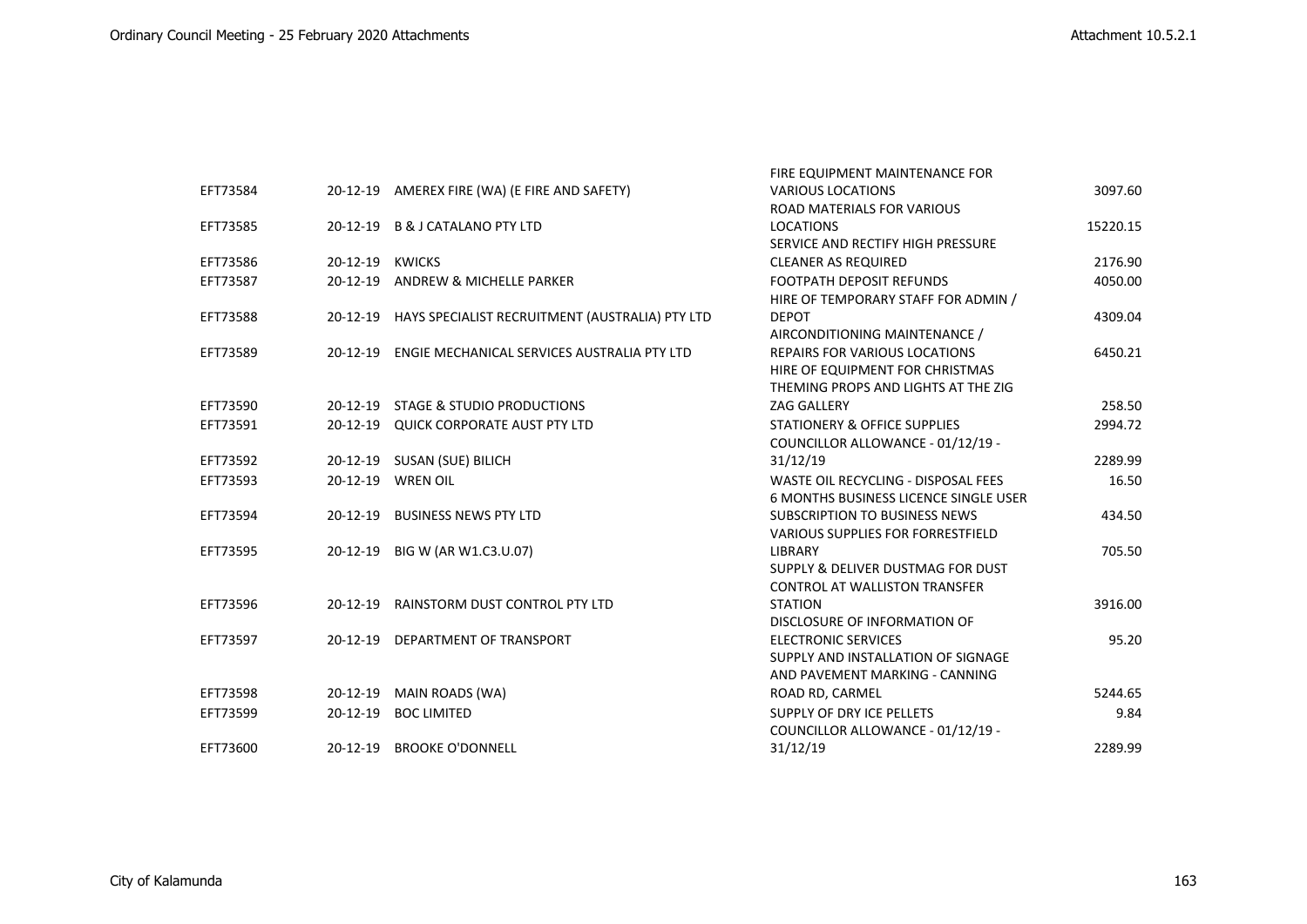|          |                 |                                                          | FIRE EQUIPMENT MAINTENANCE FOR               |          |
|----------|-----------------|----------------------------------------------------------|----------------------------------------------|----------|
| EFT73584 |                 | 20-12-19 AMEREX FIRE (WA) (E FIRE AND SAFETY)            | <b>VARIOUS LOCATIONS</b>                     | 3097.60  |
|          |                 |                                                          | <b>ROAD MATERIALS FOR VARIOUS</b>            |          |
| EFT73585 |                 | 20-12-19 B & J CATALANO PTY LTD                          | <b>LOCATIONS</b>                             | 15220.15 |
|          |                 |                                                          | SERVICE AND RECTIFY HIGH PRESSURE            |          |
| EFT73586 | 20-12-19 KWICKS |                                                          | <b>CLEANER AS REQUIRED</b>                   | 2176.90  |
| EFT73587 |                 | 20-12-19 ANDREW & MICHELLE PARKER                        | <b>FOOTPATH DEPOSIT REFUNDS</b>              | 4050.00  |
|          |                 |                                                          | HIRE OF TEMPORARY STAFF FOR ADMIN /          |          |
| EFT73588 |                 | 20-12-19 HAYS SPECIALIST RECRUITMENT (AUSTRALIA) PTY LTD | <b>DEPOT</b>                                 | 4309.04  |
|          |                 |                                                          | AIRCONDITIONING MAINTENANCE /                |          |
| EFT73589 |                 | 20-12-19 ENGIE MECHANICAL SERVICES AUSTRALIA PTY LTD     | <b>REPAIRS FOR VARIOUS LOCATIONS</b>         | 6450.21  |
|          |                 |                                                          | HIRE OF EQUIPMENT FOR CHRISTMAS              |          |
|          |                 |                                                          | THEMING PROPS AND LIGHTS AT THE ZIG          |          |
| EFT73590 | 20-12-19        | <b>STAGE &amp; STUDIO PRODUCTIONS</b>                    | <b>ZAG GALLERY</b>                           | 258.50   |
| EFT73591 |                 | 20-12-19 QUICK CORPORATE AUST PTY LTD                    | STATIONERY & OFFICE SUPPLIES                 | 2994.72  |
|          |                 |                                                          | COUNCILLOR ALLOWANCE - 01/12/19 -            |          |
| EFT73592 |                 | 20-12-19 SUSAN (SUE) BILICH                              | 31/12/19                                     | 2289.99  |
| EFT73593 |                 | 20-12-19 WREN OIL                                        | WASTE OIL RECYCLING - DISPOSAL FEES          | 16.50    |
|          |                 |                                                          | <b>6 MONTHS BUSINESS LICENCE SINGLE USER</b> |          |
| EFT73594 | 20-12-19        | <b>BUSINESS NEWS PTY LTD</b>                             | <b>SUBSCRIPTION TO BUSINESS NEWS</b>         | 434.50   |
|          |                 |                                                          | <b>VARIOUS SUPPLIES FOR FORRESTFIELD</b>     |          |
| EFT73595 |                 | 20-12-19 BIG W (AR W1.C3.U.07)                           | <b>LIBRARY</b>                               | 705.50   |
|          |                 |                                                          | SUPPLY & DELIVER DUSTMAG FOR DUST            |          |
|          |                 |                                                          | <b>CONTROL AT WALLISTON TRANSFER</b>         |          |
| EFT73596 |                 | 20-12-19 RAINSTORM DUST CONTROL PTY LTD                  | <b>STATION</b>                               | 3916.00  |
|          |                 |                                                          | DISCLOSURE OF INFORMATION OF                 |          |
| EFT73597 |                 | 20-12-19 DEPARTMENT OF TRANSPORT                         | <b>ELECTRONIC SERVICES</b>                   | 95.20    |
|          |                 |                                                          | SUPPLY AND INSTALLATION OF SIGNAGE           |          |
|          |                 |                                                          | AND PAVEMENT MARKING - CANNING               |          |
| EFT73598 | 20-12-19        | MAIN ROADS (WA)                                          | ROAD RD, CARMEL                              | 5244.65  |
| EFT73599 | $20 - 12 - 19$  | <b>BOC LIMITED</b>                                       | SUPPLY OF DRY ICE PELLETS                    | 9.84     |
|          |                 |                                                          | COUNCILLOR ALLOWANCE - 01/12/19 -            |          |
| EFT73600 | $20 - 12 - 19$  | <b>BROOKE O'DONNELL</b>                                  | 31/12/19                                     | 2289.99  |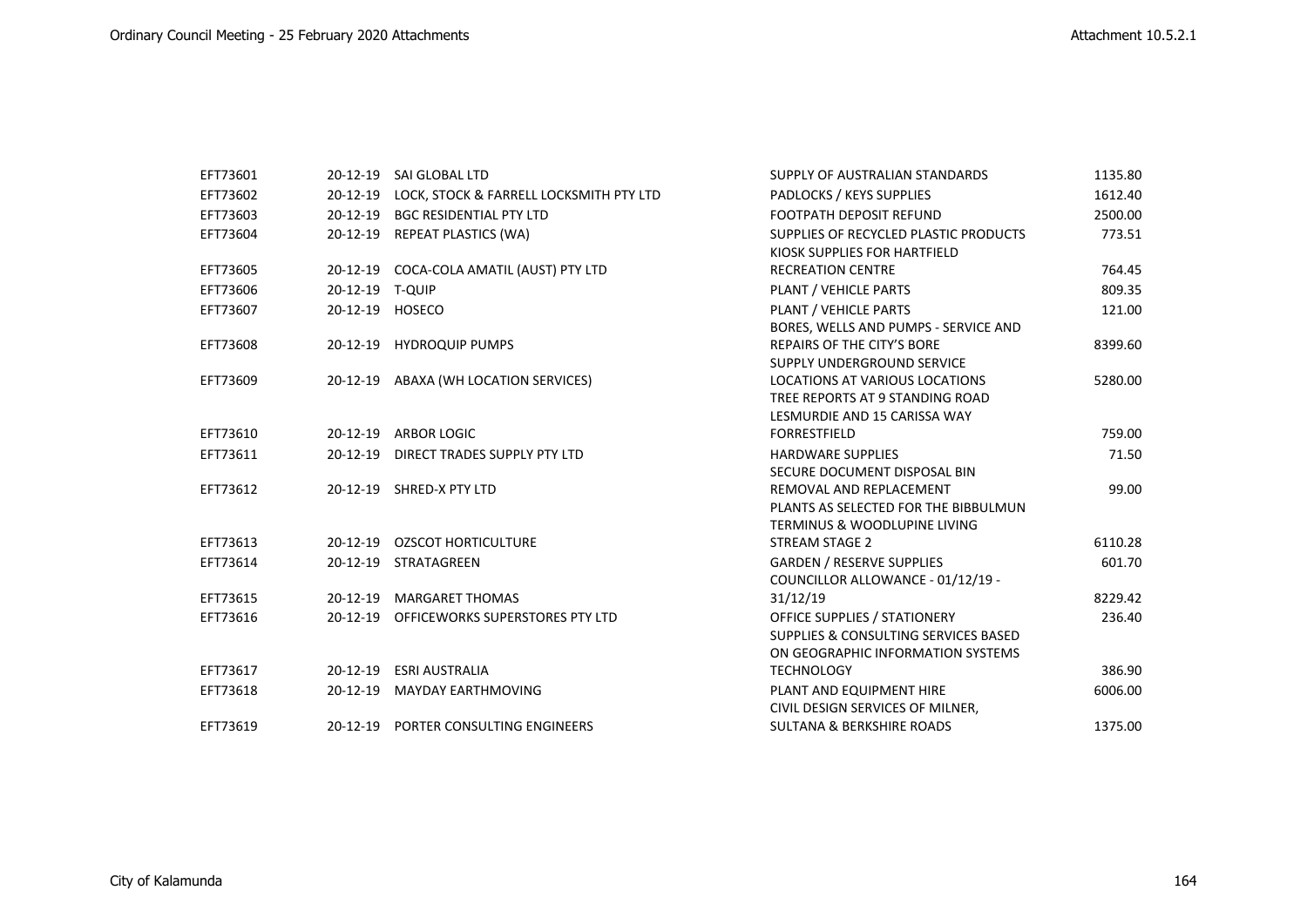| EFT73601 |                 | 20-12-19 SAI GLOBAL LTD                  | SUPPLY OF AUSTRALIAN STANDARDS          | 1135.80 |
|----------|-----------------|------------------------------------------|-----------------------------------------|---------|
| EFT73602 | $20 - 12 - 19$  | LOCK, STOCK & FARRELL LOCKSMITH PTY LTD  | PADLOCKS / KEYS SUPPLIES                | 1612.40 |
| EFT73603 | $20 - 12 - 19$  | <b>BGC RESIDENTIAL PTY LTD</b>           | <b>FOOTPATH DEPOSIT REFUND</b>          | 2500.00 |
| EFT73604 | 20-12-19        | <b>REPEAT PLASTICS (WA)</b>              | SUPPLIES OF RECYCLED PLASTIC PRODUCTS   | 773.51  |
|          |                 |                                          | KIOSK SUPPLIES FOR HARTFIELD            |         |
| EFT73605 |                 | 20-12-19 COCA-COLA AMATIL (AUST) PTY LTD | <b>RECREATION CENTRE</b>                | 764.45  |
| EFT73606 | 20-12-19 T-QUIP |                                          | PLANT / VEHICLE PARTS                   | 809.35  |
| EFT73607 |                 | 20-12-19 HOSECO                          | PLANT / VEHICLE PARTS                   | 121.00  |
|          |                 |                                          | BORES, WELLS AND PUMPS - SERVICE AND    |         |
| EFT73608 | $20 - 12 - 19$  | <b>HYDROQUIP PUMPS</b>                   | REPAIRS OF THE CITY'S BORE              | 8399.60 |
|          |                 |                                          | SUPPLY UNDERGROUND SERVICE              |         |
| EFT73609 |                 | 20-12-19 ABAXA (WH LOCATION SERVICES)    | LOCATIONS AT VARIOUS LOCATIONS          | 5280.00 |
|          |                 |                                          | TREE REPORTS AT 9 STANDING ROAD         |         |
|          |                 |                                          | LESMURDIE AND 15 CARISSA WAY            |         |
| EFT73610 |                 | 20-12-19 ARBOR LOGIC                     | <b>FORRESTFIELD</b>                     | 759.00  |
| EFT73611 | 20-12-19        | DIRECT TRADES SUPPLY PTY LTD             | <b>HARDWARE SUPPLIES</b>                | 71.50   |
|          |                 |                                          | SECURE DOCUMENT DISPOSAL BIN            |         |
| EFT73612 |                 | 20-12-19 SHRED-X PTY LTD                 | REMOVAL AND REPLACEMENT                 | 99.00   |
|          |                 |                                          | PLANTS AS SELECTED FOR THE BIBBULMUN    |         |
|          |                 |                                          | <b>TERMINUS &amp; WOODLUPINE LIVING</b> |         |
| EFT73613 |                 | 20-12-19 OZSCOT HORTICULTURE             | STREAM STAGE 2                          | 6110.28 |
| EFT73614 |                 | 20-12-19 STRATAGREEN                     | <b>GARDEN / RESERVE SUPPLIES</b>        | 601.70  |
|          |                 |                                          | COUNCILLOR ALLOWANCE - 01/12/19 -       |         |
| EFT73615 | $20-12-19$      | <b>MARGARET THOMAS</b>                   | 31/12/19                                | 8229.42 |
| EFT73616 | 20-12-19        | OFFICEWORKS SUPERSTORES PTY LTD          | <b>OFFICE SUPPLIES / STATIONERY</b>     | 236.40  |
|          |                 |                                          | SUPPLIES & CONSULTING SERVICES BASED    |         |
|          |                 |                                          | ON GEOGRAPHIC INFORMATION SYSTEMS       |         |
| EFT73617 | 20-12-19        | <b>ESRI AUSTRALIA</b>                    | <b>TECHNOLOGY</b>                       | 386.90  |
| EFT73618 | $20 - 12 - 19$  | <b>MAYDAY EARTHMOVING</b>                | PLANT AND EQUIPMENT HIRE                | 6006.00 |
|          |                 |                                          | CIVIL DESIGN SERVICES OF MILNER,        |         |
| EFT73619 |                 | 20-12-19 PORTER CONSULTING ENGINEERS     | SULTANA & BERKSHIRE ROADS               | 1375.00 |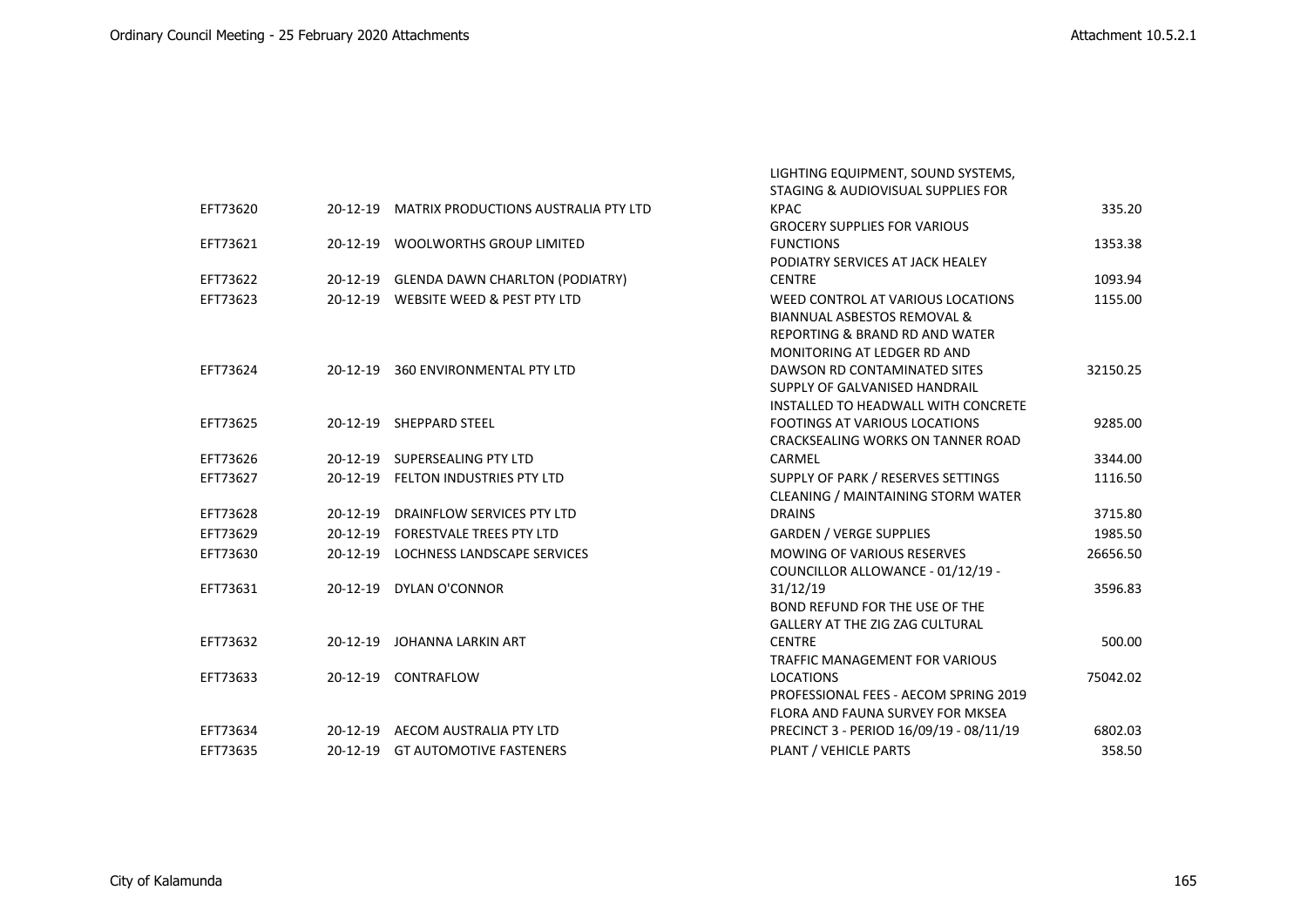|          |                |                                               | LIGHTING EQUIPMENT, SOUND SYSTEMS,        |          |
|----------|----------------|-----------------------------------------------|-------------------------------------------|----------|
|          |                |                                               | STAGING & AUDIOVISUAL SUPPLIES FOR        |          |
| EFT73620 |                | 20-12-19 MATRIX PRODUCTIONS AUSTRALIA PTY LTD | <b>KPAC</b>                               | 335.20   |
|          |                |                                               | <b>GROCERY SUPPLIES FOR VARIOUS</b>       |          |
| EFT73621 |                | 20-12-19 WOOLWORTHS GROUP LIMITED             | <b>FUNCTIONS</b>                          | 1353.38  |
|          |                |                                               | PODIATRY SERVICES AT JACK HEALEY          |          |
| EFT73622 |                | 20-12-19 GLENDA DAWN CHARLTON (PODIATRY)      | <b>CENTRE</b>                             | 1093.94  |
| EFT73623 |                | 20-12-19 WEBSITE WEED & PEST PTY LTD          | WEED CONTROL AT VARIOUS LOCATIONS         | 1155.00  |
|          |                |                                               | <b>BIANNUAL ASBESTOS REMOVAL &amp;</b>    |          |
|          |                |                                               | <b>REPORTING &amp; BRAND RD AND WATER</b> |          |
|          |                |                                               | MONITORING AT LEDGER RD AND               |          |
| EFT73624 |                | 20-12-19 360 ENVIRONMENTAL PTY LTD            | DAWSON RD CONTAMINATED SITES              | 32150.25 |
|          |                |                                               | SUPPLY OF GALVANISED HANDRAIL             |          |
|          |                |                                               | INSTALLED TO HEADWALL WITH CONCRETE       |          |
| EFT73625 |                | 20-12-19 SHEPPARD STEEL                       | <b>FOOTINGS AT VARIOUS LOCATIONS</b>      | 9285.00  |
|          |                |                                               | CRACKSEALING WORKS ON TANNER ROAD         |          |
| EFT73626 |                | 20-12-19 SUPERSEALING PTY LTD                 | CARMEL                                    | 3344.00  |
| EFT73627 |                | 20-12-19 FELTON INDUSTRIES PTY LTD            | SUPPLY OF PARK / RESERVES SETTINGS        | 1116.50  |
|          |                |                                               | <b>CLEANING / MAINTAINING STORM WATER</b> |          |
| EFT73628 | $20 - 12 - 19$ | DRAINFLOW SERVICES PTY LTD                    | <b>DRAINS</b>                             | 3715.80  |
| EFT73629 |                | 20-12-19 FORESTVALE TREES PTY LTD             | <b>GARDEN / VERGE SUPPLIES</b>            | 1985.50  |
| EFT73630 |                | 20-12-19 LOCHNESS LANDSCAPE SERVICES          | <b>MOWING OF VARIOUS RESERVES</b>         | 26656.50 |
|          |                |                                               | COUNCILLOR ALLOWANCE - 01/12/19 -         |          |
| EFT73631 |                | 20-12-19 DYLAN O'CONNOR                       | 31/12/19                                  | 3596.83  |
|          |                |                                               | BOND REFUND FOR THE USE OF THE            |          |
|          |                |                                               | <b>GALLERY AT THE ZIG ZAG CULTURAL</b>    |          |
| EFT73632 | 20-12-19       | JOHANNA LARKIN ART                            | <b>CENTRE</b>                             | 500.00   |
|          |                |                                               | <b>TRAFFIC MANAGEMENT FOR VARIOUS</b>     |          |
| EFT73633 |                | 20-12-19 CONTRAFLOW                           | <b>LOCATIONS</b>                          | 75042.02 |
|          |                |                                               | PROFESSIONAL FEES - AECOM SPRING 2019     |          |
|          |                |                                               | FLORA AND FAUNA SURVEY FOR MKSEA          |          |
| EFT73634 |                | 20-12-19 AECOM AUSTRALIA PTY LTD              | PRECINCT 3 - PERIOD 16/09/19 - 08/11/19   | 6802.03  |
| EFT73635 |                | 20-12-19 GT AUTOMOTIVE FASTENERS              | <b>PLANT / VEHICLE PARTS</b>              | 358.50   |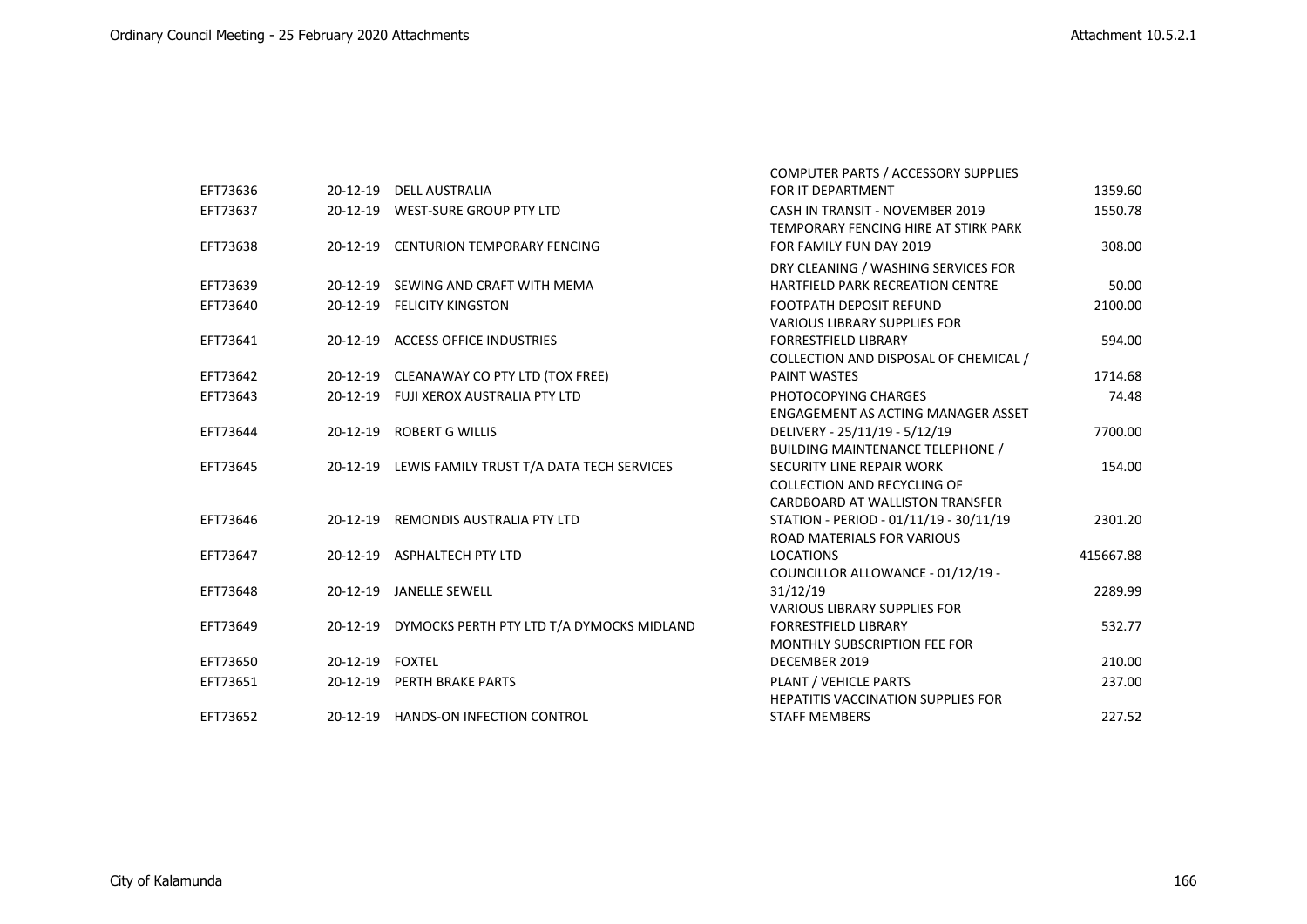|          |                 |                                                    | COMPUTER PARTS / ACCESSORY SUPPLIES                                     |           |
|----------|-----------------|----------------------------------------------------|-------------------------------------------------------------------------|-----------|
| EFT73636 |                 | 20-12-19 DELL AUSTRALIA                            | FOR IT DEPARTMENT                                                       | 1359.60   |
| EFT73637 |                 | 20-12-19 WEST-SURE GROUP PTY LTD                   | CASH IN TRANSIT - NOVEMBER 2019<br>TEMPORARY FENCING HIRE AT STIRK PARK | 1550.78   |
| EFT73638 |                 | 20-12-19 CENTURION TEMPORARY FENCING               | FOR FAMILY FUN DAY 2019                                                 | 308.00    |
|          |                 |                                                    | DRY CLEANING / WASHING SERVICES FOR                                     |           |
| EFT73639 |                 | 20-12-19 SEWING AND CRAFT WITH MEMA                | HARTFIELD PARK RECREATION CENTRE                                        | 50.00     |
| EFT73640 |                 | 20-12-19 FELICITY KINGSTON                         | <b>FOOTPATH DEPOSIT REFUND</b>                                          | 2100.00   |
|          |                 |                                                    | <b>VARIOUS LIBRARY SUPPLIES FOR</b>                                     |           |
| EFT73641 |                 | 20-12-19 ACCESS OFFICE INDUSTRIES                  | <b>FORRESTFIELD LIBRARY</b>                                             | 594.00    |
|          |                 |                                                    | COLLECTION AND DISPOSAL OF CHEMICAL /                                   |           |
| EFT73642 |                 | 20-12-19 CLEANAWAY CO PTY LTD (TOX FREE)           | <b>PAINT WASTES</b>                                                     | 1714.68   |
| EFT73643 |                 | 20-12-19 FUJI XEROX AUSTRALIA PTY LTD              | PHOTOCOPYING CHARGES                                                    | 74.48     |
|          |                 |                                                    | ENGAGEMENT AS ACTING MANAGER ASSET                                      |           |
| EFT73644 |                 | 20-12-19 ROBERT G WILLIS                           | DELIVERY - 25/11/19 - 5/12/19                                           | 7700.00   |
|          |                 |                                                    | <b>BUILDING MAINTENANCE TELEPHONE /</b>                                 |           |
| EFT73645 |                 | 20-12-19 LEWIS FAMILY TRUST T/A DATA TECH SERVICES | <b>SECURITY LINE REPAIR WORK</b>                                        | 154.00    |
|          |                 |                                                    | COLLECTION AND RECYCLING OF                                             |           |
|          |                 |                                                    | CARDBOARD AT WALLISTON TRANSFER                                         |           |
| EFT73646 |                 | 20-12-19 REMONDIS AUSTRALIA PTY LTD                | STATION - PERIOD - 01/11/19 - 30/11/19                                  | 2301.20   |
|          |                 |                                                    | <b>ROAD MATERIALS FOR VARIOUS</b>                                       |           |
| EFT73647 |                 | 20-12-19 ASPHALTECH PTY LTD                        | <b>LOCATIONS</b>                                                        | 415667.88 |
|          |                 |                                                    | COUNCILLOR ALLOWANCE - 01/12/19 -                                       |           |
| EFT73648 |                 | 20-12-19 JANELLE SEWELL                            | 31/12/19                                                                | 2289.99   |
|          |                 |                                                    | <b>VARIOUS LIBRARY SUPPLIES FOR</b>                                     |           |
| EFT73649 |                 | 20-12-19 DYMOCKS PERTH PTY LTD T/A DYMOCKS MIDLAND | <b>FORRESTFIELD LIBRARY</b>                                             | 532.77    |
|          |                 |                                                    | <b>MONTHLY SUBSCRIPTION FEE FOR</b>                                     |           |
| EFT73650 | 20-12-19 FOXTEL |                                                    | DECEMBER 2019                                                           | 210.00    |
| EFT73651 |                 | 20-12-19 PERTH BRAKE PARTS                         | PLANT / VEHICLE PARTS                                                   | 237.00    |
|          |                 |                                                    | <b>HEPATITIS VACCINATION SUPPLIES FOR</b>                               |           |
| EFT73652 |                 | 20-12-19 HANDS-ON INFECTION CONTROL                | <b>STAFF MEMBERS</b>                                                    | 227.52    |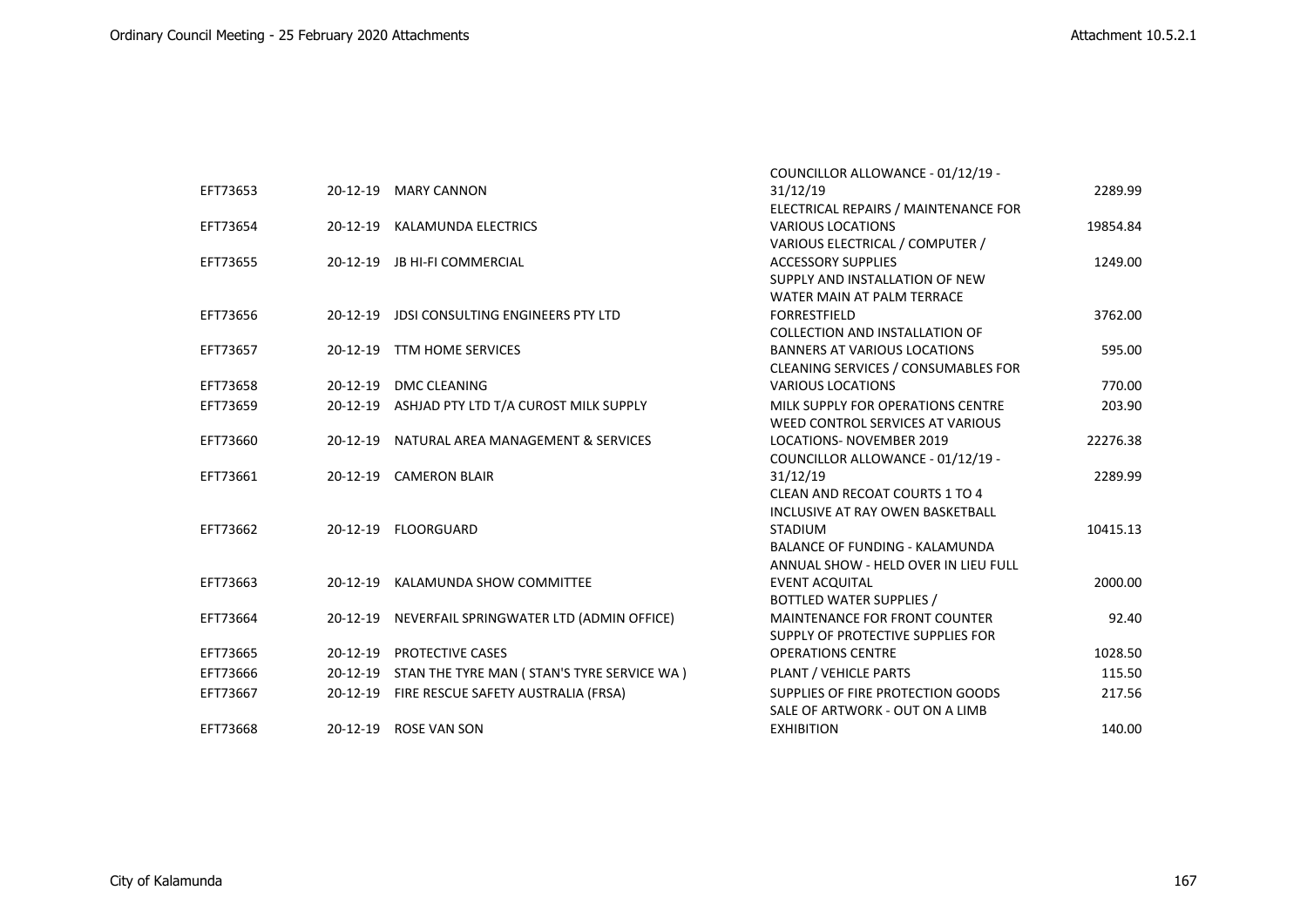|          |                |                                                     | COUNCILLOR ALLOWANCE - 01/12/19 -     |          |
|----------|----------------|-----------------------------------------------------|---------------------------------------|----------|
| EFT73653 |                | 20-12-19 MARY CANNON                                | 31/12/19                              | 2289.99  |
|          |                |                                                     | ELECTRICAL REPAIRS / MAINTENANCE FOR  |          |
| EFT73654 |                | 20-12-19 KALAMUNDA ELECTRICS                        | <b>VARIOUS LOCATIONS</b>              | 19854.84 |
|          |                |                                                     | VARIOUS ELECTRICAL / COMPUTER /       |          |
| EFT73655 |                | 20-12-19 JB HI-FI COMMERCIAL                        | <b>ACCESSORY SUPPLIES</b>             | 1249.00  |
|          |                |                                                     | SUPPLY AND INSTALLATION OF NEW        |          |
|          |                |                                                     | WATER MAIN AT PALM TERRACE            |          |
| EFT73656 |                | 20-12-19 JDSI CONSULTING ENGINEERS PTY LTD          | <b>FORRESTFIELD</b>                   | 3762.00  |
|          |                |                                                     | <b>COLLECTION AND INSTALLATION OF</b> |          |
| EFT73657 |                | 20-12-19 TTM HOME SERVICES                          | <b>BANNERS AT VARIOUS LOCATIONS</b>   | 595.00   |
|          |                |                                                     | CLEANING SERVICES / CONSUMABLES FOR   |          |
| EFT73658 | $20 - 12 - 19$ | <b>DMC CLEANING</b>                                 | <b>VARIOUS LOCATIONS</b>              | 770.00   |
| EFT73659 |                | 20-12-19 ASHJAD PTY LTD T/A CUROST MILK SUPPLY      | MILK SUPPLY FOR OPERATIONS CENTRE     | 203.90   |
|          |                |                                                     | WEED CONTROL SERVICES AT VARIOUS      |          |
| EFT73660 | 20-12-19       | NATURAL AREA MANAGEMENT & SERVICES                  | <b>LOCATIONS- NOVEMBER 2019</b>       | 22276.38 |
|          |                |                                                     | COUNCILLOR ALLOWANCE - 01/12/19 -     |          |
| EFT73661 |                | 20-12-19 CAMERON BLAIR                              | 31/12/19                              | 2289.99  |
|          |                |                                                     | CLEAN AND RECOAT COURTS 1 TO 4        |          |
|          |                |                                                     | INCLUSIVE AT RAY OWEN BASKETBALL      |          |
| EFT73662 |                | 20-12-19 FLOORGUARD                                 | <b>STADIUM</b>                        | 10415.13 |
|          |                |                                                     | <b>BALANCE OF FUNDING - KALAMUNDA</b> |          |
|          |                |                                                     | ANNUAL SHOW - HELD OVER IN LIEU FULL  |          |
| EFT73663 |                | 20-12-19 KALAMUNDA SHOW COMMITTEE                   | <b>EVENT ACQUITAL</b>                 | 2000.00  |
|          |                |                                                     | <b>BOTTLED WATER SUPPLIES /</b>       |          |
| EFT73664 |                | 20-12-19 NEVERFAIL SPRINGWATER LTD (ADMIN OFFICE)   | <b>MAINTENANCE FOR FRONT COUNTER</b>  | 92.40    |
|          |                |                                                     | SUPPLY OF PROTECTIVE SUPPLIES FOR     |          |
| EFT73665 | 20-12-19       | PROTECTIVE CASES                                    | <b>OPERATIONS CENTRE</b>              | 1028.50  |
| EFT73666 |                | 20-12-19 STAN THE TYRE MAN (STAN'S TYRE SERVICE WA) | PLANT / VEHICLE PARTS                 | 115.50   |
| EFT73667 | 20-12-19       | FIRE RESCUE SAFETY AUSTRALIA (FRSA)                 | SUPPLIES OF FIRE PROTECTION GOODS     | 217.56   |
|          |                |                                                     | SALE OF ARTWORK - OUT ON A LIMB       |          |
| EFT73668 |                | 20-12-19 ROSE VAN SON                               | <b>EXHIBITION</b>                     | 140.00   |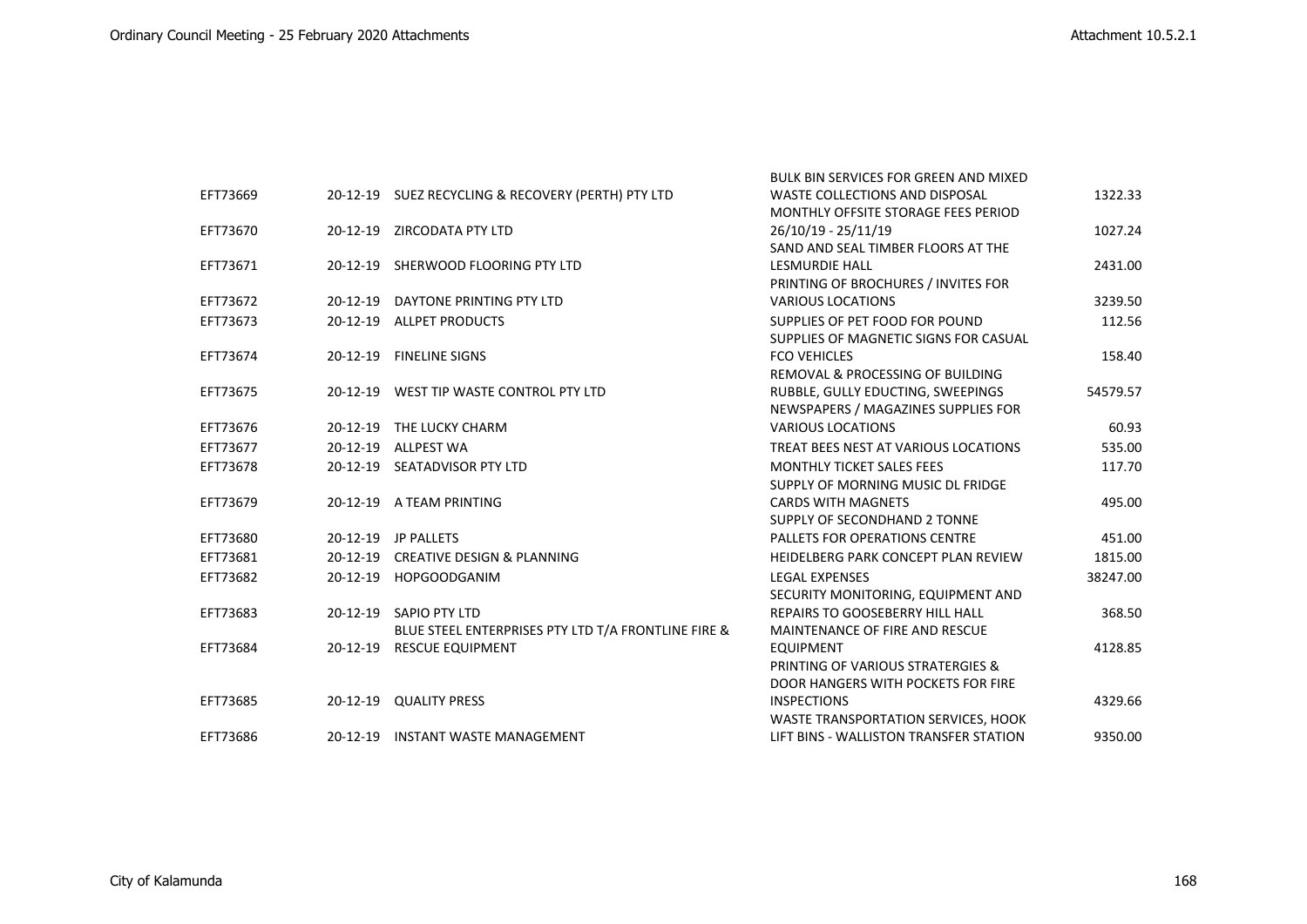|          |                |                                                     | <b>BULK BIN SERVICES FOR GREEN AND MIXED</b> |          |
|----------|----------------|-----------------------------------------------------|----------------------------------------------|----------|
| EFT73669 |                | 20-12-19 SUEZ RECYCLING & RECOVERY (PERTH) PTY LTD  | WASTE COLLECTIONS AND DISPOSAL               | 1322.33  |
|          |                |                                                     | MONTHLY OFFSITE STORAGE FEES PERIOD          |          |
| EFT73670 |                | 20-12-19 ZIRCODATA PTY LTD                          | 26/10/19 - 25/11/19                          | 1027.24  |
|          |                |                                                     | SAND AND SEAL TIMBER FLOORS AT THE           |          |
| EFT73671 |                | 20-12-19 SHERWOOD FLOORING PTY LTD                  | <b>LESMURDIE HALL</b>                        | 2431.00  |
|          |                |                                                     | PRINTING OF BROCHURES / INVITES FOR          |          |
| EFT73672 |                | 20-12-19 DAYTONE PRINTING PTY LTD                   | <b>VARIOUS LOCATIONS</b>                     | 3239.50  |
| EFT73673 | $20 - 12 - 19$ | <b>ALLPET PRODUCTS</b>                              | SUPPLIES OF PET FOOD FOR POUND               | 112.56   |
|          |                |                                                     | SUPPLIES OF MAGNETIC SIGNS FOR CASUAL        |          |
| EFT73674 | 20-12-19       | <b>FINELINE SIGNS</b>                               | <b>FCO VEHICLES</b>                          | 158.40   |
|          |                |                                                     | REMOVAL & PROCESSING OF BUILDING             |          |
| EFT73675 |                | 20-12-19 WEST TIP WASTE CONTROL PTY LTD             | RUBBLE, GULLY EDUCTING, SWEEPINGS            | 54579.57 |
|          |                |                                                     | NEWSPAPERS / MAGAZINES SUPPLIES FOR          |          |
| EFT73676 |                | 20-12-19 THE LUCKY CHARM                            | <b>VARIOUS LOCATIONS</b>                     | 60.93    |
| EFT73677 | $20 - 12 - 19$ | <b>ALLPEST WA</b>                                   | TREAT BEES NEST AT VARIOUS LOCATIONS         | 535.00   |
| EFT73678 |                | 20-12-19 SEATADVISOR PTY LTD                        | <b>MONTHLY TICKET SALES FEES</b>             | 117.70   |
|          |                |                                                     | SUPPLY OF MORNING MUSIC DL FRIDGE            |          |
| EFT73679 |                | 20-12-19 A TEAM PRINTING                            | <b>CARDS WITH MAGNETS</b>                    | 495.00   |
|          |                |                                                     | SUPPLY OF SECONDHAND 2 TONNE                 |          |
| EFT73680 |                | 20-12-19 JP PALLETS                                 | <b>PALLETS FOR OPERATIONS CENTRE</b>         | 451.00   |
| EFT73681 |                | 20-12-19 CREATIVE DESIGN & PLANNING                 | HEIDELBERG PARK CONCEPT PLAN REVIEW          | 1815.00  |
| EFT73682 |                | 20-12-19 HOPGOODGANIM                               | <b>LEGAL EXPENSES</b>                        | 38247.00 |
|          |                |                                                     | SECURITY MONITORING, EQUIPMENT AND           |          |
| EFT73683 |                | 20-12-19 SAPIO PTY LTD                              | REPAIRS TO GOOSEBERRY HILL HALL              | 368.50   |
|          |                | BLUE STEEL ENTERPRISES PTY LTD T/A FRONTLINE FIRE & | MAINTENANCE OF FIRE AND RESCUE               |          |
| EFT73684 | 20-12-19       | <b>RESCUE EQUIPMENT</b>                             | <b>EQUIPMENT</b>                             | 4128.85  |
|          |                |                                                     | PRINTING OF VARIOUS STRATERGIES &            |          |
|          |                |                                                     | DOOR HANGERS WITH POCKETS FOR FIRE           |          |
| EFT73685 |                | 20-12-19 QUALITY PRESS                              | <b>INSPECTIONS</b>                           | 4329.66  |
|          |                |                                                     | <b>WASTE TRANSPORTATION SERVICES, HOOK</b>   |          |
| EFT73686 |                | 20-12-19 INSTANT WASTE MANAGEMENT                   | LIFT BINS - WALLISTON TRANSFER STATION       | 9350.00  |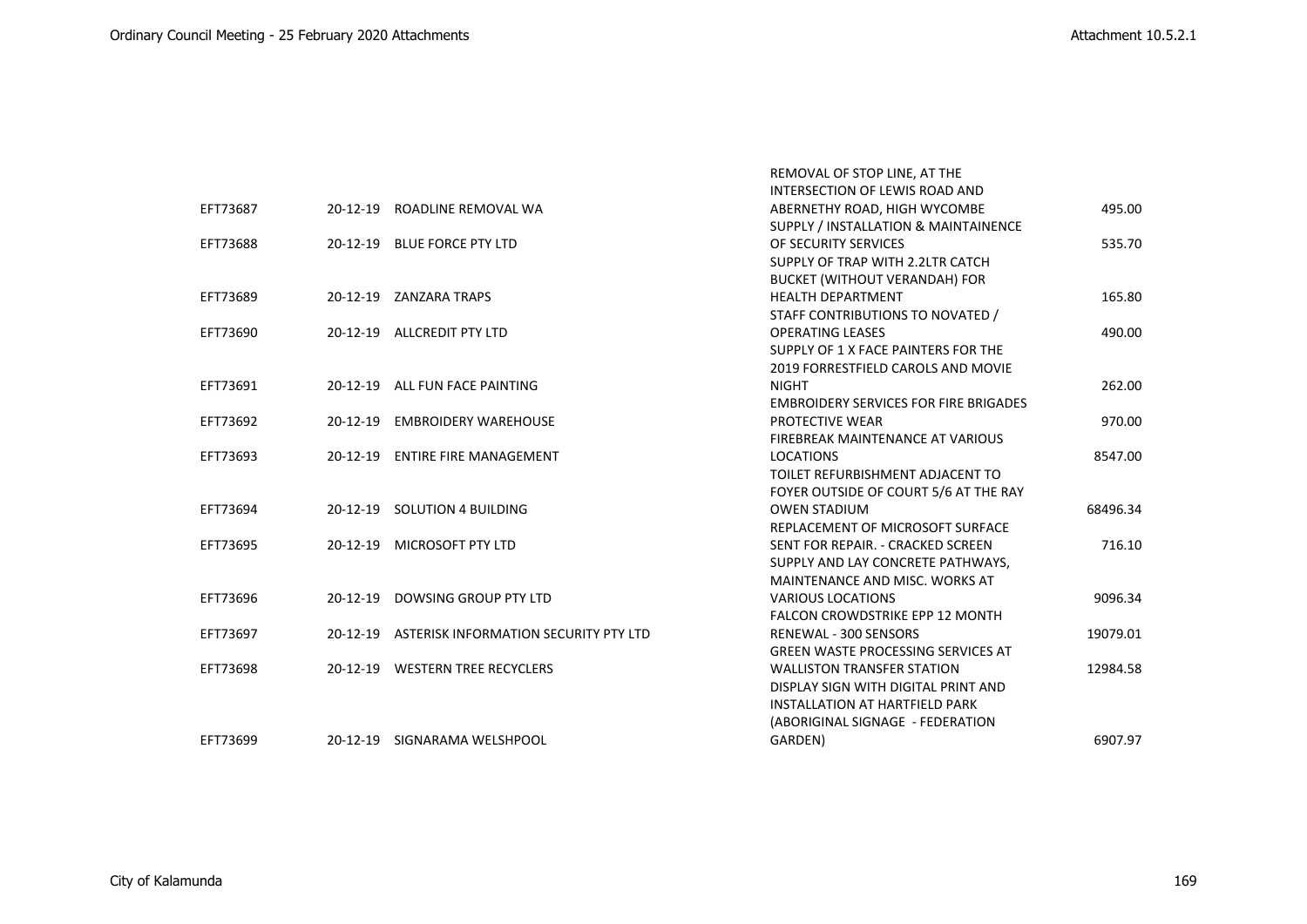|          |                                                | REMOVAL OF STOP LINE, AT THE                 |          |
|----------|------------------------------------------------|----------------------------------------------|----------|
|          |                                                | INTERSECTION OF LEWIS ROAD AND               |          |
| EFT73687 | 20-12-19 ROADLINE REMOVAL WA                   | ABERNETHY ROAD, HIGH WYCOMBE                 | 495.00   |
|          |                                                | SUPPLY / INSTALLATION & MAINTAINENCE         |          |
| EFT73688 | 20-12-19 BLUE FORCE PTY LTD                    | OF SECURITY SERVICES                         | 535.70   |
|          |                                                | SUPPLY OF TRAP WITH 2.2LTR CATCH             |          |
|          |                                                | <b>BUCKET (WITHOUT VERANDAH) FOR</b>         |          |
| EFT73689 | 20-12-19 ZANZARA TRAPS                         | <b>HEALTH DEPARTMENT</b>                     | 165.80   |
|          |                                                | STAFF CONTRIBUTIONS TO NOVATED /             |          |
| EFT73690 | 20-12-19 ALLCREDIT PTY LTD                     | <b>OPERATING LEASES</b>                      | 490.00   |
|          |                                                | SUPPLY OF 1 X FACE PAINTERS FOR THE          |          |
|          |                                                | 2019 FORRESTFIELD CAROLS AND MOVIE           |          |
| EFT73691 | 20-12-19 ALL FUN FACE PAINTING                 | <b>NIGHT</b>                                 | 262.00   |
|          |                                                | <b>EMBROIDERY SERVICES FOR FIRE BRIGADES</b> |          |
| EFT73692 | 20-12-19 EMBROIDERY WAREHOUSE                  | <b>PROTECTIVE WEAR</b>                       | 970.00   |
|          |                                                | FIREBREAK MAINTENANCE AT VARIOUS             |          |
| EFT73693 | 20-12-19 ENTIRE FIRE MANAGEMENT                | <b>LOCATIONS</b>                             | 8547.00  |
|          |                                                | TOILET REFURBISHMENT ADJACENT TO             |          |
|          |                                                | FOYER OUTSIDE OF COURT 5/6 AT THE RAY        |          |
| EFT73694 | 20-12-19 SOLUTION 4 BUILDING                   | <b>OWEN STADIUM</b>                          | 68496.34 |
|          |                                                | REPLACEMENT OF MICROSOFT SURFACE             |          |
| EFT73695 | 20-12-19 MICROSOFT PTY LTD                     | SENT FOR REPAIR. - CRACKED SCREEN            | 716.10   |
|          |                                                | SUPPLY AND LAY CONCRETE PATHWAYS.            |          |
|          |                                                | MAINTENANCE AND MISC. WORKS AT               |          |
| EFT73696 | 20-12-19 DOWSING GROUP PTY LTD                 | <b>VARIOUS LOCATIONS</b>                     | 9096.34  |
|          |                                                | <b>FALCON CROWDSTRIKE EPP 12 MONTH</b>       |          |
| EFT73697 | 20-12-19 ASTERISK INFORMATION SECURITY PTY LTD | RENEWAL - 300 SENSORS                        | 19079.01 |
|          |                                                | <b>GREEN WASTE PROCESSING SERVICES AT</b>    |          |
| EFT73698 | 20-12-19 WESTERN TREE RECYCLERS                | <b>WALLISTON TRANSFER STATION</b>            | 12984.58 |
|          |                                                | DISPLAY SIGN WITH DIGITAL PRINT AND          |          |
|          |                                                | <b>INSTALLATION AT HARTFIELD PARK</b>        |          |
|          |                                                | (ABORIGINAL SIGNAGE - FEDERATION             |          |
| EFT73699 | 20-12-19 SIGNARAMA WELSHPOOL                   | GARDEN)                                      | 6907.97  |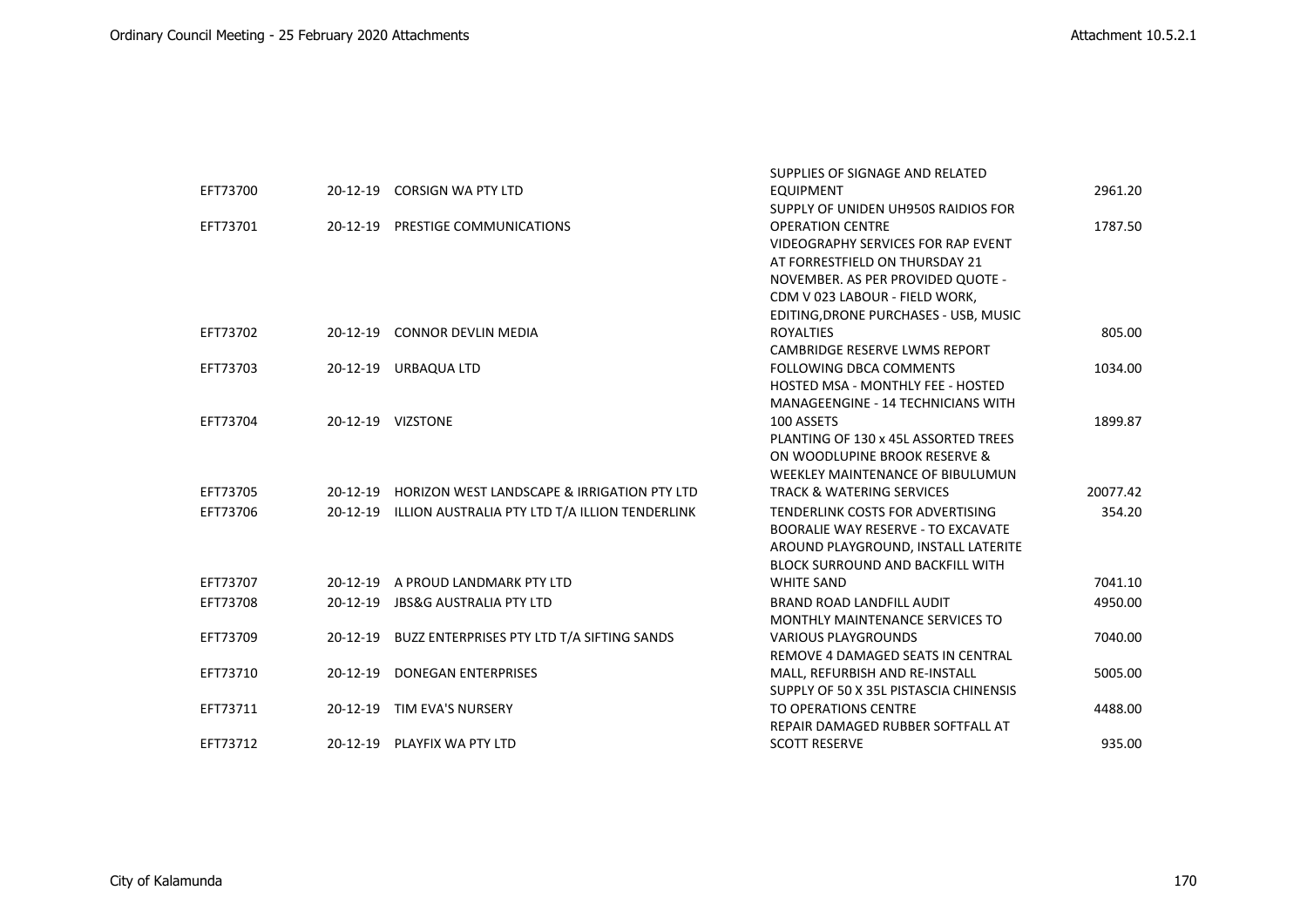|          |          |                                                         | SUPPLIES OF SIGNAGE AND RELATED           |          |
|----------|----------|---------------------------------------------------------|-------------------------------------------|----------|
| EFT73700 |          | 20-12-19 CORSIGN WA PTY LTD                             | <b>EQUIPMENT</b>                          | 2961.20  |
|          |          |                                                         | SUPPLY OF UNIDEN UH950S RAIDIOS FOR       |          |
| EFT73701 |          | 20-12-19 PRESTIGE COMMUNICATIONS                        | <b>OPERATION CENTRE</b>                   | 1787.50  |
|          |          |                                                         | <b>VIDEOGRAPHY SERVICES FOR RAP EVENT</b> |          |
|          |          |                                                         | AT FORRESTFIELD ON THURSDAY 21            |          |
|          |          |                                                         | NOVEMBER. AS PER PROVIDED QUOTE -         |          |
|          |          |                                                         | CDM V 023 LABOUR - FIELD WORK,            |          |
|          |          |                                                         | EDITING, DRONE PURCHASES - USB, MUSIC     |          |
| EFT73702 |          | 20-12-19 CONNOR DEVLIN MEDIA                            | <b>ROYALTIES</b>                          | 805.00   |
|          |          |                                                         | CAMBRIDGE RESERVE LWMS REPORT             |          |
| EFT73703 |          | 20-12-19 URBAQUA LTD                                    | <b>FOLLOWING DBCA COMMENTS</b>            | 1034.00  |
|          |          |                                                         | HOSTED MSA - MONTHLY FEE - HOSTED         |          |
|          |          |                                                         | <b>MANAGEENGINE - 14 TECHNICIANS WITH</b> |          |
| EFT73704 |          | 20-12-19 VIZSTONE                                       | 100 ASSETS                                | 1899.87  |
|          |          |                                                         | PLANTING OF 130 x 45L ASSORTED TREES      |          |
|          |          |                                                         | ON WOODLUPINE BROOK RESERVE &             |          |
|          |          |                                                         | WEEKLEY MAINTENANCE OF BIBULUMUN          |          |
| EFT73705 |          | 20-12-19 HORIZON WEST LANDSCAPE & IRRIGATION PTY LTD    | <b>TRACK &amp; WATERING SERVICES</b>      | 20077.42 |
| EFT73706 |          | 20-12-19 ILLION AUSTRALIA PTY LTD T/A ILLION TENDERLINK | TENDERLINK COSTS FOR ADVERTISING          | 354.20   |
|          |          |                                                         | <b>BOORALIE WAY RESERVE - TO EXCAVATE</b> |          |
|          |          |                                                         | AROUND PLAYGROUND, INSTALL LATERITE       |          |
|          |          |                                                         | <b>BLOCK SURROUND AND BACKFILL WITH</b>   |          |
| EFT73707 |          | 20-12-19 A PROUD LANDMARK PTY LTD                       | <b>WHITE SAND</b>                         | 7041.10  |
| EFT73708 |          | 20-12-19 JBS&G AUSTRALIA PTY LTD                        | BRAND ROAD LANDFILL AUDIT                 | 4950.00  |
|          |          |                                                         | <b>MONTHLY MAINTENANCE SERVICES TO</b>    |          |
| EFT73709 |          | 20-12-19 BUZZ ENTERPRISES PTY LTD T/A SIFTING SANDS     | <b>VARIOUS PLAYGROUNDS</b>                | 7040.00  |
|          |          |                                                         | REMOVE 4 DAMAGED SEATS IN CENTRAL         |          |
| EFT73710 | 20-12-19 | <b>DONEGAN ENTERPRISES</b>                              | MALL, REFURBISH AND RE-INSTALL            | 5005.00  |
|          |          |                                                         | SUPPLY OF 50 X 35L PISTASCIA CHINENSIS    |          |
| EFT73711 |          | 20-12-19 TIM EVA'S NURSERY                              | TO OPERATIONS CENTRE                      | 4488.00  |
|          |          |                                                         | REPAIR DAMAGED RUBBER SOFTFALL AT         |          |
| EFT73712 |          | 20-12-19 PLAYFIX WA PTY LTD                             | <b>SCOTT RESERVE</b>                      | 935.00   |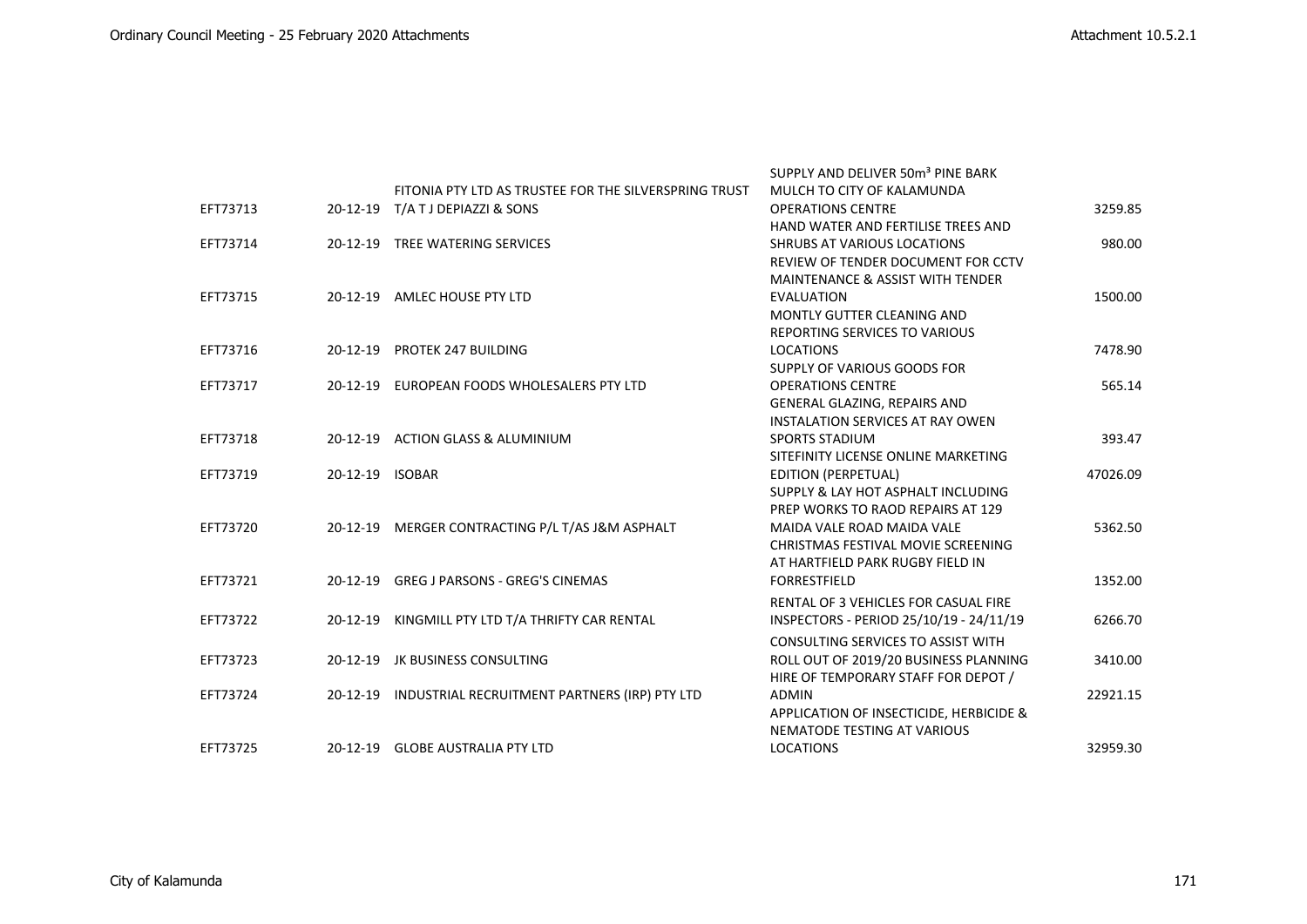|          |                 |                                                        | SUPPLY AND DELIVER 50m <sup>3</sup> PINE BARK |          |
|----------|-----------------|--------------------------------------------------------|-----------------------------------------------|----------|
|          |                 | FITONIA PTY LTD AS TRUSTEE FOR THE SILVERSPRING TRUST  | MULCH TO CITY OF KALAMUNDA                    |          |
| EFT73713 |                 | 20-12-19 T/A T J DEPIAZZI & SONS                       | <b>OPERATIONS CENTRE</b>                      | 3259.85  |
|          |                 |                                                        | HAND WATER AND FERTILISE TREES AND            |          |
| EFT73714 |                 | 20-12-19 TREE WATERING SERVICES                        | <b>SHRUBS AT VARIOUS LOCATIONS</b>            | 980.00   |
|          |                 |                                                        | REVIEW OF TENDER DOCUMENT FOR CCTV            |          |
|          |                 |                                                        | <b>MAINTENANCE &amp; ASSIST WITH TENDER</b>   |          |
| EFT73715 |                 | 20-12-19 AMLEC HOUSE PTY LTD                           | <b>EVALUATION</b>                             | 1500.00  |
|          |                 |                                                        | MONTLY GUTTER CLEANING AND                    |          |
|          |                 |                                                        | REPORTING SERVICES TO VARIOUS                 |          |
| EFT73716 |                 | 20-12-19 PROTEK 247 BUILDING                           | <b>LOCATIONS</b>                              | 7478.90  |
|          |                 |                                                        | SUPPLY OF VARIOUS GOODS FOR                   |          |
| EFT73717 |                 | 20-12-19 EUROPEAN FOODS WHOLESALERS PTY LTD            | <b>OPERATIONS CENTRE</b>                      | 565.14   |
|          |                 |                                                        | GENERAL GLAZING, REPAIRS AND                  |          |
|          |                 |                                                        | <b>INSTALATION SERVICES AT RAY OWEN</b>       |          |
| EFT73718 |                 | 20-12-19 ACTION GLASS & ALUMINIUM                      | <b>SPORTS STADIUM</b>                         | 393.47   |
|          |                 |                                                        | SITEFINITY LICENSE ONLINE MARKETING           |          |
| EFT73719 | 20-12-19 ISOBAR |                                                        | <b>EDITION (PERPETUAL)</b>                    | 47026.09 |
|          |                 |                                                        | SUPPLY & LAY HOT ASPHALT INCLUDING            |          |
|          |                 |                                                        | PREP WORKS TO RAOD REPAIRS AT 129             |          |
| EFT73720 |                 | 20-12-19 MERGER CONTRACTING P/L T/AS J&M ASPHALT       | MAIDA VALE ROAD MAIDA VALE                    | 5362.50  |
|          |                 |                                                        | CHRISTMAS FESTIVAL MOVIE SCREENING            |          |
|          |                 |                                                        | AT HARTFIELD PARK RUGBY FIELD IN              |          |
| EFT73721 |                 | 20-12-19 GREG J PARSONS - GREG'S CINEMAS               | <b>FORRESTFIELD</b>                           | 1352.00  |
|          |                 |                                                        | RENTAL OF 3 VEHICLES FOR CASUAL FIRE          |          |
| EFT73722 |                 | 20-12-19 KINGMILL PTY LTD T/A THRIFTY CAR RENTAL       | INSPECTORS - PERIOD 25/10/19 - 24/11/19       | 6266.70  |
|          |                 |                                                        |                                               |          |
|          |                 |                                                        | <b>CONSULTING SERVICES TO ASSIST WITH</b>     |          |
| EFT73723 |                 | 20-12-19 JK BUSINESS CONSULTING                        | ROLL OUT OF 2019/20 BUSINESS PLANNING         | 3410.00  |
|          |                 |                                                        | HIRE OF TEMPORARY STAFF FOR DEPOT /           |          |
| EFT73724 |                 | 20-12-19 INDUSTRIAL RECRUITMENT PARTNERS (IRP) PTY LTD | <b>ADMIN</b>                                  | 22921.15 |
|          |                 |                                                        | APPLICATION OF INSECTICIDE, HERBICIDE &       |          |
|          |                 |                                                        | NEMATODE TESTING AT VARIOUS                   |          |
| EFT73725 |                 | 20-12-19 GLOBE AUSTRALIA PTY LTD                       | <b>LOCATIONS</b>                              | 32959.30 |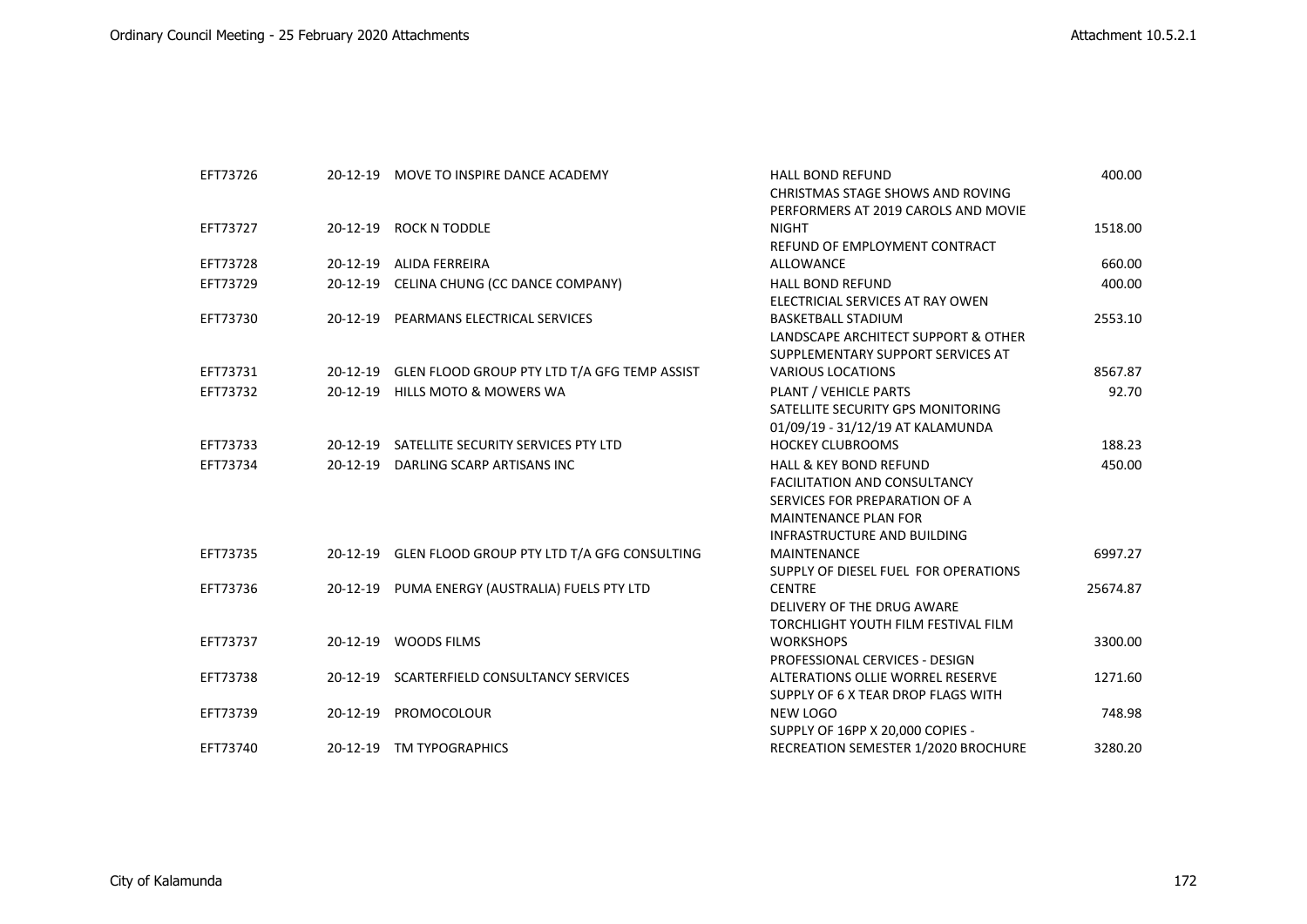| EFT73726 |                | 20-12-19 MOVE TO INSPIRE DANCE ACADEMY                | <b>HALL BOND REFUND</b>              | 400.00   |
|----------|----------------|-------------------------------------------------------|--------------------------------------|----------|
|          |                |                                                       | CHRISTMAS STAGE SHOWS AND ROVING     |          |
|          |                |                                                       | PERFORMERS AT 2019 CAROLS AND MOVIE  |          |
| EFT73727 |                | 20-12-19 ROCK N TODDLE                                | <b>NIGHT</b>                         | 1518.00  |
|          |                |                                                       | REFUND OF EMPLOYMENT CONTRACT        |          |
| EFT73728 |                | 20-12-19 ALIDA FERREIRA                               | <b>ALLOWANCE</b>                     | 660.00   |
| EFT73729 |                | 20-12-19 CELINA CHUNG (CC DANCE COMPANY)              | <b>HALL BOND REFUND</b>              | 400.00   |
|          |                |                                                       | ELECTRICIAL SERVICES AT RAY OWEN     |          |
| EFT73730 |                | 20-12-19 PEARMANS ELECTRICAL SERVICES                 | <b>BASKETBALL STADIUM</b>            | 2553.10  |
|          |                |                                                       | LANDSCAPE ARCHITECT SUPPORT & OTHER  |          |
|          |                |                                                       | SUPPLEMENTARY SUPPORT SERVICES AT    |          |
| EFT73731 |                | 20-12-19 GLEN FLOOD GROUP PTY LTD T/A GFG TEMP ASSIST | <b>VARIOUS LOCATIONS</b>             | 8567.87  |
| EFT73732 | $20-12-19$     | <b>HILLS MOTO &amp; MOWERS WA</b>                     | PLANT / VEHICLE PARTS                | 92.70    |
|          |                |                                                       | SATELLITE SECURITY GPS MONITORING    |          |
|          |                |                                                       | 01/09/19 - 31/12/19 AT KALAMUNDA     |          |
| EFT73733 |                | 20-12-19 SATELLITE SECURITY SERVICES PTY LTD          | <b>HOCKEY CLUBROOMS</b>              | 188.23   |
| EFT73734 | $20 - 12 - 19$ | DARLING SCARP ARTISANS INC                            | <b>HALL &amp; KEY BOND REFUND</b>    | 450.00   |
|          |                |                                                       | <b>FACILITATION AND CONSULTANCY</b>  |          |
|          |                |                                                       | SERVICES FOR PREPARATION OF A        |          |
|          |                |                                                       | <b>MAINTENANCE PLAN FOR</b>          |          |
|          |                |                                                       | INFRASTRUCTURE AND BUILDING          |          |
| EFT73735 |                | 20-12-19 GLEN FLOOD GROUP PTY LTD T/A GFG CONSULTING  | <b>MAINTENANCE</b>                   | 6997.27  |
|          |                |                                                       | SUPPLY OF DIESEL FUEL FOR OPERATIONS |          |
| EFT73736 |                | 20-12-19 PUMA ENERGY (AUSTRALIA) FUELS PTY LTD        | <b>CENTRE</b>                        | 25674.87 |
|          |                |                                                       | DELIVERY OF THE DRUG AWARE           |          |
|          |                |                                                       | TORCHLIGHT YOUTH FILM FESTIVAL FILM  |          |
| EFT73737 |                | 20-12-19 WOODS FILMS                                  | <b>WORKSHOPS</b>                     | 3300.00  |
|          |                |                                                       | PROFESSIONAL CERVICES - DESIGN       |          |
| EFT73738 |                | 20-12-19 SCARTERFIELD CONSULTANCY SERVICES            | ALTERATIONS OLLIE WORREL RESERVE     | 1271.60  |
|          |                |                                                       | SUPPLY OF 6 X TEAR DROP FLAGS WITH   |          |
| EFT73739 | $20-12-19$     | PROMOCOLOUR                                           | <b>NEW LOGO</b>                      | 748.98   |
|          |                |                                                       | SUPPLY OF 16PP X 20,000 COPIES -     |          |
| EFT73740 |                | 20-12-19 TM TYPOGRAPHICS                              | RECREATION SEMESTER 1/2020 BROCHURE  | 3280.20  |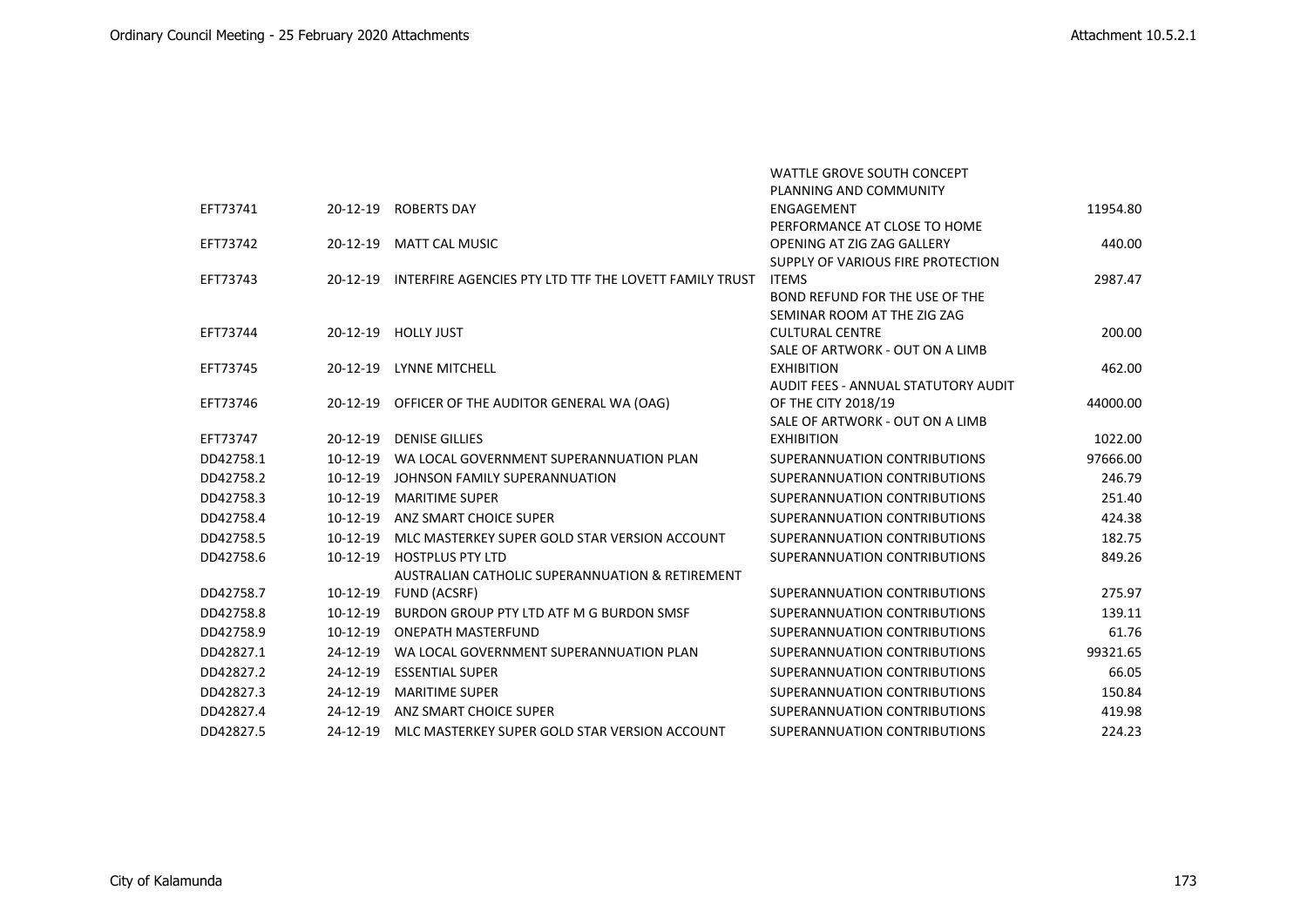|           |                |                                                        | <b>WATTLE GROVE SOUTH CONCEPT</b>   |          |
|-----------|----------------|--------------------------------------------------------|-------------------------------------|----------|
|           |                |                                                        | PLANNING AND COMMUNITY              |          |
| EFT73741  | 20-12-19       | <b>ROBERTS DAY</b>                                     | ENGAGEMENT                          | 11954.80 |
|           |                |                                                        | PERFORMANCE AT CLOSE TO HOME        |          |
| EFT73742  | $20 - 12 - 19$ | <b>MATT CAL MUSIC</b>                                  | OPENING AT ZIG ZAG GALLERY          | 440.00   |
|           |                |                                                        | SUPPLY OF VARIOUS FIRE PROTECTION   |          |
| EFT73743  | 20-12-19       | INTERFIRE AGENCIES PTY LTD TTF THE LOVETT FAMILY TRUST | <b>ITEMS</b>                        | 2987.47  |
|           |                |                                                        | BOND REFUND FOR THE USE OF THE      |          |
|           |                |                                                        | SEMINAR ROOM AT THE ZIG ZAG         |          |
| EFT73744  |                | 20-12-19 HOLLY JUST                                    | <b>CULTURAL CENTRE</b>              | 200.00   |
|           |                |                                                        | SALE OF ARTWORK - OUT ON A LIMB     |          |
| EFT73745  | $20 - 12 - 19$ | <b>LYNNE MITCHELL</b>                                  | <b>EXHIBITION</b>                   | 462.00   |
|           |                |                                                        | AUDIT FEES - ANNUAL STATUTORY AUDIT |          |
| EFT73746  |                | 20-12-19 OFFICER OF THE AUDITOR GENERAL WA (OAG)       | OF THE CITY 2018/19                 | 44000.00 |
|           |                |                                                        | SALE OF ARTWORK - OUT ON A LIMB     |          |
| EFT73747  | $20 - 12 - 19$ | <b>DENISE GILLIES</b>                                  | <b>EXHIBITION</b>                   | 1022.00  |
| DD42758.1 | $10-12-19$     | WA LOCAL GOVERNMENT SUPERANNUATION PLAN                | SUPERANNUATION CONTRIBUTIONS        | 97666.00 |
| DD42758.2 | 10-12-19       | JOHNSON FAMILY SUPERANNUATION                          | SUPERANNUATION CONTRIBUTIONS        | 246.79   |
| DD42758.3 | 10-12-19       | <b>MARITIME SUPER</b>                                  | SUPERANNUATION CONTRIBUTIONS        | 251.40   |
| DD42758.4 | 10-12-19       | ANZ SMART CHOICE SUPER                                 | SUPERANNUATION CONTRIBUTIONS        | 424.38   |
| DD42758.5 | $10-12-19$     | MLC MASTERKEY SUPER GOLD STAR VERSION ACCOUNT          | SUPERANNUATION CONTRIBUTIONS        | 182.75   |
| DD42758.6 | $10-12-19$     | <b>HOSTPLUS PTY LTD</b>                                | SUPERANNUATION CONTRIBUTIONS        | 849.26   |
|           |                | AUSTRALIAN CATHOLIC SUPERANNUATION & RETIREMENT        |                                     |          |
| DD42758.7 | 10-12-19       | FUND (ACSRF)                                           | SUPERANNUATION CONTRIBUTIONS        | 275.97   |
| DD42758.8 | $10-12-19$     | BURDON GROUP PTY LTD ATF M G BURDON SMSF               | SUPERANNUATION CONTRIBUTIONS        | 139.11   |
| DD42758.9 | $10-12-19$     | <b>ONEPATH MASTERFUND</b>                              | SUPERANNUATION CONTRIBUTIONS        | 61.76    |
| DD42827.1 | 24-12-19       | WA LOCAL GOVERNMENT SUPERANNUATION PLAN                | SUPERANNUATION CONTRIBUTIONS        | 99321.65 |
| DD42827.2 | 24-12-19       | <b>ESSENTIAL SUPER</b>                                 | SUPERANNUATION CONTRIBUTIONS        | 66.05    |
| DD42827.3 | 24-12-19       | <b>MARITIME SUPER</b>                                  | SUPERANNUATION CONTRIBUTIONS        | 150.84   |
| DD42827.4 | 24-12-19       | ANZ SMART CHOICE SUPER                                 | SUPERANNUATION CONTRIBUTIONS        | 419.98   |
| DD42827.5 | 24-12-19       | MLC MASTERKEY SUPER GOLD STAR VERSION ACCOUNT          | SUPERANNUATION CONTRIBUTIONS        | 224.23   |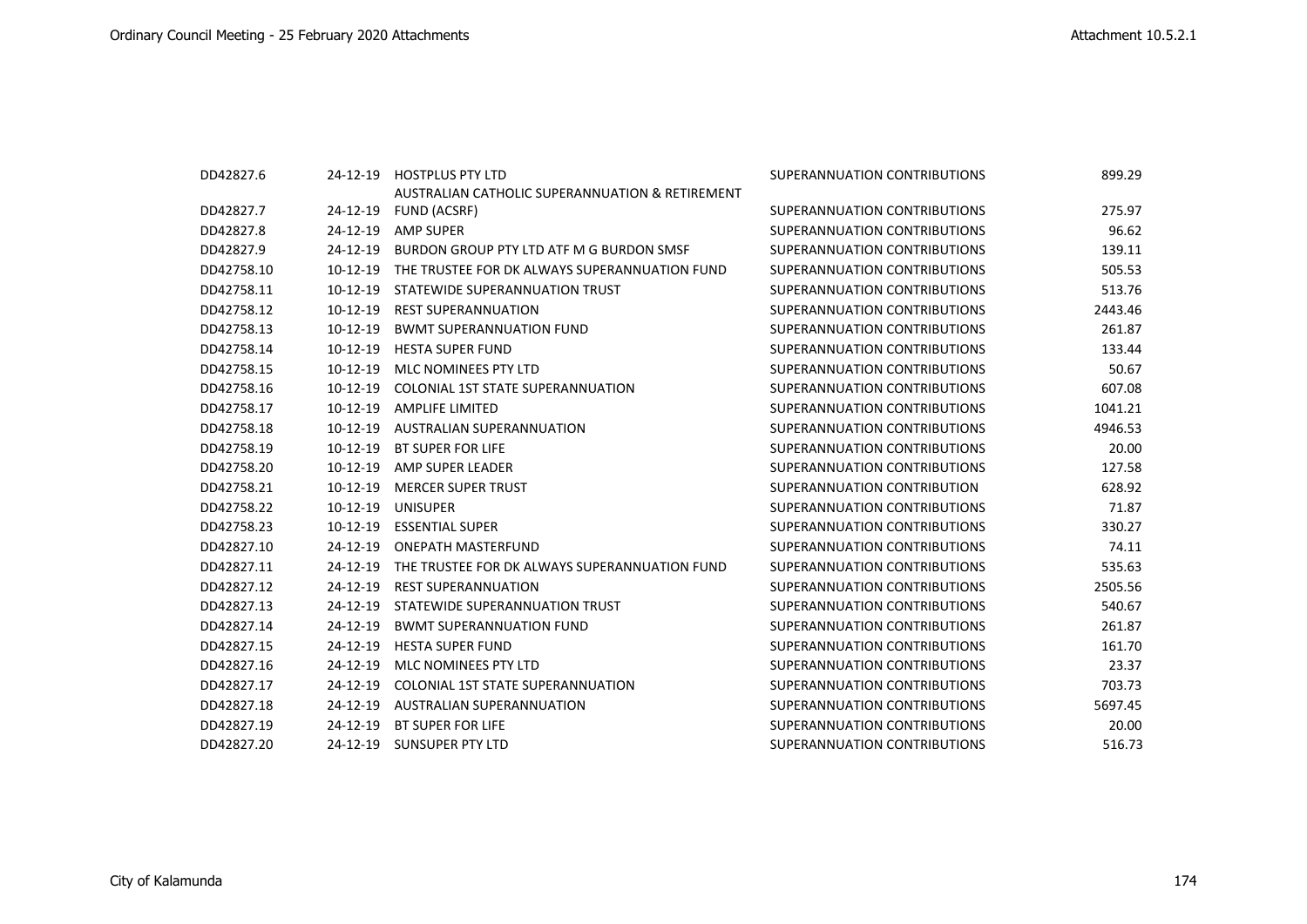| DD42827.6  |            | 24-12-19 HOSTPLUS PTY LTD                       | SUPERANNUATION CONTRIBUTIONS | 899.29  |
|------------|------------|-------------------------------------------------|------------------------------|---------|
|            |            | AUSTRALIAN CATHOLIC SUPERANNUATION & RETIREMENT |                              |         |
| DD42827.7  | 24-12-19   | FUND (ACSRF)                                    | SUPERANNUATION CONTRIBUTIONS | 275.97  |
| DD42827.8  | 24-12-19   | <b>AMP SUPER</b>                                | SUPERANNUATION CONTRIBUTIONS | 96.62   |
| DD42827.9  | 24-12-19   | BURDON GROUP PTY LTD ATF M G BURDON SMSF        | SUPERANNUATION CONTRIBUTIONS | 139.11  |
| DD42758.10 | $10-12-19$ | THE TRUSTEE FOR DK ALWAYS SUPERANNUATION FUND   | SUPERANNUATION CONTRIBUTIONS | 505.53  |
| DD42758.11 | $10-12-19$ | STATEWIDE SUPERANNUATION TRUST                  | SUPERANNUATION CONTRIBUTIONS | 513.76  |
| DD42758.12 | 10-12-19   | <b>REST SUPERANNUATION</b>                      | SUPERANNUATION CONTRIBUTIONS | 2443.46 |
| DD42758.13 | $10-12-19$ | <b>BWMT SUPERANNUATION FUND</b>                 | SUPERANNUATION CONTRIBUTIONS | 261.87  |
| DD42758.14 | 10-12-19   | <b>HESTA SUPER FUND</b>                         | SUPERANNUATION CONTRIBUTIONS | 133.44  |
| DD42758.15 | $10-12-19$ | MLC NOMINEES PTY LTD                            | SUPERANNUATION CONTRIBUTIONS | 50.67   |
| DD42758.16 | 10-12-19   | <b>COLONIAL 1ST STATE SUPERANNUATION</b>        | SUPERANNUATION CONTRIBUTIONS | 607.08  |
| DD42758.17 | $10-12-19$ | <b>AMPLIFE LIMITED</b>                          | SUPERANNUATION CONTRIBUTIONS | 1041.21 |
| DD42758.18 | 10-12-19   | <b>AUSTRALIAN SUPERANNUATION</b>                | SUPERANNUATION CONTRIBUTIONS | 4946.53 |
| DD42758.19 | 10-12-19   | <b>BT SUPER FOR LIFE</b>                        | SUPERANNUATION CONTRIBUTIONS | 20.00   |
| DD42758.20 | $10-12-19$ | AMP SUPER LEADER                                | SUPERANNUATION CONTRIBUTIONS | 127.58  |
| DD42758.21 | 10-12-19   | <b>MERCER SUPER TRUST</b>                       | SUPERANNUATION CONTRIBUTION  | 628.92  |
| DD42758.22 | $10-12-19$ | <b>UNISUPER</b>                                 | SUPERANNUATION CONTRIBUTIONS | 71.87   |
| DD42758.23 | $10-12-19$ | <b>ESSENTIAL SUPER</b>                          | SUPERANNUATION CONTRIBUTIONS | 330.27  |
| DD42827.10 | 24-12-19   | <b>ONEPATH MASTERFUND</b>                       | SUPERANNUATION CONTRIBUTIONS | 74.11   |
| DD42827.11 | 24-12-19   | THE TRUSTEE FOR DK ALWAYS SUPERANNUATION FUND   | SUPERANNUATION CONTRIBUTIONS | 535.63  |
| DD42827.12 | 24-12-19   | <b>REST SUPERANNUATION</b>                      | SUPERANNUATION CONTRIBUTIONS | 2505.56 |
| DD42827.13 | 24-12-19   | STATEWIDE SUPERANNUATION TRUST                  | SUPERANNUATION CONTRIBUTIONS | 540.67  |
| DD42827.14 | 24-12-19   | <b>BWMT SUPERANNUATION FUND</b>                 | SUPERANNUATION CONTRIBUTIONS | 261.87  |
| DD42827.15 | 24-12-19   | <b>HESTA SUPER FUND</b>                         | SUPERANNUATION CONTRIBUTIONS | 161.70  |
| DD42827.16 | 24-12-19   | MLC NOMINEES PTY LTD                            | SUPERANNUATION CONTRIBUTIONS | 23.37   |
| DD42827.17 | 24-12-19   | <b>COLONIAL 1ST STATE SUPERANNUATION</b>        | SUPERANNUATION CONTRIBUTIONS | 703.73  |
| DD42827.18 | 24-12-19   | <b>AUSTRALIAN SUPERANNUATION</b>                | SUPERANNUATION CONTRIBUTIONS | 5697.45 |
| DD42827.19 | 24-12-19   | <b>BT SUPER FOR LIFE</b>                        | SUPERANNUATION CONTRIBUTIONS | 20.00   |
| DD42827.20 | 24-12-19   | <b>SUNSUPER PTY LTD</b>                         | SUPERANNUATION CONTRIBUTIONS | 516.73  |